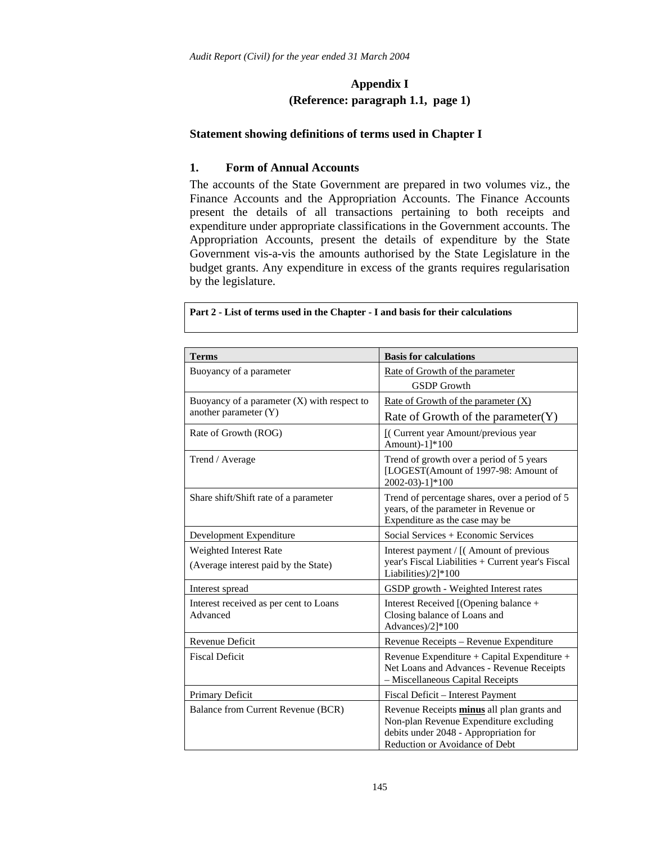#### **Appendix I (Reference: paragraph 1.1, page 1)**

#### **Statement showing definitions of terms used in Chapter I**

#### **1. Form of Annual Accounts**

The accounts of the State Government are prepared in two volumes viz., the Finance Accounts and the Appropriation Accounts. The Finance Accounts present the details of all transactions pertaining to both receipts and expenditure under appropriate classifications in the Government accounts. The Appropriation Accounts, present the details of expenditure by the State Government vis-a-vis the amounts authorised by the State Legislature in the budget grants. Any expenditure in excess of the grants requires regularisation by the legislature.

| <b>Terms</b>                                                           | <b>Basis for calculations</b>                                                                                                                                   |
|------------------------------------------------------------------------|-----------------------------------------------------------------------------------------------------------------------------------------------------------------|
| Buoyancy of a parameter                                                | Rate of Growth of the parameter<br><b>GSDP</b> Growth                                                                                                           |
| Buoyancy of a parameter $(X)$ with respect to<br>another parameter (Y) | Rate of Growth of the parameter $(X)$<br>Rate of Growth of the parameter $(Y)$                                                                                  |
| Rate of Growth (ROG)                                                   | [(Current year Amount/previous year<br>Amount)-1]*100                                                                                                           |
| Trend / Average                                                        | Trend of growth over a period of 5 years<br>[LOGEST(Amount of 1997-98: Amount of<br>2002-03)-1]*100                                                             |
| Share shift/Shift rate of a parameter                                  | Trend of percentage shares, over a period of 5<br>years, of the parameter in Revenue or<br>Expenditure as the case may be                                       |
| Development Expenditure                                                | Social Services + Economic Services                                                                                                                             |
| Weighted Interest Rate<br>(Average interest paid by the State)         | Interest payment / [(Amount of previous<br>year's Fiscal Liabilities + Current year's Fiscal<br>Liabilities)/2]*100                                             |
| Interest spread                                                        | GSDP growth - Weighted Interest rates                                                                                                                           |
| Interest received as per cent to Loans<br>Advanced                     | Interest Received [(Opening balance +<br>Closing balance of Loans and<br>Advances)/2]*100                                                                       |
| Revenue Deficit                                                        | Revenue Receipts - Revenue Expenditure                                                                                                                          |
| <b>Fiscal Deficit</b>                                                  | Revenue Expenditure + Capital Expenditure +<br>Net Loans and Advances - Revenue Receipts<br>- Miscellaneous Capital Receipts                                    |
| Primary Deficit                                                        | Fiscal Deficit - Interest Payment                                                                                                                               |
| Balance from Current Revenue (BCR)                                     | Revenue Receipts minus all plan grants and<br>Non-plan Revenue Expenditure excluding<br>debits under 2048 - Appropriation for<br>Reduction or Avoidance of Debt |

**Part 2 - List of terms used in the Chapter - I and basis for their calculations**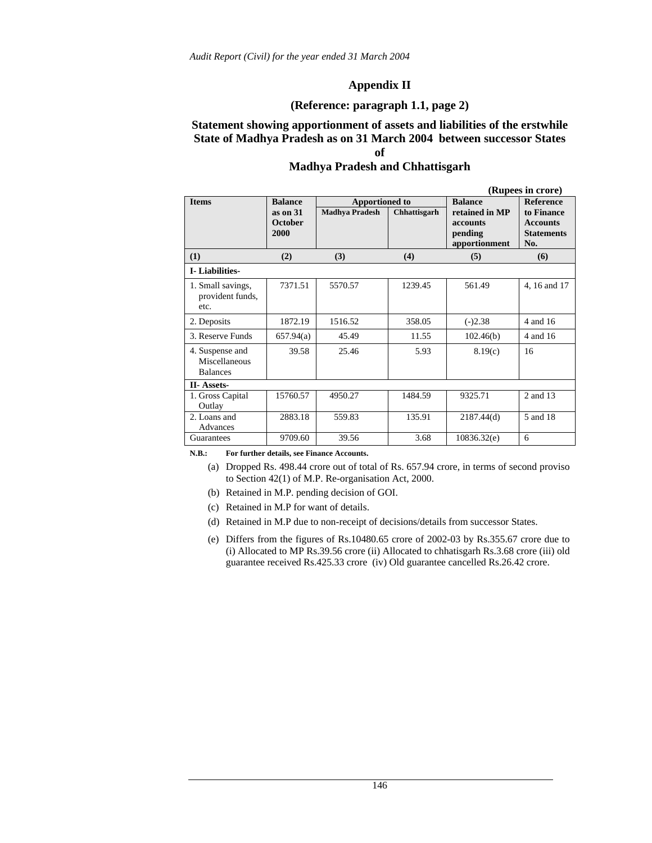#### **Appendix II**

#### **(Reference: paragraph 1.1, page 2)**

#### **Statement showing apportionment of assets and liabilities of the erstwhile State of Madhya Pradesh as on 31 March 2004 between successor States of**

#### **Madhya Pradesh and Chhattisgarh**

|                                                     |                                               |                                                |              |                                                                          | (Rupees in crore)                                                             |
|-----------------------------------------------------|-----------------------------------------------|------------------------------------------------|--------------|--------------------------------------------------------------------------|-------------------------------------------------------------------------------|
| <b>Items</b>                                        | <b>Balance</b><br>as on 31<br>October<br>2000 | <b>Apportioned to</b><br><b>Madhya Pradesh</b> | Chhattisgarh | <b>Balance</b><br>retained in MP<br>accounts<br>pending<br>apportionment | <b>Reference</b><br>to Finance<br><b>Accounts</b><br><b>Statements</b><br>No. |
| (1)                                                 | (2)                                           | (3)                                            | (4)          | (5)                                                                      | (6)                                                                           |
| <b>I-Liabilities-</b>                               |                                               |                                                |              |                                                                          |                                                                               |
| 1. Small savings,<br>provident funds,<br>etc.       | 7371.51                                       | 5570.57                                        | 1239.45      | 561.49                                                                   | 4, 16 and 17                                                                  |
| 2. Deposits                                         | 1872.19                                       | 1516.52                                        | 358.05       | $(-)2.38$                                                                | 4 and 16                                                                      |
| 3. Reserve Funds                                    | 657.94(a)                                     | 45.49                                          | 11.55        | 102.46(b)                                                                | 4 and 16                                                                      |
| 4. Suspense and<br>Miscellaneous<br><b>Balances</b> | 39.58                                         | 25.46                                          | 5.93         | 8.19(c)                                                                  | 16                                                                            |
| <b>II-Assets-</b>                                   |                                               |                                                |              |                                                                          |                                                                               |
| 1. Gross Capital<br>Outlay                          | 15760.57                                      | 4950.27                                        | 1484.59      | 9325.71                                                                  | 2 and 13                                                                      |
| 2. Loans and<br>Advances                            | 2883.18                                       | 559.83                                         | 135.91       | 2187.44(d)                                                               | 5 and 18                                                                      |
| Guarantees                                          | 9709.60                                       | 39.56                                          | 3.68         | 10836.32(e)                                                              | 6                                                                             |

**N.B.: For further details, see Finance Accounts.** 

- (a) Dropped Rs. 498.44 crore out of total of Rs. 657.94 crore, in terms of second proviso to Section 42(1) of M.P. Re-organisation Act, 2000.
- (b) Retained in M.P. pending decision of GOI.
- (c) Retained in M.P for want of details.
- (d) Retained in M.P due to non-receipt of decisions/details from successor States.
- (e) Differs from the figures of Rs.10480.65 crore of 2002-03 by Rs.355.67 crore due to (i) Allocated to MP Rs.39.56 crore (ii) Allocated to chhatisgarh Rs.3.68 crore (iii) old guarantee received Rs.425.33 crore (iv) Old guarantee cancelled Rs.26.42 crore.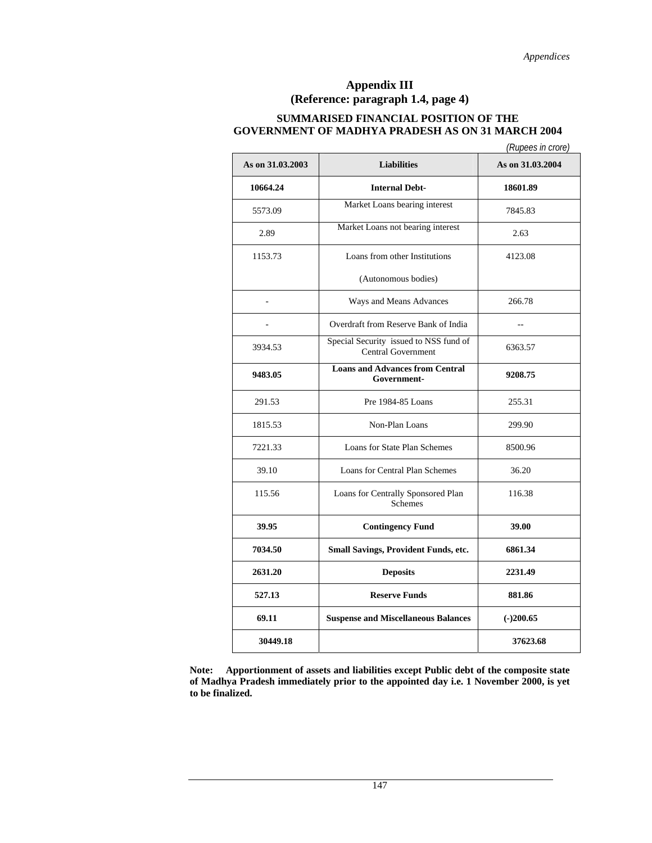#### **Appendix III (Reference: paragraph 1.4, page 4)**

#### **SUMMARISED FINANCIAL POSITION OF THE GOVERNMENT OF MADHYA PRADESH AS ON 31 MARCH 2004**

|                  |                                                              | (Rupees in crore) |
|------------------|--------------------------------------------------------------|-------------------|
| As on 31.03.2003 | <b>Liabilities</b>                                           | As on 31,03,2004  |
| 10664.24         | <b>Internal Debt-</b>                                        | 18601.89          |
| 5573.09          | Market Loans bearing interest                                | 7845.83           |
| 2.89             | Market Loans not bearing interest                            | 2.63              |
| 1153.73          | Loans from other Institutions                                | 4123.08           |
|                  | (Autonomous bodies)                                          |                   |
| $\overline{a}$   | Ways and Means Advances                                      | 266.78            |
|                  | Overdraft from Reserve Bank of India                         | $-$               |
| 3934.53          | Special Security issued to NSS fund of<br>Central Government | 6363.57           |
| 9483.05          | <b>Loans and Advances from Central</b><br>Government-        | 9208.75           |
| 291.53           | Pre 1984-85 Loans                                            | 255.31            |
| 1815.53          | Non-Plan Loans                                               | 299.90            |
| 7221.33          | Loans for State Plan Schemes                                 | 8500.96           |
| 39.10            | Loans for Central Plan Schemes                               | 36.20             |
| 115.56           | Loans for Centrally Sponsored Plan<br>Schemes                | 116.38            |
| 39.95            | <b>Contingency Fund</b>                                      | 39.00             |
| 7034.50          | Small Savings, Provident Funds, etc.                         | 6861.34           |
| 2631.20          | <b>Deposits</b>                                              | 2231.49           |
| 527.13           | <b>Reserve Funds</b>                                         | 881.86            |
| 69.11            | <b>Suspense and Miscellaneous Balances</b>                   | $(-)200.65$       |
| 30449.18         |                                                              | 37623.68          |

**Note: Apportionment of assets and liabilities except Public debt of the composite state of Madhya Pradesh immediately prior to the appointed day i.e. 1 November 2000, is yet to be finalized.**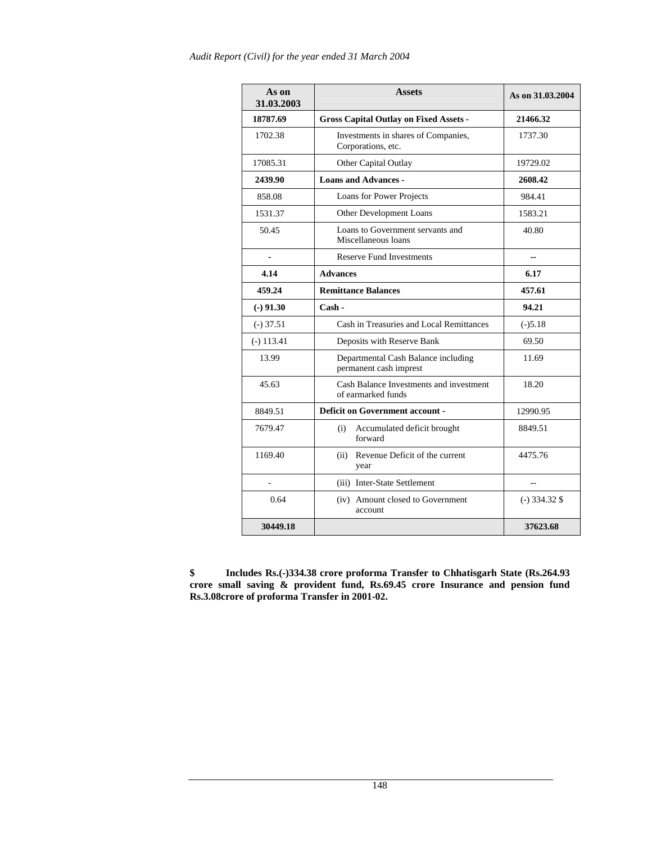| As on<br>31.03.2003 | <b>Assets</b>                                                 | As on 31.03.2004 |
|---------------------|---------------------------------------------------------------|------------------|
| 18787.69            | <b>Gross Capital Outlay on Fixed Assets -</b>                 | 21466.32         |
| 1702.38             | Investments in shares of Companies,<br>Corporations, etc.     | 1737.30          |
| 17085.31            | Other Capital Outlay                                          | 19729.02         |
| 2439.90             | <b>Loans and Advances -</b>                                   | 2608.42          |
| 858.08              | Loans for Power Projects                                      | 984.41           |
| 1531.37             | Other Development Loans                                       | 1583.21          |
| 50.45               | Loans to Government servants and<br>Miscellaneous loans       | 40.80            |
|                     | <b>Reserve Fund Investments</b>                               | --               |
| 4.14                | <b>Advances</b>                                               | 6.17             |
| 459.24              | <b>Remittance Balances</b>                                    | 457.61           |
| $(-)$ 91.30         | Cash -                                                        | 94.21            |
| $(-)$ 37.51         | Cash in Treasuries and Local Remittances                      | $(-)5.18$        |
| $(-) 113.41$        | Deposits with Reserve Bank                                    | 69.50            |
| 13.99               | Departmental Cash Balance including<br>permanent cash imprest | 11.69            |
| 45.63               | Cash Balance Investments and investment<br>of earmarked funds | 18.20            |
| 8849.51             | Deficit on Government account -                               | 12990.95         |
| 7679.47             | (i)<br>Accumulated deficit brought<br>forward                 | 8849.51          |
| 1169.40             | (ii) Revenue Deficit of the current<br>year                   | 4475.76          |
| ÷,                  | (iii) Inter-State Settlement                                  |                  |
| 0.64                | (iv) Amount closed to Government<br>account                   | $(-)$ 334.32 \$  |
| 30449.18            |                                                               | 37623.68         |

**\$ Includes Rs.(-)334.38 crore proforma Transfer to Chhatisgarh State (Rs.264.93 crore small saving & provident fund, Rs.69.45 crore Insurance and pension fund Rs.3.08crore of proforma Transfer in 2001-02.**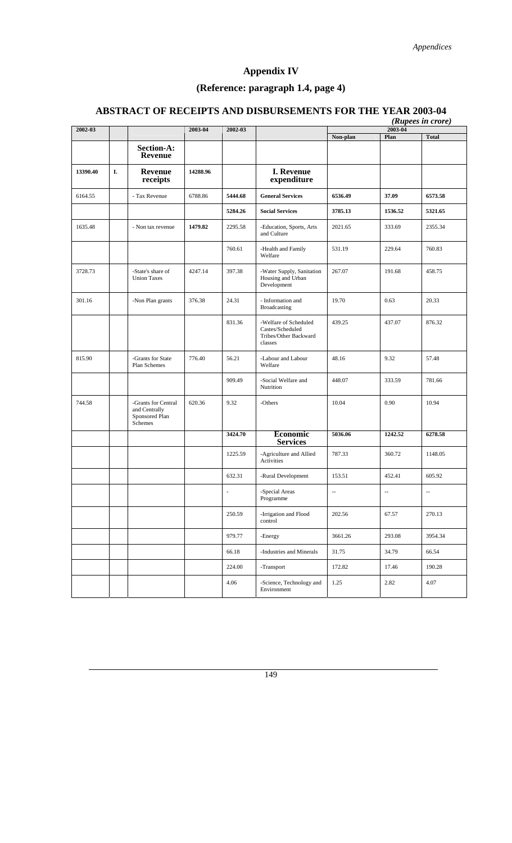## **Appendix IV**

## **(Reference: paragraph 1.4, page 4)**

## **ABSTRACT OF RECEIPTS AND DISBURSEMENTS FOR THE YEAR 2003-04**

|          |    |                                                                   |          |         |                                                                               |                                                     | 2003-04 | (Rupees in crore) |
|----------|----|-------------------------------------------------------------------|----------|---------|-------------------------------------------------------------------------------|-----------------------------------------------------|---------|-------------------|
| 2002-03  |    |                                                                   | 2003-04  | 2002-03 |                                                                               | Non-plan                                            | Plan    | <b>Total</b>      |
|          |    | Section-A:<br><b>Revenue</b>                                      |          |         |                                                                               |                                                     |         |                   |
| 13390.40 | I. | <b>Revenue</b><br>receipts                                        | 14288.96 |         | <b>I. Revenue</b><br>expenditure                                              |                                                     |         |                   |
| 6164.55  |    | - Tax Revenue                                                     | 6788.86  | 5444.68 | <b>General Services</b>                                                       | 6536.49                                             | 37.09   | 6573.58           |
|          |    |                                                                   |          | 5284.26 | <b>Social Services</b>                                                        | 3785.13                                             | 1536.52 | 5321.65           |
| 1635.48  |    | - Non tax revenue                                                 | 1479.82  | 2295.58 | -Education, Sports, Arts<br>and Culture                                       | 2021.65                                             | 333.69  | 2355.34           |
|          |    |                                                                   |          | 760.61  | -Health and Family<br>Welfare                                                 | 531.19                                              | 229.64  | 760.83            |
| 3728.73  |    | -State's share of<br><b>Union Taxes</b>                           | 4247.14  | 397.38  | -Water Supply, Sanitation<br>Housing and Urban<br>Development                 | 267.07                                              | 191.68  | 458.75            |
| 301.16   |    | -Non Plan grants                                                  | 376.38   | 24.31   | - Information and<br>Broadcasting                                             | 19.70                                               | 0.63    | 20.33             |
|          |    |                                                                   |          | 831.36  | -Welfare of Scheduled<br>Castes/Scheduled<br>Tribes/Other Backward<br>classes | 439.25                                              | 437.07  | 876.32            |
| 815.90   |    | -Grants for State<br>Plan Schemes                                 | 776.40   | 56.21   | -Labour and Labour<br>Welfare                                                 | 48.16                                               | 9.32    | 57.48             |
|          |    |                                                                   |          | 909.49  | -Social Welfare and<br>Nutrition                                              | 448.07                                              | 333.59  | 781.66            |
| 744.58   |    | -Grants for Central<br>and Centrally<br>Sponsored Plan<br>Schemes | 620.36   | 9.32    | -Others                                                                       | 10.04                                               | 0.90    | 10.94             |
|          |    |                                                                   |          | 3424.70 | <b>Economic</b><br><b>Services</b>                                            | 5036.06                                             | 1242.52 | 6278.58           |
|          |    |                                                                   |          | 1225.59 | -Agriculture and Allied<br>Activities                                         | 787.33                                              | 360.72  | 1148.05           |
|          |    |                                                                   |          | 632.31  | -Rural Development                                                            | 153.51                                              | 452.41  | 605.92            |
|          |    |                                                                   |          |         | -Special Areas<br>Programme                                                   | $\hspace{0.05cm} -\hspace{0.05cm} -\hspace{0.05cm}$ | --      | $\qquad \qquad -$ |
|          |    |                                                                   |          | 250.59  | -Irrigation and Flood<br>control                                              | 202.56                                              | 67.57   | 270.13            |
|          |    |                                                                   |          | 979.77  | -Energy                                                                       | 3661.26                                             | 293.08  | 3954.34           |
|          |    |                                                                   |          | 66.18   | -Industries and Minerals                                                      | 31.75                                               | 34.79   | 66.54             |
|          |    |                                                                   |          | 224.00  | -Transport                                                                    | 172.82                                              | 17.46   | 190.28            |
|          |    |                                                                   |          | 4.06    | -Science, Technology and<br>Environment                                       | 1.25                                                | 2.82    | 4.07              |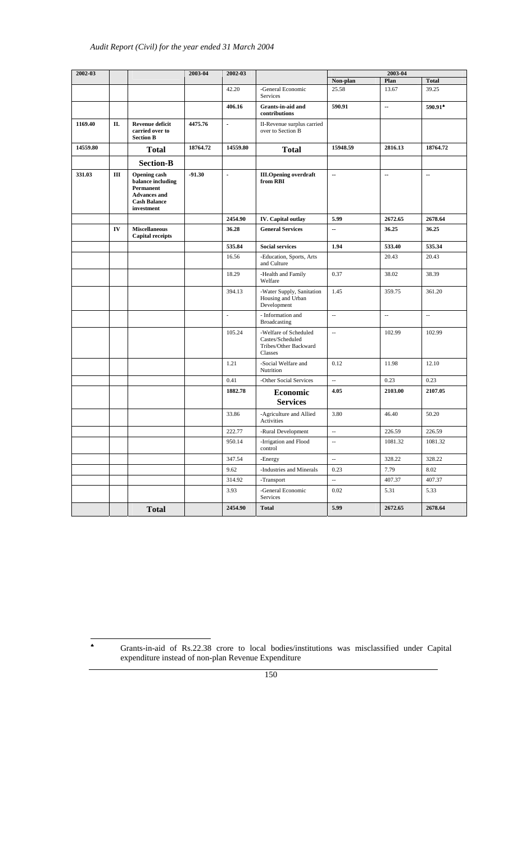| 2002-03  |    |                                                                                                                   | 2003-04  | 2002-03              |                                                                               |                          | 2003-04                  |              |
|----------|----|-------------------------------------------------------------------------------------------------------------------|----------|----------------------|-------------------------------------------------------------------------------|--------------------------|--------------------------|--------------|
|          |    |                                                                                                                   |          |                      |                                                                               | Non-plan                 | Plan                     | <b>Total</b> |
|          |    |                                                                                                                   |          | 42.20                | -General Economic<br>Services                                                 | 25.58                    | 13.67                    | 39.25        |
|          |    |                                                                                                                   |          | 406.16               | Grants-in-aid and<br>contributions                                            | 590.91                   | $\overline{\phantom{a}}$ | 590.91*      |
| 1169.40  | П. | <b>Revenue deficit</b><br>carried over to<br><b>Section B</b>                                                     | 4475.76  | ÷.                   | II-Revenue surplus carried<br>over to Section B                               |                          |                          |              |
| 14559.80 |    | <b>Total</b>                                                                                                      | 18764.72 | 14559.80             | <b>Total</b>                                                                  | 15948.59                 | 2816.13                  | 18764.72     |
|          |    | <b>Section-B</b>                                                                                                  |          |                      |                                                                               |                          |                          |              |
| 331.03   | Ш  | <b>Opening cash</b><br>balance including<br>Permanent<br><b>Advances</b> and<br><b>Cash Balance</b><br>investment | $-91.30$ | $\ddot{\phantom{a}}$ | <b>III.Opening overdraft</b><br>from RBI                                      | ш,                       | $\ddot{\phantom{a}}$     | ш,           |
|          |    |                                                                                                                   |          | 2454.90              | <b>IV.</b> Capital outlay                                                     | 5.99                     | 2672.65                  | 2678.64      |
|          | IV | <b>Miscellaneous</b><br><b>Capital receipts</b>                                                                   |          | 36.28                | <b>General Services</b>                                                       | -−                       | 36.25                    | 36.25        |
|          |    |                                                                                                                   |          | 535.84               | <b>Social services</b>                                                        | 1.94                     | 533.40                   | 535.34       |
|          |    |                                                                                                                   |          | 16.56                | -Education, Sports, Arts<br>and Culture                                       |                          | 20.43                    | 20.43        |
|          |    |                                                                                                                   |          | 18.29                | -Health and Family<br>Welfare                                                 | 0.37                     | 38.02                    | 38.39        |
|          |    |                                                                                                                   |          | 394.13               | -Water Supply, Sanitation<br>Housing and Urban<br>Development                 | 1.45                     | 359.75                   | 361.20       |
|          |    |                                                                                                                   |          | $\sim$               | - Information and<br>Broadcasting                                             | ц.                       | $\mathbb{Z}^2$           | ц.           |
|          |    |                                                                                                                   |          | 105.24               | -Welfare of Scheduled<br>Castes/Scheduled<br>Tribes/Other Backward<br>Classes | Ξ.                       | 102.99                   | 102.99       |
|          |    |                                                                                                                   |          | 1.21                 | -Social Welfare and<br>Nutrition                                              | 0.12                     | 11.98                    | 12.10        |
|          |    |                                                                                                                   |          | 0.41                 | -Other Social Services                                                        | ÷.                       | 0.23                     | 0.23         |
|          |    |                                                                                                                   |          | 1882.78              | Economic<br><b>Services</b>                                                   | 4.05                     | 2103.00                  | 2107.05      |
|          |    |                                                                                                                   |          | 33.86                | -Agriculture and Allied<br>Activities                                         | 3.80                     | 46.40                    | 50.20        |
|          |    |                                                                                                                   |          | 222.77               | -Rural Development                                                            | $\overline{\phantom{a}}$ | 226.59                   | 226.59       |
|          |    |                                                                                                                   |          | 950.14               | -Irrigation and Flood<br>control                                              | $\overline{\phantom{a}}$ | 1081.32                  | 1081.32      |
|          |    |                                                                                                                   |          | 347.54               | -Energy                                                                       | ω.                       | 328.22                   | 328.22       |
|          |    |                                                                                                                   |          | 9.62                 | -Industries and Minerals                                                      | 0.23                     | 7.79                     | 8.02         |
|          |    |                                                                                                                   |          | 314.92               | -Transport                                                                    | Ξ.                       | 407.37                   | 407.37       |
|          |    |                                                                                                                   |          | 3.93                 | -General Economic<br>Services                                                 | 0.02                     | 5.31                     | 5.33         |
|          |    | <b>Total</b>                                                                                                      |          | 2454.90              | Total                                                                         | 5.99                     | 2672.65                  | 2678.64      |

♠ Grants-in-aid of Rs.22.38 crore to local bodies/institutions was misclassified under Capital expenditure instead of non-plan Revenue Expenditure

150

 $\clubsuit$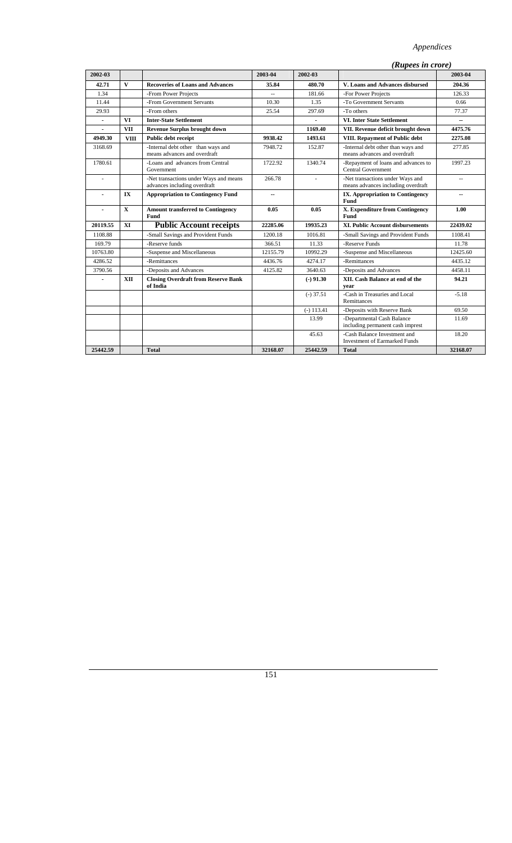#### *Appendices*

|                          |              |                                                                        |                           |                | (Rupees in crore)                                                      |                          |
|--------------------------|--------------|------------------------------------------------------------------------|---------------------------|----------------|------------------------------------------------------------------------|--------------------------|
| 2002-03                  |              |                                                                        | 2003-04                   | 2002-03        |                                                                        | 2003-04                  |
| 42.71                    | V            | <b>Recoveries of Loans and Advances</b>                                | 35.84                     | 480.70         | V. Loans and Advances disbursed                                        | 204.36                   |
| 1.34                     |              | -From Power Projects                                                   | $\mathbb{Z}^{\mathbb{Z}}$ | 181.66         | -For Power Projects                                                    | 126.33                   |
| 11.44                    |              | -From Government Servants                                              | 10.30                     | 1.35           | -To Government Servants                                                | 0.66                     |
| 29.93                    |              | -From others                                                           | 25.54                     | 297.69         | -To others                                                             | 77.37                    |
| $\overline{\phantom{a}}$ | <b>VI</b>    | <b>Inter-State Settlement</b>                                          |                           | $\blacksquare$ | <b>VI. Inter State Settlement</b>                                      | $\overline{\phantom{a}}$ |
| $\overline{a}$           | <b>VII</b>   | <b>Revenue Surplus brought down</b>                                    |                           | 1169.40        | VII. Revenue deficit brought down                                      | 4475.76                  |
| 4949.30                  | <b>VIII</b>  | Public debt receipt                                                    | 9938.42                   | 1493.61        | VIII. Repayment of Public debt                                         | 2275.08                  |
| 3168.69                  |              | -Internal debt other than ways and<br>means advances and overdraft     | 7948.72                   | 152.87         | -Internal debt other than ways and<br>means advances and overdraft     | 277.85                   |
| 1780.61                  |              | -Loans and advances from Central<br>Government                         | 1722.92                   | 1340.74        | -Repayment of loans and advances to<br><b>Central Government</b>       | 1997.23                  |
| ä,                       |              | -Net transactions under Ways and means<br>advances including overdraft | 266.78                    |                | -Net transactions under Ways and<br>means advances including overdraft | $\sim$ $\sim$            |
|                          | IX           | <b>Appropriation to Contingency Fund</b>                               | --                        |                | <b>IX. Appropriation to Contingency</b><br>Fund                        | $\overline{a}$           |
|                          | $\mathbf{x}$ | <b>Amount transferred to Contingency</b><br>Fund                       | 0.05                      | 0.05           | X. Expenditure from Contingency<br>Fund                                | 1.00                     |
| 20119.55                 | XI           | <b>Public Account receipts</b>                                         | 22285.06                  | 19935.23       | <b>XI. Public Account disbursements</b>                                | 22439.02                 |
| 1108.88                  |              | -Small Savings and Provident Funds                                     | 1200.18                   | 1016.81        | -Small Savings and Provident Funds                                     | 1108.41                  |
| 169.79                   |              | -Reserve funds                                                         | 366.51                    | 11.33          | -Reserve Funds                                                         | 11.78                    |
| 10763.80                 |              | -Suspense and Miscellaneous                                            | 12155.79                  | 10992.29       | -Suspense and Miscellaneous                                            | 12425.60                 |
| 4286.52                  |              | -Remittances                                                           | 4436.76                   | 4274.17        | -Remittances                                                           | 4435.12                  |
| 3790.56                  |              | -Deposits and Advances                                                 | 4125.82                   | 3640.63        | -Deposits and Advances                                                 | 4458.11                  |
|                          | <b>XII</b>   | <b>Closing Overdraft from Reserve Bank</b><br>of India                 |                           | $(-)$ 91.30    | XII. Cash Balance at end of the<br>year                                | 94.21                    |
|                          |              |                                                                        |                           | $(-)$ 37.51    | -Cash in Treasuries and Local<br>Remittances                           | $-5.18$                  |
|                          |              |                                                                        |                           | $(-)$ 113.41   | -Deposits with Reserve Bank                                            | 69.50                    |
|                          |              |                                                                        |                           | 13.99          | -Departmental Cash Balance<br>including permanent cash imprest         | 11.69                    |
|                          |              |                                                                        |                           | 45.63          | -Cash Balance Investment and<br><b>Investment of Earmarked Funds</b>   | 18.20                    |
| 25442.59                 |              | <b>Total</b>                                                           | 32168.07                  | 25442.59       | <b>Total</b>                                                           | 32168.07                 |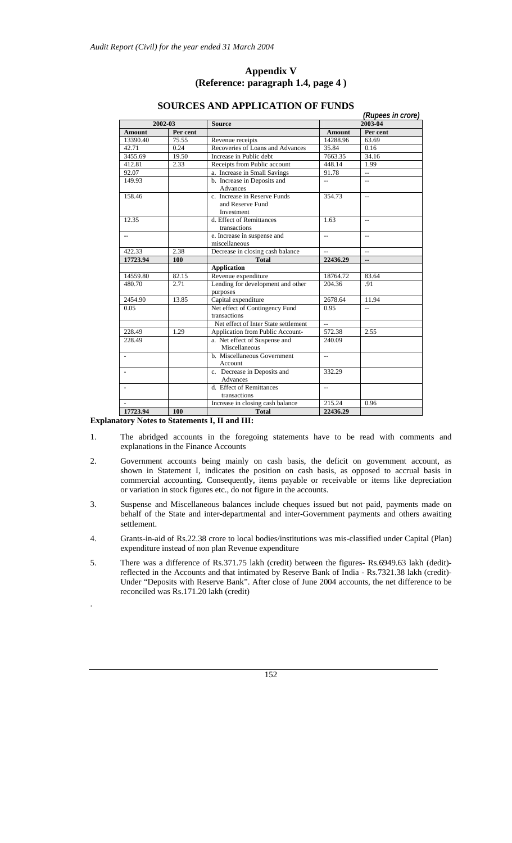#### **Appendix V (Reference: paragraph 1.4, page 4 )**

 *(Rupees in crore)* 

| 2002-03       |          | <b>Source</b>                                                  |                | 2003-04                  |  |  |
|---------------|----------|----------------------------------------------------------------|----------------|--------------------------|--|--|
| <b>Amount</b> | Per cent |                                                                | <b>Amount</b>  | Per cent                 |  |  |
| 13390.40      | 75.55    | Revenue receipts                                               | 14288.96       | 63.69                    |  |  |
| 42.71         | 0.24     | Recoveries of Loans and Advances                               | 35.84          | 0.16                     |  |  |
| 3455.69       | 19.50    | Increase in Public debt                                        | 7663.35        | 34.16                    |  |  |
| 412.81        | 2.33     | Receipts from Public account                                   | 448.14         | 1.99                     |  |  |
| 92.07         |          | a. Increase in Small Savings                                   | 91.78          | $\overline{a}$           |  |  |
| 149.93        |          | b. Increase in Deposits and<br>Advances                        | $\overline{a}$ | $\overline{a}$           |  |  |
| 158.46        |          | c. Increase in Reserve Funds<br>and Reserve Fund<br>Investment | 354.73         | $\overline{a}$           |  |  |
| 12.35         |          | d. Effect of Remittances<br>transactions                       | 1.63           | $\overline{a}$           |  |  |
| $-$           |          | e. Increase in suspense and<br>miscellaneous                   | $\overline{a}$ | $-$                      |  |  |
| 422.33        | 2.38     | Decrease in closing cash balance                               |                | $\overline{a}$           |  |  |
| 17723.94      | 100      | <b>Total</b>                                                   | 22436.29       | $\overline{\phantom{a}}$ |  |  |
|               |          | <b>Application</b>                                             |                |                          |  |  |
| 14559.80      | 82.15    | Revenue expenditure                                            | 18764.72       | 83.64                    |  |  |
| 480.70        | 2.71     | Lending for development and other<br>purposes                  | 204.36         | .91                      |  |  |
| 2454.90       | 13.85    | Capital expenditure                                            | 2678.64        | 11.94                    |  |  |
| 0.05          |          | Net effect of Contingency Fund<br>transactions                 | 0.95           | $-$                      |  |  |
|               |          | Net effect of Inter State settlement                           | $\overline{a}$ |                          |  |  |
| 228.49        | 1.29     | Application from Public Account-                               | 572.38         | 2.55                     |  |  |
| 228.49        |          | a. Net effect of Suspense and<br>Miscellaneous                 | 240.09         |                          |  |  |
|               |          | b. Miscellaneous Government<br>Account                         | $-$            |                          |  |  |
|               |          | c. Decrease in Deposits and<br>Advances                        | 332.29         |                          |  |  |
|               |          | d. Effect of Remittances<br>transactions                       | $\overline{a}$ |                          |  |  |
|               |          | Increase in closing cash balance                               | 215.24         | 0.96                     |  |  |
| 17723.94      | 100      | <b>Total</b>                                                   | 22436.29       |                          |  |  |

#### **SOURCES AND APPLICATION OF FUNDS**

#### **Explanatory Notes to Statements I, II and III:**

.

- 1. The abridged accounts in the foregoing statements have to be read with comments and explanations in the Finance Accounts
- 2. Government accounts being mainly on cash basis, the deficit on government account, as shown in Statement I, indicates the position on cash basis, as opposed to accrual basis in commercial accounting. Consequently, items payable or receivable or items like depreciation or variation in stock figures etc., do not figure in the accounts.
- 3. Suspense and Miscellaneous balances include cheques issued but not paid, payments made on behalf of the State and inter-departmental and inter-Government payments and others awaiting settlement.
- 4. Grants-in-aid of Rs.22.38 crore to local bodies/institutions was mis-classified under Capital (Plan) expenditure instead of non plan Revenue expenditure
- 5. There was a difference of Rs.371.75 lakh (credit) between the figures- Rs.6949.63 lakh (dedit)reflected in the Accounts and that intimated by Reserve Bank of India - Rs.7321.38 lakh (credit)- Under "Deposits with Reserve Bank". After close of June 2004 accounts, the net difference to be reconciled was Rs.171.20 lakh (credit)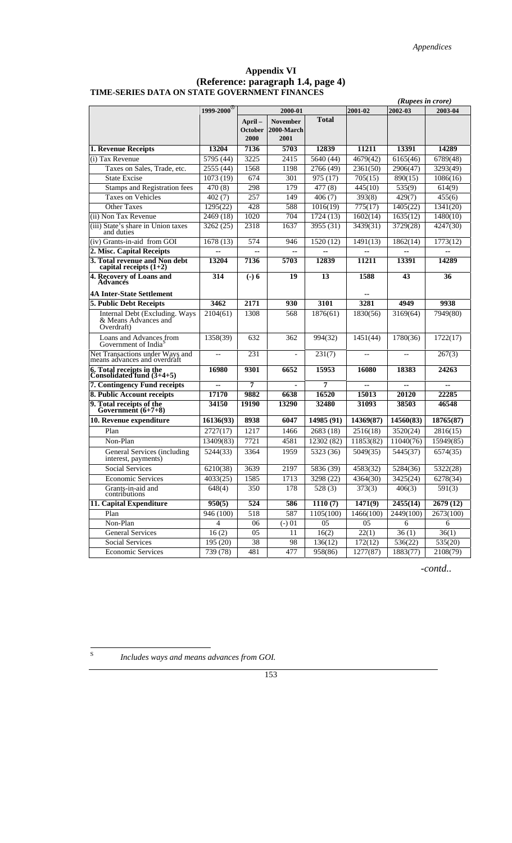#### **Appendix VI (Reference: paragraph 1.4, page 4) TIME-SERIES DATA ON STATE GOVERNMENT FINANCES**

|                                                                      |                        |                            |                                       |                       |           | (Rupees in crore) |                     |
|----------------------------------------------------------------------|------------------------|----------------------------|---------------------------------------|-----------------------|-----------|-------------------|---------------------|
|                                                                      | 1999-2000 <sup>8</sup> |                            | 2000-01                               |                       | 2001-02   | 2002-03           | 2003-04             |
|                                                                      |                        | April –<br>October<br>2000 | <b>November</b><br>2000-March<br>2001 | <b>Total</b>          |           |                   |                     |
| 1. Revenue Receipts                                                  | 13204                  | 7136                       | 5703                                  | 12839                 | 11211     | 13391             | 14289               |
| (i) Tax Revenue                                                      | 5795 (44)              | 3225                       | 2415                                  | 5640 (44)             | 4679(42)  | 6165(46)          | 6789(48)            |
| Taxes on Sales, Trade, etc.                                          | 2555 (44)              | 1568                       | 1198                                  | 2766 (49)             | 2361(50)  | 2906(47)          | 3293(49)            |
| <b>State Excise</b>                                                  | 1073 (19)              | 674                        | 301                                   | 975 (17)              | 705(15)   | 890(15)           | 1086(16)            |
| <b>Stamps and Registration fees</b>                                  | 470(8)                 | 298                        | 179                                   | 477(8)                | 445(10)   | 535(9)            | 614(9)              |
| <b>Taxes on Vehicles</b>                                             | 402(7)                 | 257                        | 149                                   | 406(7)                | 393(8)    | 429(7)            | 455(6)              |
| <b>Other Taxes</b>                                                   | 1295(22)               | 428                        | 588                                   | 1016(19)              | 775(17)   | 1405(22)          | 1341(20)            |
| (ii) Non Tax Revenue                                                 | 2469 (18)              | 1020                       | 704                                   | $\overline{1724(13)}$ | 1602(14)  | 1635(12)          | 1480(10)            |
| (iii) State's share in Union taxes<br>and duties                     | 3262 (25)              | 2318                       | 1637                                  | 3955 (31)             | 3439(31)  | 3729(28)          | 4247(30)            |
| (iv) Grants-in-aid from GOI                                          | 1678(13)               | 574                        | 946                                   | 1520(12)              | 1491(13)  | 1862(14)          | 1773(12)            |
| 2. Misc. Capital Receipts                                            |                        |                            |                                       |                       |           |                   |                     |
| 3. Total revenue and Non debt capital receipts $(1+2)$               | 13204                  | 7136                       | 5703                                  | 12839                 | 11211     | 13391             | 14289               |
| 4. Recovery of Loans and<br><b>Advances</b>                          | 314                    | $(-) 6$                    | 19                                    | 13                    | 1588      | 43                | 36                  |
| <b>4A Inter-State Settlement</b>                                     |                        |                            |                                       |                       |           |                   |                     |
| 5. Public Debt Receipts                                              | 3462                   | 2171                       | 930                                   | 3101                  | 3281      | 4949              | 9938                |
| Internal Debt (Excluding. Ways<br>& Means Advances and<br>Overdraft) | 2104(61)               | 1308                       | 568                                   | 1876(61)              | 1830(56)  | 3169(64)          | 7949(80)            |
| Loans and Advances from<br>Government of India <sup>S</sup>          | 1358(39)               | 632                        | 362                                   | 994(32)               | 1451(44)  | 1780(36)          | 1722(17)            |
| Net Transactions under Ways and<br>means advances and overdraft      | $\overline{a}$         | 231                        |                                       | 231(7)                | $-$       |                   | 267(3)              |
| 6. Total receipts in the<br>Consolidated fund $(3+4+5)$              | 16980                  | 9301                       | 6652                                  | 15953                 | 16080     | 18383             | 24263               |
| 7. Contingency Fund receipts                                         | $\overline{a}$         | 7                          |                                       | 7                     | --        | --                | --                  |
| 8. Public Account receipts                                           | 17170                  | 9882                       | 6638                                  | 16520                 | 15013     | 20120             | 22285               |
| 9. Total receipts of the<br>Government (6+7+8)                       | 34150                  | 19190                      | 13290                                 | 32480                 | 31093     | 38503             | 46548               |
| 10. Revenue expenditure                                              | 16136(93)              | 8938                       | 6047                                  | 14985 (91)            | 14369(87) | 14560(83)         | 18765(87)           |
| Plan                                                                 | 2727(17)               | 1217                       | 1466                                  | 2683 (18)             | 2516(18)  | 3520(24)          | 2816(15)            |
| Non-Plan                                                             | 13409(83)              | 7721                       | 4581                                  | 12302 (82)            | 11853(82) | 11040(76)         | 15949(85)           |
| General Services (including<br>interest, payments)                   | 5244(33)               | 3364                       | 1959                                  | 5323 (36)             | 5049(35)  | 5445(37)          | 6574(35)            |
| <b>Social Services</b>                                               | 6210(38)               | 3639                       | 2197                                  | 5836 (39)             | 4583(32)  | 5284(36)          | 5322(28)            |
| <b>Economic Services</b>                                             | 4033(25)               | 1585                       | 1713                                  | 3298 (22)             | 4364(30)  | 3425(24)          | 6278(34)            |
| Grants-in-aid and<br>contributions                                   | 648(4)                 | 350                        | 178                                   | 528(3)                | 373(3)    | 406(3)            | $\overline{591(3)}$ |
| 11. Capital Expenditure                                              | 950(5)                 | 524                        | 586                                   | 1110(7)               | 1471(9)   | 2455(14)          | 2679(12)            |
| Plan                                                                 | 946 (100)              | 518                        | 587                                   | 1105(100)             | 1466(100) | 2449(100)         | 2673(100)           |
| Non-Plan                                                             | $\overline{4}$         | 06                         | $(-) 01$                              | 05                    | 05        | 6                 | 6                   |
| General Services                                                     | 16(2)                  | 05                         | 11                                    | 16(2)                 | 22(1)     | 36(1)             | 36(1)               |
| Social Services                                                      | 195(20)                | 38                         | 98                                    | 136(12)               | 172(12)   | 536(22)           | 535(20)             |
| <b>Economic Services</b>                                             | 739(78)                | 481                        | 477                                   | 958(86)               | 1277(87)  | 1883(77)          | 2108(79)            |

*-contd..* 

 $\overline{\mathbf{s}}$ 

Includes ways and means advances from GOI.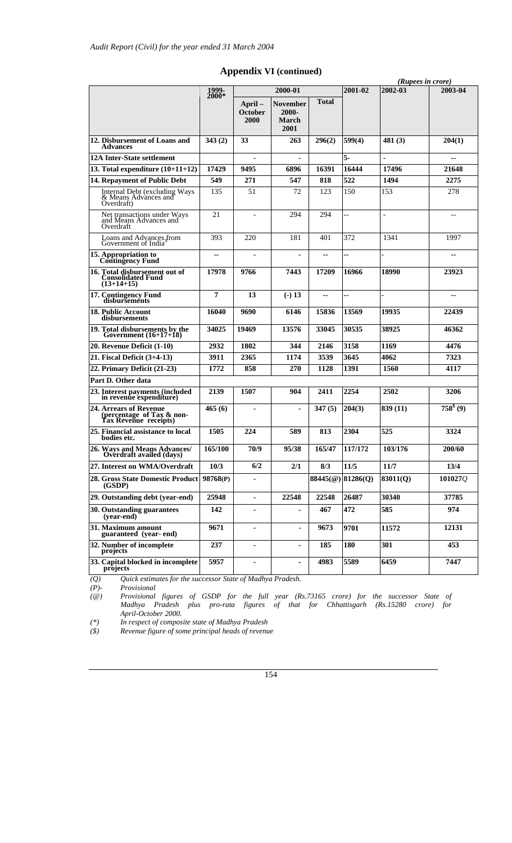|                                                                              |                |                                  |                                           |              |                   |                    | (Rupees in crore)    |
|------------------------------------------------------------------------------|----------------|----------------------------------|-------------------------------------------|--------------|-------------------|--------------------|----------------------|
|                                                                              | 1999-<br>2000* |                                  | 2000-01                                   |              | 2001-02           | 2002-03            | 2003-04              |
|                                                                              |                | April-<br><b>October</b><br>2000 | November<br>2000-<br><b>March</b><br>2001 | <b>Total</b> |                   |                    |                      |
| 12. Disbursement of Loans and<br><b>Advances</b>                             | 343(2)         | 33                               | 263                                       | 296(2)       | 599(4)            | 481 (3)            | 204(1)               |
| 12A Inter-State settlement                                                   |                |                                  |                                           |              | 5.                |                    | ۰.                   |
| 13. Total expenditure $(10+11+12)$                                           | 17429          | 9495                             | 6896                                      | 16391        | 16444             | 17496              | 21648                |
| 14. Repayment of Public Debt                                                 | 549            | 271                              | 547                                       | 818          | 522               | 1494               | 2275                 |
| Internal Debt (excluding Ways<br>& Means Advances and<br>Overdraft)          | 135            | 51                               | 72                                        | 123          | 150               | 153                | 278                  |
| Net transactions under Ways<br>and Means Advances and<br>Overdraft           | 21             | $\overline{a}$                   | 294                                       | 294          | Щ.                | $\overline{a}$     | $-$                  |
| Loans and Advances from<br>Government of India <sup>5</sup>                  | 393            | 220                              | 181                                       | 401          | 372               | 1341               | 1997                 |
| 15. Appropriation to<br><b>Contingency Fund</b>                              | $\sim$         | $\overline{\phantom{a}}$         |                                           |              | u.                |                    | --                   |
| 16. Total disbursement out of<br><b>Consolidated Fund</b><br>$(13+14+15)$    | 17978          | 9766                             | 7443                                      | 17209        | 16966             | 18990              | 23923                |
| <b>17. Contingency Fund<br/>disbursements</b>                                | 7              | 13                               | $(-) 13$                                  | --           | ш,                |                    | $\sim$               |
| 18. Public Account<br>disbursements                                          | 16040          | 9690                             | 6146                                      | 15836        | 13569             | 19935              | 22439                |
| 19. Total disbursements by the Government $(16+17+18)$                       | 34025          | 19469                            | 13576                                     | 33045        | 30535             | 38925              | 46362                |
| 20. Revenue Deficit (1-10)                                                   | 2932           | 1802                             | 344                                       | 2146         | 3158              | 1169               | 4476                 |
| 21. Fiscal Deficit (3+4-13)                                                  | 3911           | 2365                             | 1174                                      | 3539         | 3645              | 4062               | 7323                 |
| 22. Primary Deficit (21-23)                                                  | 1772           | 858                              | 270                                       | 1128         | 1391              | 1560               | 4117                 |
| Part D. Other data                                                           |                |                                  |                                           |              |                   |                    |                      |
| 23. Interest payments (included<br>in revenue expenditure)                   | 2139           | 1507                             | 904                                       | 2411         | 2254              | 2502               | 3206                 |
| 24. Arrears of Revenue<br>(percentage of Tax & non-<br>Tax Revenue receipts) | 465(6)         |                                  |                                           | 347(5)       | 204(3)            | 839 (11)           | 758 <sup>§</sup> (9) |
| 25. Financial assistance to local<br>bodies etc.                             | 1505           | 224                              | 589                                       | 813          | 2304              | 525                | 3324                 |
| 26. Ways and Means Advances/<br><b>Overdraft availed (days)</b>              | 165/100        | 70/9                             | 95/38                                     | 165/47       | 117/172           | 103/176            | 200/60               |
| 27. Interest on WMA/Overdraft                                                | 10/3           | 6/2                              | 2/1                                       | 8/3          | 11/5              | 11/7               | 13/4                 |
| 28. Gross State Domestic Product<br>(GSDP)                                   | 98768(P)       | $\blacksquare$                   |                                           |              | 88445(@) 81286(Q) | 83011(Q)           | 1010270              |
| 29. Outstanding debt (year-end)                                              | 25948          | $\blacksquare$                   | 22548                                     | 22548        | 26487             | 30340              | 37785                |
| 30. Outstanding guarantees<br>(year-end)                                     | 142            | ٠                                |                                           | 467          | 472               | 585                | 974                  |
| 31. Maximum amount<br>guaranteed (year-end)                                  | 9671           | $\blacksquare$                   | $\blacksquare$                            | 9673         | 9701              | 11572              | 12131                |
| 32. Number of incomplete<br>projects                                         | 237            | $\blacksquare$                   | $\blacksquare$                            | 185          | 180               | 301                | 453                  |
| 33. Capital blocked in incomplete<br>projects                                | 5957           | $\blacksquare$                   | $\blacksquare$                            | 4983         | 5589              | $\overline{6}$ 459 | 7447                 |

### **Appendix VI (continued)**

*(Q) Quick estimates for the successor State of Madhya Pradesh.* 

*(P)- Provisional* 

*(@) Provisional figures of GSDP for the full year (Rs.73165 crore) for the successor State of Madhya Pradesh plus pro-rata figures of that for Chhattisgarh (Rs.15280 crore) for April-October 2000.*<br>
<sup>(\*)</sup> In respect of compos<br>
(\$) Revenue figure of som

*(\*) In respect of composite state of Madhya Pradesh* 

*(\$) Revenue figure of some principal heads of revenue*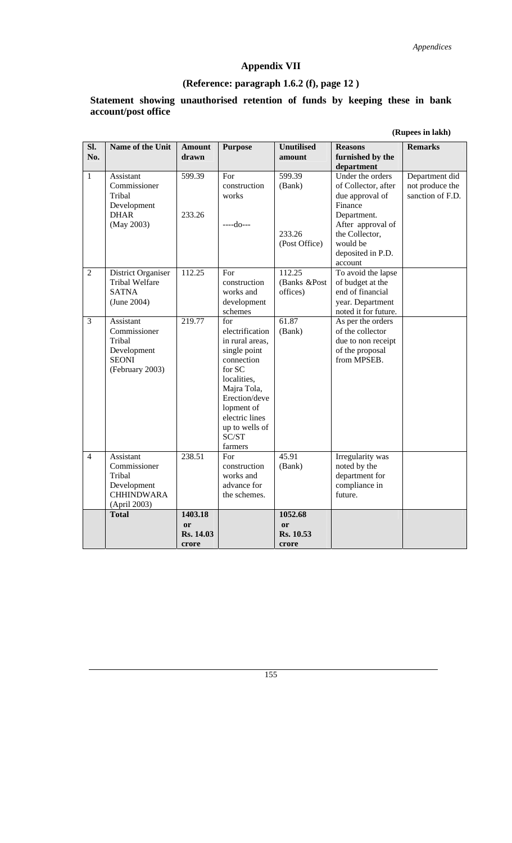## **Appendix VII**

## **(Reference: paragraph 1.6.2 (f), page 12 )**

#### **Statement showing unauthorised retention of funds by keeping these in bank account/post office**

|  | (Rupees in lakh) |  |
|--|------------------|--|
|--|------------------|--|

| SI.            | Name of the Unit          | <b>Amount</b> | <b>Purpose</b>  | <b>Unutilised</b> | <b>Reasons</b>                        | <b>Remarks</b>   |
|----------------|---------------------------|---------------|-----------------|-------------------|---------------------------------------|------------------|
| No.            |                           | drawn         |                 | amount            | furnished by the                      |                  |
|                |                           |               |                 |                   | department                            |                  |
| $\mathbf{1}$   | Assistant                 | 599.39        | For             | 599.39            | Under the orders                      | Department did   |
|                | Commissioner              |               | construction    | (Bank)            | of Collector, after                   | not produce the  |
|                | Tribal<br>Development     |               | works           |                   | due approval of<br>Finance            | sanction of F.D. |
|                | <b>DHAR</b>               | 233.26        |                 |                   | Department.                           |                  |
|                | (May 2003)                |               | $---do---$      |                   | After approval of                     |                  |
|                |                           |               |                 | 233.26            | the Collector,                        |                  |
|                |                           |               |                 | (Post Office)     | would be                              |                  |
|                |                           |               |                 |                   | deposited in P.D.                     |                  |
|                |                           |               |                 |                   | account                               |                  |
| $\overline{2}$ | District Organiser        | 112.25        | For             | 112.25            | To avoid the lapse                    |                  |
|                | <b>Tribal Welfare</b>     |               | construction    | (Banks &Post      | of budget at the                      |                  |
|                | <b>SATNA</b>              |               | works and       | offices)          | end of financial                      |                  |
|                | (June 2004)               |               | development     |                   | year. Department                      |                  |
|                |                           |               | schemes<br>for  |                   | noted it for future.                  |                  |
| 3              | Assistant<br>Commissioner | 219.77        | electrification | 61.87<br>(Bank)   | As per the orders<br>of the collector |                  |
|                | Tribal                    |               | in rural areas, |                   | due to non receipt                    |                  |
|                | Development               |               | single point    |                   | of the proposal                       |                  |
|                | <b>SEONI</b>              |               | connection      |                   | from MPSEB.                           |                  |
|                | (February 2003)           |               | for SC          |                   |                                       |                  |
|                |                           |               | localities,     |                   |                                       |                  |
|                |                           |               | Majra Tola,     |                   |                                       |                  |
|                |                           |               | Erection/deve   |                   |                                       |                  |
|                |                           |               | lopment of      |                   |                                       |                  |
|                |                           |               | electric lines  |                   |                                       |                  |
|                |                           |               | up to wells of  |                   |                                       |                  |
|                |                           |               | SC/ST           |                   |                                       |                  |
| $\overline{4}$ | Assistant                 | 238.51        | farmers<br>For  | 45.91             | Irregularity was                      |                  |
|                | Commissioner              |               | construction    | (Bank)            | noted by the                          |                  |
|                | Tribal                    |               | works and       |                   | department for                        |                  |
|                | Development               |               | advance for     |                   | compliance in                         |                  |
|                | <b>CHHINDWARA</b>         |               | the schemes.    |                   | future.                               |                  |
|                | (April 2003)              |               |                 |                   |                                       |                  |
|                | <b>Total</b>              | 1403.18       |                 | 1052.68           |                                       |                  |
|                |                           | <sub>or</sub> |                 | <sub>or</sub>     |                                       |                  |
|                |                           | Rs. 14.03     |                 | Rs. 10.53         |                                       |                  |
|                |                           | crore         |                 | crore             |                                       |                  |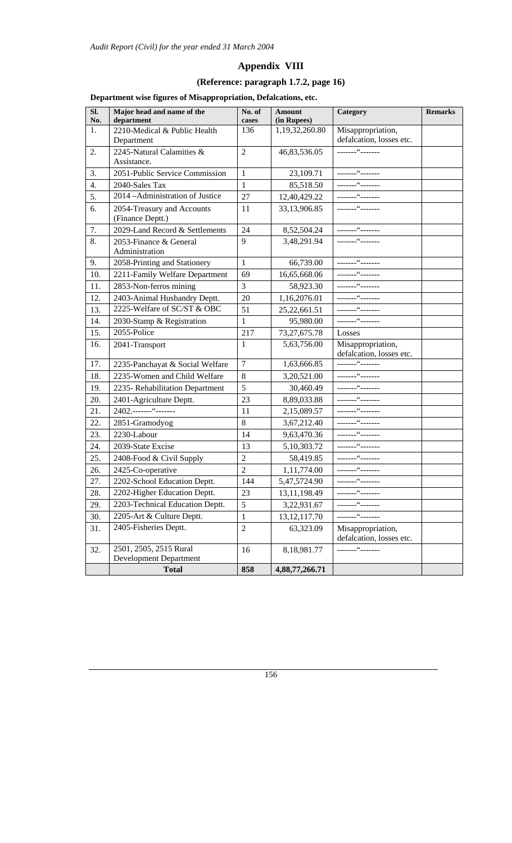## **Appendix VIII**

## **(Reference: paragraph 1.7.2, page 16)**

## **Department wise figures of Misappropriation, Defalcations, etc.**

| SI.<br>No. | Major head and name of the<br>department                | No. of<br>cases | Amount<br>(in Rupees) | Category                                      | <b>Remarks</b> |
|------------|---------------------------------------------------------|-----------------|-----------------------|-----------------------------------------------|----------------|
| 1.         | 2210-Medical & Public Health<br>Department              | 136             | 1,19,32,260.80        | Misappropriation,<br>defalcation, losses etc. |                |
| 2.         | 2245-Natural Calamities &<br>Assistance.                | $\overline{2}$  | 46,83,536.05          |                                               |                |
| 3.         | 2051-Public Service Commission                          | $\mathbf{1}$    | 23,109.71             |                                               |                |
| 4.         | 2040-Sales Tax                                          | $\mathbf{1}$    | 85,518.50             |                                               |                |
| 5.         | 2014 - Administration of Justice                        | 27              | 12,40,429.22          | -------"-------                               |                |
| 6.         | 2054-Treasury and Accounts<br>(Finance Deptt.)          | 11              | 33,13,906.85          | -------"-------                               |                |
| 7.         | 2029-Land Record & Settlements                          | 24              | 8,52,504.24           | -------"-------                               |                |
| 8.         | 2053-Finance & General<br>Administration                | 9               | 3,48,291.94           | -------"-------                               |                |
| 9.         | 2058-Printing and Stationery                            | $\mathbf{1}$    | 66,739.00             |                                               |                |
| 10.        | 2211-Family Welfare Department                          | 69              | 16,65,668.06          |                                               |                |
| 11.        | 2853-Non-ferros mining                                  | 3               | 58,923.30             |                                               |                |
| 12.        | 2403-Animal Husbandry Deptt.                            | 20              | 1,16,2076.01          | -------"-------                               |                |
| 13.        | 2225-Welfare of SC/ST & OBC                             | 51              | 25, 22, 661. 51       | --------"-------                              |                |
| 14.        | 2030-Stamp & Registration                               | 1               | 95,980.00             |                                               |                |
| 15.        | 2055-Police                                             | 217             | 73, 27, 675. 78       | Losses                                        |                |
| 16.        | 2041-Transport                                          | 1               | 5,63,756.00           | Misappropriation,<br>defalcation, losses etc. |                |
| 17.        | 2235-Panchayat & Social Welfare                         | $\tau$          | 1,63,666.85           |                                               |                |
| 18.        | 2235-Women and Child Welfare                            | 8               | 3,20,521.00           | -------"-------                               |                |
| 19.        | 2235- Rehabilitation Department                         | 5               | 30,460.49             |                                               |                |
| 20.        | 2401-Agriculture Deptt.                                 | 23              | 8,89,033.88           |                                               |                |
| 21.        | 2402.-------"--------                                   | 11              | 2,15,089.57           |                                               |                |
| 22.        | 2851-Gramodyog                                          | 8               | 3,67,212.40           |                                               |                |
| 23.        | 2230-Labour                                             | 14              | 9,63,470.36           |                                               |                |
| 24.        | 2039-State Excise                                       | 13              | 5,10,303.72           |                                               |                |
| 25.        | 2408-Food & Civil Supply                                | $\overline{2}$  | 58,419.85             |                                               |                |
| 26.        | 2425-Co-operative                                       | $\overline{2}$  | 1,11,774.00           |                                               |                |
| 27.        | 2202-School Education Deptt.                            | 144             | 5,47,5724.90          | ________"_______                              |                |
| 28.        | 2202-Higher Education Deptt.                            | 23              | 13,11,198.49          | ________"_______                              |                |
| 29.        | 2203-Technical Education Deptt.                         | 5               | 3,22,931.67           | -------"-------                               |                |
| 30.        | 2205-Art & Culture Deptt.                               | 1               | 13, 12, 117. 70       |                                               |                |
| 31.        | 2405-Fisheries Deptt.                                   | $\overline{2}$  | 63,323.09             | Misappropriation,<br>defalcation, losses etc. |                |
| 32.        | 2501, 2505, 2515 Rural<br><b>Development Department</b> | 16              | 8,18,981.77           | ________"________                             |                |
|            | <b>Total</b>                                            | 858             | 4,88,77,266.71        |                                               |                |
|            |                                                         |                 |                       |                                               |                |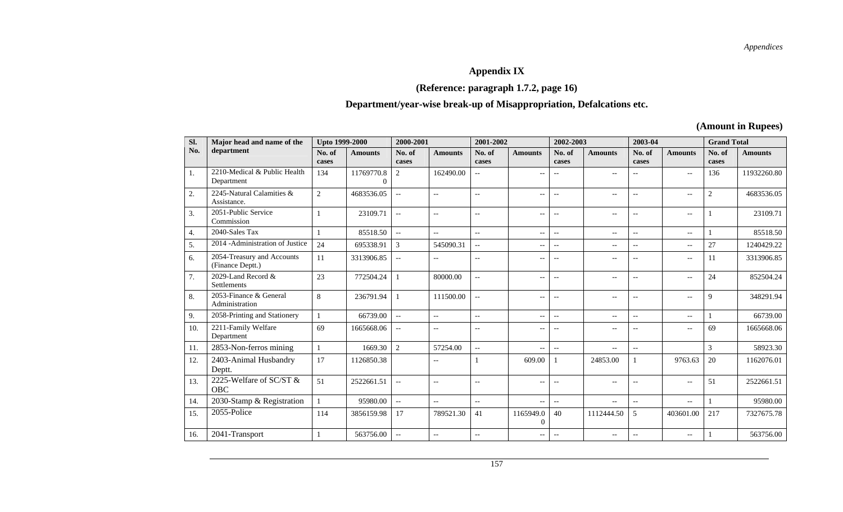*Appendices* 

## **Appendix IX**

## **(Reference: paragraph 1.7.2, page 16)**

## **Department/year-wise break-up of Misappropriation, Defalcations etc.**

**(Amount in Rupees)** 

| Sl. | Major head and name of the                     | <b>Upto 1999-2000</b> |                            | 2000-2001                 |                                                     | 2001-2002       |                             | 2002-2003                |                   | 2003-04                                             |                                                     | <b>Grand Total</b> |                |
|-----|------------------------------------------------|-----------------------|----------------------------|---------------------------|-----------------------------------------------------|-----------------|-----------------------------|--------------------------|-------------------|-----------------------------------------------------|-----------------------------------------------------|--------------------|----------------|
| No. | department                                     | No. of<br>cases       | <b>Amounts</b>             | No. of<br>cases           | <b>Amounts</b>                                      | No. of<br>cases | <b>Amounts</b>              | No. of<br>cases          | <b>Amounts</b>    | No. of<br>cases                                     | <b>Amounts</b>                                      | No. of<br>cases    | <b>Amounts</b> |
| 1.  | 2210-Medical & Public Health<br>Department     | 134                   | 11769770.8<br>$\mathbf{0}$ | 2                         | 162490.00                                           | $\overline{a}$  | $\overline{\phantom{a}}$    |                          | $-$               | $-$                                                 | $\overline{\phantom{a}}$                            | 136                | 11932260.80    |
| 2.  | 2245-Natural Calamities &<br>Assistance.       | $\overline{2}$        | 4683536.05                 | $\overline{a}$            | $-$                                                 | $-$             | $\overline{\phantom{a}}$    | $-$                      | $-$               | $-$                                                 | $\overline{\phantom{a}}$                            | 2                  | 4683536.05     |
| 3.  | 2051-Public Service<br>Commission              |                       | 23109.71                   | $\overline{\phantom{a}}$  | $-$                                                 | $-$             | $\overline{\phantom{a}}$    | $\qquad \qquad -$        | $-$               | $\sim$                                              | $\overline{\phantom{a}}$                            |                    | 23109.71       |
| 4.  | 2040-Sales Tax                                 |                       | 85518.50                   | $\mathbb{L}^{\mathbb{L}}$ | $\overline{\phantom{a}}$                            | $-$             | $\overline{\phantom{a}}$    | $\qquad \qquad -$        | $\qquad \qquad -$ | $\overline{\phantom{a}}$                            | $\overline{\phantom{a}}$                            |                    | 85518.50       |
| 5.  | 2014 - Administration of Justice               | 24                    | 695338.91                  | 3                         | 545090.31                                           | $-$             | $-$                         | $\overline{\phantom{a}}$ | $-$               | $\overline{a}$                                      | $\overline{\phantom{a}}$                            | 27                 | 1240429.22     |
| 6.  | 2054-Treasury and Accounts<br>(Finance Deptt.) | 11                    | 3313906.85                 | $\overline{\phantom{a}}$  | $\overline{\phantom{a}}$                            | $-$             | $\overline{\phantom{m}}$    | $-$                      | $-$               | $-$                                                 | $\hspace{0.05cm} -\hspace{0.05cm} -\hspace{0.05cm}$ | 11                 | 3313906.85     |
| 7.  | 2029-Land Record &<br>Settlements              | 23                    | 772504.24                  |                           | 80000.00                                            | $-$             | $\overline{\phantom{a}}$    | $-$                      | $-$               | $-$                                                 | $\overline{\phantom{a}}$                            | 24                 | 852504.24      |
| 8.  | 2053-Finance & General<br>Administration       | 8                     | 236791.94                  |                           | 111500.00                                           | $\overline{a}$  | $\overline{\phantom{a}}$    | $\qquad \qquad -$        | $-$               | $\overline{\phantom{a}}$                            | $\hspace{0.05cm} -\hspace{0.05cm} -\hspace{0.05cm}$ | 9                  | 348291.94      |
| 9.  | 2058-Printing and Stationery                   |                       | 66739.00                   | $\mathbb{L}^{\mathbb{L}}$ | $\overline{\phantom{a}}$                            | $-$             | $\overline{\phantom{a}}$    | $\qquad \qquad -$        | $-$               | $\overline{\phantom{a}}$                            | $\overline{\phantom{a}}$                            |                    | 66739.00       |
| 10. | 2211-Family Welfare<br>Department              | 69                    | 1665668.06                 | $\overline{\phantom{a}}$  | $\overline{\phantom{a}}$                            | $-$             | $\overline{\phantom{a}}$    | $-$                      | $\qquad \qquad -$ | $\overline{\phantom{a}}$                            | $\overline{\phantom{a}}$                            | 69                 | 1665668.06     |
| 11. | 2853-Non-ferros mining                         |                       | 1669.30                    | $\overline{2}$            | 57254.00                                            | $\overline{a}$  | $\overline{\phantom{a}}$    | $\overline{a}$           | $-$               | $\hspace{0.05cm} -\hspace{0.05cm} -\hspace{0.05cm}$ |                                                     | 3                  | 58923.30       |
| 12. | 2403-Animal Husbandry<br>Deptt.                | 17                    | 1126850.38                 |                           | $\sim$                                              |                 | 609.00                      |                          | 24853.00          | $\mathbf{1}$                                        | 9763.63                                             | 20                 | 1162076.01     |
| 13. | 2225-Welfare of SC/ST &<br><b>OBC</b>          | 51                    | 2522661.51                 | $\overline{\phantom{a}}$  | $\hspace{0.05cm} -\hspace{0.05cm} -\hspace{0.05cm}$ | $-$             | $\overline{\phantom{a}}$    | $\overline{\phantom{m}}$ | $-$               | $\overline{\phantom{a}}$                            | $\hspace{0.05cm} -\hspace{0.05cm} -\hspace{0.05cm}$ | 51                 | 2522661.51     |
| 14. | 2030-Stamp & Registration                      |                       | 95980.00                   | $\overline{\phantom{a}}$  | $-$                                                 | $-$             | $\overline{\phantom{a}}$    | $\qquad \qquad -$        | $-$               | $-$                                                 | $\overline{\phantom{a}}$                            |                    | 95980.00       |
| 15. | 2055-Police                                    | 114                   | 3856159.98                 | 17                        | 789521.30                                           | 41              | 1165949.0<br>$\overline{0}$ | 40                       | 1112444.50        | 5                                                   | 403601.00                                           | 217                | 7327675.78     |
| 16. | 2041-Transport                                 |                       | 563756.00                  | $\overline{\phantom{a}}$  | $\overline{\phantom{a}}$                            | $-$             | $\overline{\phantom{a}}$    | $\overline{\phantom{m}}$ | $--$              | $-$                                                 | $\overline{\phantom{a}}$                            |                    | 563756.00      |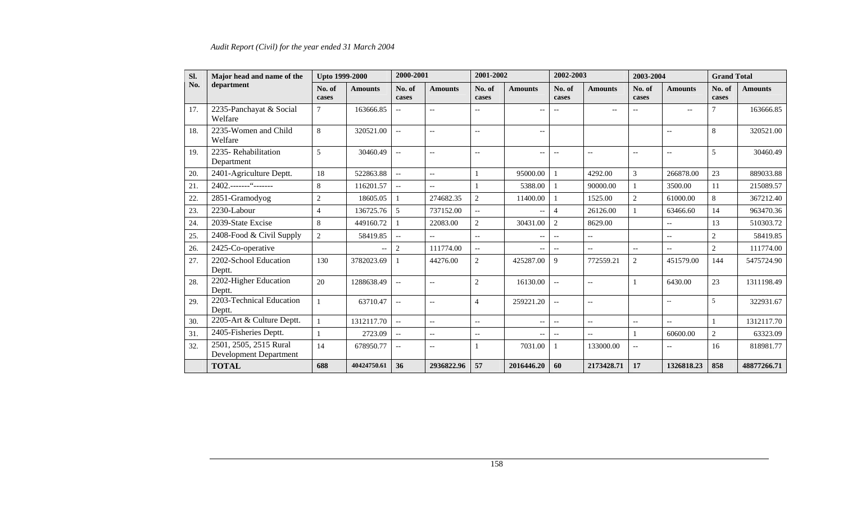### *Audit Report (Civil) for the year ended 31 March 2004*

| Sl.<br>Major head and name of the |                                                         | <b>Upto 1999-2000</b> |                | 2000-2001                |                                                     | 2001-2002                |                                                     | 2002-2003                                           |                          | 2003-2004                |                          | <b>Grand Total</b> |                |
|-----------------------------------|---------------------------------------------------------|-----------------------|----------------|--------------------------|-----------------------------------------------------|--------------------------|-----------------------------------------------------|-----------------------------------------------------|--------------------------|--------------------------|--------------------------|--------------------|----------------|
| No.                               | department                                              | No. of<br>cases       | <b>Amounts</b> | No. of<br>cases          | <b>Amounts</b>                                      | No. of<br>cases          | <b>Amounts</b>                                      | No. of<br>cases                                     | <b>Amounts</b>           | No. of<br>cases          | <b>Amounts</b>           | No. of<br>cases    | <b>Amounts</b> |
| 17.                               | 2235-Panchayat & Social<br>Welfare                      | $\overline{7}$        | 163666.85      |                          | $-$                                                 | $\overline{\phantom{m}}$ | $\overline{\phantom{a}}$                            |                                                     | $-$                      |                          | $\overline{\phantom{m}}$ | $\overline{7}$     | 163666.85      |
| 18.                               | 2235-Women and Child<br>Welfare                         | 8                     | 320521.00      | $\overline{\phantom{a}}$ | $\overline{\phantom{a}}$                            | $\overline{\phantom{a}}$ | $\overline{\phantom{a}}$                            |                                                     |                          |                          | $\overline{\phantom{a}}$ | 8                  | 320521.00      |
| 19.                               | 2235-Rehabilitation<br>Department                       | 5                     | 30460.49       | $\overline{a}$           | $\overline{\phantom{a}}$                            | $\overline{\phantom{a}}$ | $\overline{\phantom{a}}$                            | $-$                                                 | $\overline{\phantom{a}}$ | $\overline{\phantom{a}}$ | $\overline{\phantom{a}}$ | 5                  | 30460.49       |
| 20.                               | 2401-Agriculture Deptt.                                 | 18                    | 522863.88      | $\overline{\phantom{a}}$ | $\overline{a}$                                      |                          | 95000.00                                            |                                                     | 4292.00                  | 3                        | 266878.00                | 23                 | 889033.88      |
| 21.                               | 2402.-------"--------                                   | 8                     | 116201.57      | $-$                      | $\overline{\phantom{a}}$                            |                          | 5388.00                                             |                                                     | 90000.00                 |                          | 3500.00                  | 11                 | 215089.57      |
| 22.                               | 2851-Gramodyog                                          | $\overline{2}$        | 18605.05       |                          | 274682.35                                           | $\overline{c}$           | 11400.00                                            |                                                     | 1525.00                  | $\overline{2}$           | 61000.00                 | $\,8\,$            | 367212.40      |
| 23.                               | 2230-Labour                                             | $\overline{4}$        | 136725.76      | 5                        | 737152.00                                           | $\overline{\phantom{a}}$ | $\overline{\phantom{a}}$                            | $\overline{4}$                                      | 26126.00                 |                          | 63466.60                 | 14                 | 963470.36      |
| 24.                               | 2039-State Excise                                       | 8                     | 449160.72      |                          | 22083.00                                            | $\overline{2}$           | 30431.00                                            | 2                                                   | 8629.00                  |                          | $-$                      | 13                 | 510303.72      |
| 25.                               | 2408-Food & Civil Supply                                | $\overline{2}$        | 58419.85       | $-$                      | $- -$                                               | $\overline{\phantom{a}}$ | $\hspace{0.05cm} -\hspace{0.05cm} -\hspace{0.05cm}$ | $-$                                                 | $-$                      |                          | $\overline{\phantom{a}}$ | $\overline{2}$     | 58419.85       |
| 26.                               | 2425-Co-operative                                       |                       |                | 2                        | 111774.00                                           | $\overline{\phantom{a}}$ | $\overline{\phantom{a}}$                            | $\overline{\phantom{a}}$                            | $\overline{\phantom{a}}$ | $\overline{\phantom{a}}$ | $\overline{\phantom{a}}$ | $\sqrt{2}$         | 111774.00      |
| 27.                               | 2202-School Education<br>Deptt.                         | 130                   | 3782023.69     |                          | 44276.00                                            | $\overline{2}$           | 425287.00                                           | $\mathbf{Q}$                                        | 772559.21                | $\overline{2}$           | 451579.00                | 144                | 5475724.90     |
| 28.                               | 2202-Higher Education<br>Deptt.                         | 20                    | 1288638.49     | $-$                      | $-$                                                 | $\overline{2}$           | 16130.00                                            | $\overline{\phantom{a}}$                            | $\overline{\phantom{a}}$ |                          | 6430.00                  | 23                 | 1311198.49     |
| 29.                               | 2203-Technical Education<br>Deptt.                      |                       | 63710.47       | $\overline{a}$           | $\hspace{0.05cm} -\hspace{0.05cm} -\hspace{0.05cm}$ | $\overline{4}$           | 259221.20                                           | $\overline{\phantom{a}}$                            | $\overline{\phantom{m}}$ |                          | $\sim$ $\sim$            | 5                  | 322931.67      |
| 30.                               | 2205-Art & Culture Deptt.                               |                       | 1312117.70     | $\overline{a}$           | $\overline{\phantom{a}}$                            | $\overline{\phantom{a}}$ | $\overline{\phantom{m}}$                            | $\hspace{0.05cm} -\hspace{0.05cm} -\hspace{0.05cm}$ | $\overline{a}$           | $\overline{\phantom{a}}$ | $\overline{a}$           | $\mathbf{1}$       | 1312117.70     |
| 31.                               | 2405-Fisheries Deptt.                                   |                       | 2723.09        | $\overline{\phantom{a}}$ | $\overline{a}$                                      | $\overline{\phantom{a}}$ | $\overline{\phantom{a}}$                            | $\overline{\phantom{a}}$                            | $\overline{\phantom{a}}$ |                          | 60600.00                 | $\sqrt{2}$         | 63323.09       |
| 32.                               | 2501, 2505, 2515 Rural<br><b>Development Department</b> | 14                    | 678950.77      | $-$                      | $\overline{\phantom{a}}$                            |                          | 7031.00                                             |                                                     | 133000.00                | $\overline{\phantom{m}}$ | $\overline{\phantom{a}}$ | 16                 | 818981.77      |
|                                   | <b>TOTAL</b>                                            | 688                   | 40424750.61    | 36                       | 2936822.96                                          | 57                       | 2016446.20                                          | 60                                                  | 2173428.71               | 17                       | 1326818.23               | 858                | 48877266.71    |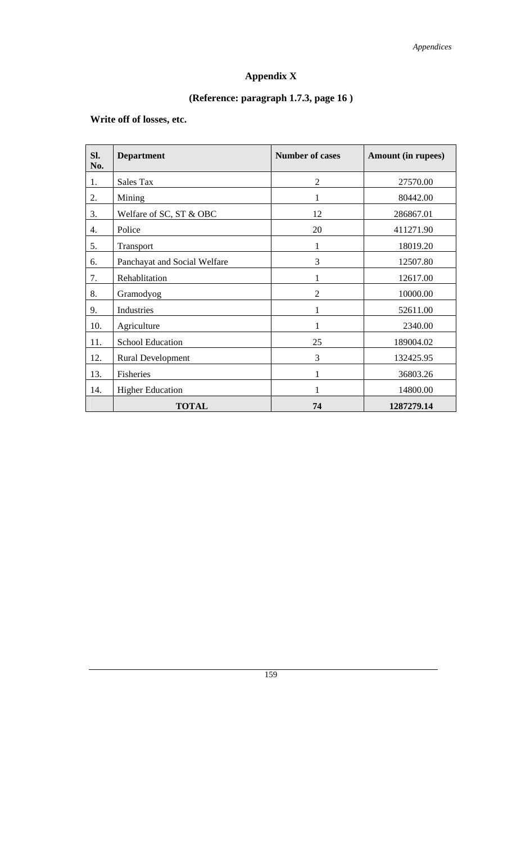# **Appendix X**

# **(Reference: paragraph 1.7.3, page 16 )**

## **Write off of losses, etc.**

| Sl.<br>No. | <b>Department</b>            | <b>Number of cases</b> | <b>Amount (in rupees)</b> |
|------------|------------------------------|------------------------|---------------------------|
| 1.         | Sales Tax                    | $\overline{2}$         | 27570.00                  |
| 2.         | Mining                       | 1                      | 80442.00                  |
| 3.         | Welfare of SC, ST & OBC      | 12                     | 286867.01                 |
| 4.         | Police                       | 20                     | 411271.90                 |
| 5.         | Transport                    | 1                      | 18019.20                  |
| 6.         | Panchayat and Social Welfare | 3                      | 12507.80                  |
| 7.         | Rehablitation                | 1                      | 12617.00                  |
| 8.         | Gramodyog                    | $\overline{2}$         | 10000.00                  |
| 9.         | Industries                   | 1                      | 52611.00                  |
| 10.        | Agriculture                  |                        | 2340.00                   |
| 11.        | <b>School Education</b>      | 25                     | 189004.02                 |
| 12.        | <b>Rural Development</b>     | 3                      | 132425.95                 |
| 13.        | Fisheries                    | 1                      | 36803.26                  |
| 14.        | <b>Higher Education</b>      |                        | 14800.00                  |
|            | <b>TOTAL</b>                 | 74                     | 1287279.14                |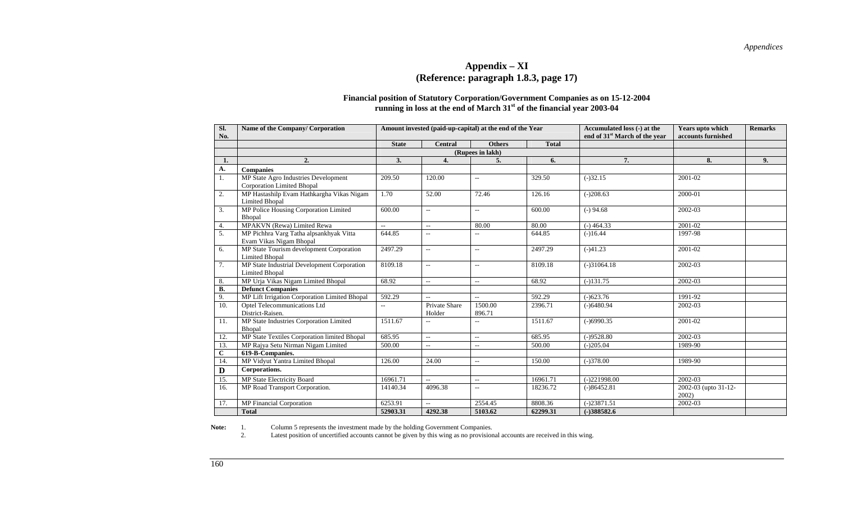#### **Appendix – XI (Reference: paragraph 1.8.3, page 17)**

#### **Financial position of Statutory Corporation/Government Companies as on 15-12-2004 running in loss at the end of March 31st of the financial year 2003-04**

| SI.<br>No.   | Name of the Company/ Corporation                                          |                | Amount invested (paid-up-capital) at the end of the Year |                          | Accumulated loss (-) at the<br>end of 31 <sup>st</sup> March of the year | Years upto which<br>accounts furnished | <b>Remarks</b>                   |    |
|--------------|---------------------------------------------------------------------------|----------------|----------------------------------------------------------|--------------------------|--------------------------------------------------------------------------|----------------------------------------|----------------------------------|----|
|              |                                                                           | <b>State</b>   | <b>Central</b>                                           | <b>Others</b>            | <b>Total</b>                                                             |                                        |                                  |    |
|              |                                                                           |                |                                                          | (Rupees in lakh)         |                                                                          |                                        |                                  |    |
| 1.           | 2.                                                                        | 3.             | $\overline{4}$ .                                         | 5.                       | 6.                                                                       | 7.                                     | 8.                               | 9. |
| A.           | <b>Companies</b>                                                          |                |                                                          |                          |                                                                          |                                        |                                  |    |
| 1.           | MP State Agro Industries Development<br><b>Corporation Limited Bhopal</b> | 209.50         | 120.00                                                   | $\overline{\phantom{a}}$ | 329.50                                                                   | $(-)32.15$                             | 2001-02                          |    |
| 2.           | MP Hastashilp Evam Hathkargha Vikas Nigam<br><b>Limited Bhopal</b>        | 1.70           | 52.00                                                    | 72.46                    | 126.16                                                                   | $(-)208.63$                            | 2000-01                          |    |
| 3.           | MP Police Housing Corporation Limited<br>Bhopal                           | 600.00         | $\overline{\phantom{a}}$                                 | $\overline{\phantom{a}}$ | 600.00                                                                   | $(-)$ 94.68                            | 2002-03                          |    |
| 4.           | MPAKVN (Rewa) Limited Rewa                                                | $\overline{a}$ | $\overline{a}$                                           | 80.00                    | 80.00                                                                    | $(-)$ 464.33                           | 2001-02                          |    |
| 5.           | MP Pichhra Varg Tatha alpsankhyak Vitta<br>Evam Vikas Nigam Bhopal        | 644.85         | $\overline{\phantom{a}}$                                 | $\overline{\phantom{a}}$ | 644.85                                                                   | $(-)16.44$                             | 1997-98                          |    |
| 6.           | MP State Tourism development Corporation<br><b>Limited Bhopal</b>         | 2497.29        | $- -$                                                    | $\overline{\phantom{a}}$ | 2497.29                                                                  | $(-)41.23$                             | 2001-02                          |    |
| 7.           | MP State Industrial Development Corporation<br><b>Limited Bhopal</b>      | 8109.18        | $\overline{\phantom{a}}$                                 | $\overline{\phantom{a}}$ | 8109.18                                                                  | $(-)31064.18$                          | 2002-03                          |    |
| 8.           | MP Urja Vikas Nigam Limited Bhopal                                        | 68.92          | $\overline{\phantom{a}}$                                 | $\overline{\phantom{a}}$ | 68.92                                                                    | $(-)131.75$                            | 2002-03                          |    |
| <b>B.</b>    | <b>Defunct Companies</b>                                                  |                |                                                          |                          |                                                                          |                                        |                                  |    |
| 9.           | MP Lift Irrigation Corporation Limited Bhopal                             | 592.29         |                                                          | $\overline{a}$           | 592.29                                                                   | $(-)623.76$                            | 1991-92                          |    |
| 10.          | Optel Telecommunications Ltd<br>District-Raisen.                          | $\overline{a}$ | Private Share<br>Holder                                  | 1500.00<br>896.71        | 2396.71                                                                  | $(-)6480.94$                           | 2002-03                          |    |
| 11.          | MP State Industries Corporation Limited<br>Bhopal                         | 1511.67        |                                                          |                          | 1511.67                                                                  | $(-)6990.35$                           | 2001-02                          |    |
| 12.          | MP State Textiles Corporation limited Bhopal                              | 685.95         | $\overline{a}$                                           | $-$                      | 685.95                                                                   | $(-)9528.80$                           | 2002-03                          |    |
| 13.          | MP Rajya Setu Nirman Nigam Limited                                        | 500.00         | $\overline{\phantom{a}}$                                 | $\overline{\phantom{a}}$ | 500.00                                                                   | $(-)205.04$                            | 1989-90                          |    |
| $\mathbf{C}$ | $619 - B$ -Companies.                                                     |                |                                                          |                          |                                                                          |                                        |                                  |    |
| 14.          | MP Vidyut Yantra Limited Bhopal                                           | 126.00         | 24.00                                                    | $\overline{\phantom{a}}$ | 150.00                                                                   | $(-)378.00$                            | 1989-90                          |    |
| D            | Corporations.                                                             |                |                                                          |                          |                                                                          |                                        |                                  |    |
| 15.          | MP State Electricity Board                                                | 16961.71       |                                                          | $\overline{a}$           | 16961.71                                                                 | $(-)221998.00$                         | 2002-03                          |    |
| 16.          | MP Road Transport Corporation.                                            | 14140.34       | 4096.38                                                  | $\overline{\phantom{a}}$ | 18236.72                                                                 | $(-)86452.81$                          | 2002-03 (upto 31-12-<br>$2002$ ) |    |
| 17.          | MP Financial Corporation                                                  | 6253.91        | $-$                                                      | 2554.45                  | 8808.36                                                                  | $(-)23871.51$                          | 2002-03                          |    |
|              | <b>Total</b>                                                              | 52903.31       | 4292.38                                                  | 5103.62                  | 62299.31                                                                 | $(-)388582.6$                          |                                  |    |

**Note:** 1. Column 5 represents the investment made by the holding Government Companies.<br>2. Latest position of uncertified accounts cannot be given by this wing as no provision Latest position of uncertified accounts cannot be given by this wing as no provisional accounts are received in this wing.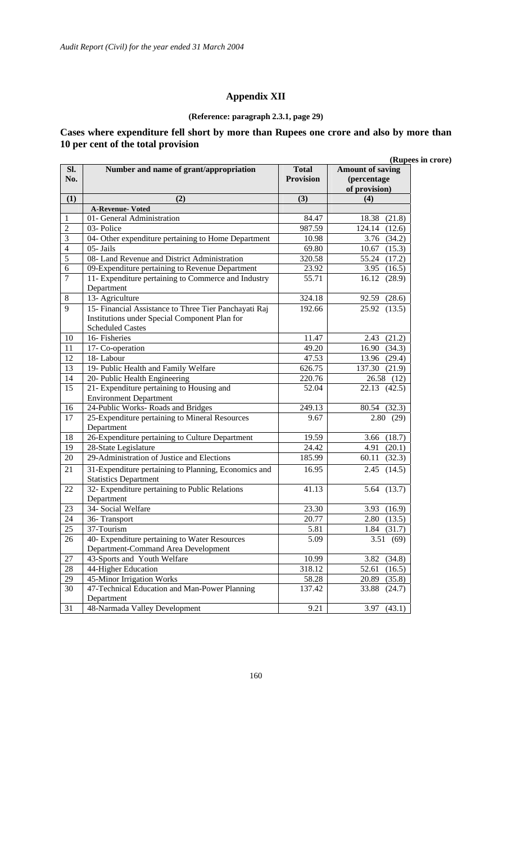## **Appendix XII**

#### **(Reference: paragraph 2.3.1, page 29)**

### **Cases where expenditure fell short by more than Rupees one crore and also by more than 10 per cent of the total provision**

| <b>Amount of saving</b><br>Sl.<br>Number and name of grant/appropriation<br><b>Total</b><br><b>Provision</b><br>No.<br>(percentage<br>of provision)<br>(1)<br>(2)<br>(3)<br>(4)<br><b>A-Revenue-Voted</b><br>01- General Administration<br>84.47<br>18.38<br>(21.8)<br>1<br>03-Police<br>$\overline{2}$<br>987.59<br>124.14<br>(12.6)<br>3<br>04- Other expenditure pertaining to Home Department<br>10.98<br>3.76<br>(34.2)<br>05-Jails<br>$\overline{4}$<br>69.80<br>10.67<br>(15.3)<br>5<br>08- Land Revenue and District Administration<br>320.58<br>55.24<br>(17.2)<br>09-Expenditure pertaining to Revenue Department<br>6<br>23.92<br>3.95<br>(16.5)<br>$\tau$<br>11- Expenditure pertaining to Commerce and Industry<br>(28.9)<br>55.71<br>16.12<br>Department<br>$\,8\,$<br>13- Agriculture<br>324.18<br>92.59 (28.6)<br>9<br>15- Financial Assistance to Three Tier Panchayati Raj<br>192.66<br>25.92 (13.5)<br>Institutions under Special Component Plan for<br><b>Scheduled Castes</b><br>10<br>16- Fisheries<br>11.47<br>(21.2)<br>2.43<br>49.20<br>16.90 (34.3)<br>11<br>17- Co-operation<br>18-Labour<br>47.53<br>12<br>13.96 (29.4)<br>13<br>19- Public Health and Family Welfare<br>626.75<br>137.30 (21.9)<br>20- Public Health Engineering<br>220.76<br>26.58 (12)<br>14<br>15<br>21- Expenditure pertaining to Housing and<br>52.04<br>22.13(42.5)<br><b>Environment Department</b><br>24-Public Works-Roads and Bridges<br>16<br>249.13<br>$\overline{80.54}$ (32.3)<br>17<br>25-Expenditure pertaining to Mineral Resources<br>9.67<br>2.80(29)<br>Department<br>26-Expenditure pertaining to Culture Department<br>18<br>19.59<br>3.66 (18.7)<br>19<br>28-State Legislature<br>24.42<br>(20.1)<br>4.91<br>29-Administration of Justice and Elections<br>20<br>185.99<br>(32.3)<br>60.11<br>31-Expenditure pertaining to Planning, Economics and<br>16.95<br>(14.5)<br>21<br>2.45<br><b>Statistics Department</b><br>32- Expenditure pertaining to Public Relations<br>22<br>41.13<br>5.64 (13.7)<br>Department<br>34- Social Welfare<br>23.30<br>23<br>$\overline{3.93}$ (16.9)<br>24<br>2.80(13.5)<br>20.77<br>36-Transport<br>$\overline{25}$<br>37-Tourism<br>5.81<br>$1.84$ (31.7)<br>26<br>40- Expenditure pertaining to Water Resources<br>3.51(69)<br>5.09<br>Department-Command Area Development<br>43-Sports and Youth Welfare<br>10.99<br>27<br>(34.8)<br>3.82<br>$28\,$<br>44-Higher Education<br>318.12<br>52.61<br>(16.5) |
|---------------------------------------------------------------------------------------------------------------------------------------------------------------------------------------------------------------------------------------------------------------------------------------------------------------------------------------------------------------------------------------------------------------------------------------------------------------------------------------------------------------------------------------------------------------------------------------------------------------------------------------------------------------------------------------------------------------------------------------------------------------------------------------------------------------------------------------------------------------------------------------------------------------------------------------------------------------------------------------------------------------------------------------------------------------------------------------------------------------------------------------------------------------------------------------------------------------------------------------------------------------------------------------------------------------------------------------------------------------------------------------------------------------------------------------------------------------------------------------------------------------------------------------------------------------------------------------------------------------------------------------------------------------------------------------------------------------------------------------------------------------------------------------------------------------------------------------------------------------------------------------------------------------------------------------------------------------------------------------------------------------------------------------------------------------------------------------------------------------------------------------------------------------------------------------------------------------------------------------------------------------------------------------------------------------------------------------------------------------------------------------------------------------------------------------------------------------|
|                                                                                                                                                                                                                                                                                                                                                                                                                                                                                                                                                                                                                                                                                                                                                                                                                                                                                                                                                                                                                                                                                                                                                                                                                                                                                                                                                                                                                                                                                                                                                                                                                                                                                                                                                                                                                                                                                                                                                                                                                                                                                                                                                                                                                                                                                                                                                                                                                                                               |
|                                                                                                                                                                                                                                                                                                                                                                                                                                                                                                                                                                                                                                                                                                                                                                                                                                                                                                                                                                                                                                                                                                                                                                                                                                                                                                                                                                                                                                                                                                                                                                                                                                                                                                                                                                                                                                                                                                                                                                                                                                                                                                                                                                                                                                                                                                                                                                                                                                                               |
|                                                                                                                                                                                                                                                                                                                                                                                                                                                                                                                                                                                                                                                                                                                                                                                                                                                                                                                                                                                                                                                                                                                                                                                                                                                                                                                                                                                                                                                                                                                                                                                                                                                                                                                                                                                                                                                                                                                                                                                                                                                                                                                                                                                                                                                                                                                                                                                                                                                               |
|                                                                                                                                                                                                                                                                                                                                                                                                                                                                                                                                                                                                                                                                                                                                                                                                                                                                                                                                                                                                                                                                                                                                                                                                                                                                                                                                                                                                                                                                                                                                                                                                                                                                                                                                                                                                                                                                                                                                                                                                                                                                                                                                                                                                                                                                                                                                                                                                                                                               |
|                                                                                                                                                                                                                                                                                                                                                                                                                                                                                                                                                                                                                                                                                                                                                                                                                                                                                                                                                                                                                                                                                                                                                                                                                                                                                                                                                                                                                                                                                                                                                                                                                                                                                                                                                                                                                                                                                                                                                                                                                                                                                                                                                                                                                                                                                                                                                                                                                                                               |
|                                                                                                                                                                                                                                                                                                                                                                                                                                                                                                                                                                                                                                                                                                                                                                                                                                                                                                                                                                                                                                                                                                                                                                                                                                                                                                                                                                                                                                                                                                                                                                                                                                                                                                                                                                                                                                                                                                                                                                                                                                                                                                                                                                                                                                                                                                                                                                                                                                                               |
|                                                                                                                                                                                                                                                                                                                                                                                                                                                                                                                                                                                                                                                                                                                                                                                                                                                                                                                                                                                                                                                                                                                                                                                                                                                                                                                                                                                                                                                                                                                                                                                                                                                                                                                                                                                                                                                                                                                                                                                                                                                                                                                                                                                                                                                                                                                                                                                                                                                               |
|                                                                                                                                                                                                                                                                                                                                                                                                                                                                                                                                                                                                                                                                                                                                                                                                                                                                                                                                                                                                                                                                                                                                                                                                                                                                                                                                                                                                                                                                                                                                                                                                                                                                                                                                                                                                                                                                                                                                                                                                                                                                                                                                                                                                                                                                                                                                                                                                                                                               |
|                                                                                                                                                                                                                                                                                                                                                                                                                                                                                                                                                                                                                                                                                                                                                                                                                                                                                                                                                                                                                                                                                                                                                                                                                                                                                                                                                                                                                                                                                                                                                                                                                                                                                                                                                                                                                                                                                                                                                                                                                                                                                                                                                                                                                                                                                                                                                                                                                                                               |
|                                                                                                                                                                                                                                                                                                                                                                                                                                                                                                                                                                                                                                                                                                                                                                                                                                                                                                                                                                                                                                                                                                                                                                                                                                                                                                                                                                                                                                                                                                                                                                                                                                                                                                                                                                                                                                                                                                                                                                                                                                                                                                                                                                                                                                                                                                                                                                                                                                                               |
|                                                                                                                                                                                                                                                                                                                                                                                                                                                                                                                                                                                                                                                                                                                                                                                                                                                                                                                                                                                                                                                                                                                                                                                                                                                                                                                                                                                                                                                                                                                                                                                                                                                                                                                                                                                                                                                                                                                                                                                                                                                                                                                                                                                                                                                                                                                                                                                                                                                               |
|                                                                                                                                                                                                                                                                                                                                                                                                                                                                                                                                                                                                                                                                                                                                                                                                                                                                                                                                                                                                                                                                                                                                                                                                                                                                                                                                                                                                                                                                                                                                                                                                                                                                                                                                                                                                                                                                                                                                                                                                                                                                                                                                                                                                                                                                                                                                                                                                                                                               |
|                                                                                                                                                                                                                                                                                                                                                                                                                                                                                                                                                                                                                                                                                                                                                                                                                                                                                                                                                                                                                                                                                                                                                                                                                                                                                                                                                                                                                                                                                                                                                                                                                                                                                                                                                                                                                                                                                                                                                                                                                                                                                                                                                                                                                                                                                                                                                                                                                                                               |
|                                                                                                                                                                                                                                                                                                                                                                                                                                                                                                                                                                                                                                                                                                                                                                                                                                                                                                                                                                                                                                                                                                                                                                                                                                                                                                                                                                                                                                                                                                                                                                                                                                                                                                                                                                                                                                                                                                                                                                                                                                                                                                                                                                                                                                                                                                                                                                                                                                                               |
|                                                                                                                                                                                                                                                                                                                                                                                                                                                                                                                                                                                                                                                                                                                                                                                                                                                                                                                                                                                                                                                                                                                                                                                                                                                                                                                                                                                                                                                                                                                                                                                                                                                                                                                                                                                                                                                                                                                                                                                                                                                                                                                                                                                                                                                                                                                                                                                                                                                               |
|                                                                                                                                                                                                                                                                                                                                                                                                                                                                                                                                                                                                                                                                                                                                                                                                                                                                                                                                                                                                                                                                                                                                                                                                                                                                                                                                                                                                                                                                                                                                                                                                                                                                                                                                                                                                                                                                                                                                                                                                                                                                                                                                                                                                                                                                                                                                                                                                                                                               |
|                                                                                                                                                                                                                                                                                                                                                                                                                                                                                                                                                                                                                                                                                                                                                                                                                                                                                                                                                                                                                                                                                                                                                                                                                                                                                                                                                                                                                                                                                                                                                                                                                                                                                                                                                                                                                                                                                                                                                                                                                                                                                                                                                                                                                                                                                                                                                                                                                                                               |
|                                                                                                                                                                                                                                                                                                                                                                                                                                                                                                                                                                                                                                                                                                                                                                                                                                                                                                                                                                                                                                                                                                                                                                                                                                                                                                                                                                                                                                                                                                                                                                                                                                                                                                                                                                                                                                                                                                                                                                                                                                                                                                                                                                                                                                                                                                                                                                                                                                                               |
|                                                                                                                                                                                                                                                                                                                                                                                                                                                                                                                                                                                                                                                                                                                                                                                                                                                                                                                                                                                                                                                                                                                                                                                                                                                                                                                                                                                                                                                                                                                                                                                                                                                                                                                                                                                                                                                                                                                                                                                                                                                                                                                                                                                                                                                                                                                                                                                                                                                               |
|                                                                                                                                                                                                                                                                                                                                                                                                                                                                                                                                                                                                                                                                                                                                                                                                                                                                                                                                                                                                                                                                                                                                                                                                                                                                                                                                                                                                                                                                                                                                                                                                                                                                                                                                                                                                                                                                                                                                                                                                                                                                                                                                                                                                                                                                                                                                                                                                                                                               |
|                                                                                                                                                                                                                                                                                                                                                                                                                                                                                                                                                                                                                                                                                                                                                                                                                                                                                                                                                                                                                                                                                                                                                                                                                                                                                                                                                                                                                                                                                                                                                                                                                                                                                                                                                                                                                                                                                                                                                                                                                                                                                                                                                                                                                                                                                                                                                                                                                                                               |
|                                                                                                                                                                                                                                                                                                                                                                                                                                                                                                                                                                                                                                                                                                                                                                                                                                                                                                                                                                                                                                                                                                                                                                                                                                                                                                                                                                                                                                                                                                                                                                                                                                                                                                                                                                                                                                                                                                                                                                                                                                                                                                                                                                                                                                                                                                                                                                                                                                                               |
|                                                                                                                                                                                                                                                                                                                                                                                                                                                                                                                                                                                                                                                                                                                                                                                                                                                                                                                                                                                                                                                                                                                                                                                                                                                                                                                                                                                                                                                                                                                                                                                                                                                                                                                                                                                                                                                                                                                                                                                                                                                                                                                                                                                                                                                                                                                                                                                                                                                               |
|                                                                                                                                                                                                                                                                                                                                                                                                                                                                                                                                                                                                                                                                                                                                                                                                                                                                                                                                                                                                                                                                                                                                                                                                                                                                                                                                                                                                                                                                                                                                                                                                                                                                                                                                                                                                                                                                                                                                                                                                                                                                                                                                                                                                                                                                                                                                                                                                                                                               |
|                                                                                                                                                                                                                                                                                                                                                                                                                                                                                                                                                                                                                                                                                                                                                                                                                                                                                                                                                                                                                                                                                                                                                                                                                                                                                                                                                                                                                                                                                                                                                                                                                                                                                                                                                                                                                                                                                                                                                                                                                                                                                                                                                                                                                                                                                                                                                                                                                                                               |
|                                                                                                                                                                                                                                                                                                                                                                                                                                                                                                                                                                                                                                                                                                                                                                                                                                                                                                                                                                                                                                                                                                                                                                                                                                                                                                                                                                                                                                                                                                                                                                                                                                                                                                                                                                                                                                                                                                                                                                                                                                                                                                                                                                                                                                                                                                                                                                                                                                                               |
|                                                                                                                                                                                                                                                                                                                                                                                                                                                                                                                                                                                                                                                                                                                                                                                                                                                                                                                                                                                                                                                                                                                                                                                                                                                                                                                                                                                                                                                                                                                                                                                                                                                                                                                                                                                                                                                                                                                                                                                                                                                                                                                                                                                                                                                                                                                                                                                                                                                               |
|                                                                                                                                                                                                                                                                                                                                                                                                                                                                                                                                                                                                                                                                                                                                                                                                                                                                                                                                                                                                                                                                                                                                                                                                                                                                                                                                                                                                                                                                                                                                                                                                                                                                                                                                                                                                                                                                                                                                                                                                                                                                                                                                                                                                                                                                                                                                                                                                                                                               |
|                                                                                                                                                                                                                                                                                                                                                                                                                                                                                                                                                                                                                                                                                                                                                                                                                                                                                                                                                                                                                                                                                                                                                                                                                                                                                                                                                                                                                                                                                                                                                                                                                                                                                                                                                                                                                                                                                                                                                                                                                                                                                                                                                                                                                                                                                                                                                                                                                                                               |
|                                                                                                                                                                                                                                                                                                                                                                                                                                                                                                                                                                                                                                                                                                                                                                                                                                                                                                                                                                                                                                                                                                                                                                                                                                                                                                                                                                                                                                                                                                                                                                                                                                                                                                                                                                                                                                                                                                                                                                                                                                                                                                                                                                                                                                                                                                                                                                                                                                                               |
|                                                                                                                                                                                                                                                                                                                                                                                                                                                                                                                                                                                                                                                                                                                                                                                                                                                                                                                                                                                                                                                                                                                                                                                                                                                                                                                                                                                                                                                                                                                                                                                                                                                                                                                                                                                                                                                                                                                                                                                                                                                                                                                                                                                                                                                                                                                                                                                                                                                               |
| 29<br>45-Minor Irrigation Works<br>58.28<br>20.89<br>(35.8)                                                                                                                                                                                                                                                                                                                                                                                                                                                                                                                                                                                                                                                                                                                                                                                                                                                                                                                                                                                                                                                                                                                                                                                                                                                                                                                                                                                                                                                                                                                                                                                                                                                                                                                                                                                                                                                                                                                                                                                                                                                                                                                                                                                                                                                                                                                                                                                                   |
| 30<br>47-Technical Education and Man-Power Planning<br>137.42<br>33.88<br>(24.7)<br>Department                                                                                                                                                                                                                                                                                                                                                                                                                                                                                                                                                                                                                                                                                                                                                                                                                                                                                                                                                                                                                                                                                                                                                                                                                                                                                                                                                                                                                                                                                                                                                                                                                                                                                                                                                                                                                                                                                                                                                                                                                                                                                                                                                                                                                                                                                                                                                                |
| 48-Narmada Valley Development<br>31<br>9.21<br>(43.1)<br>3.97                                                                                                                                                                                                                                                                                                                                                                                                                                                                                                                                                                                                                                                                                                                                                                                                                                                                                                                                                                                                                                                                                                                                                                                                                                                                                                                                                                                                                                                                                                                                                                                                                                                                                                                                                                                                                                                                                                                                                                                                                                                                                                                                                                                                                                                                                                                                                                                                 |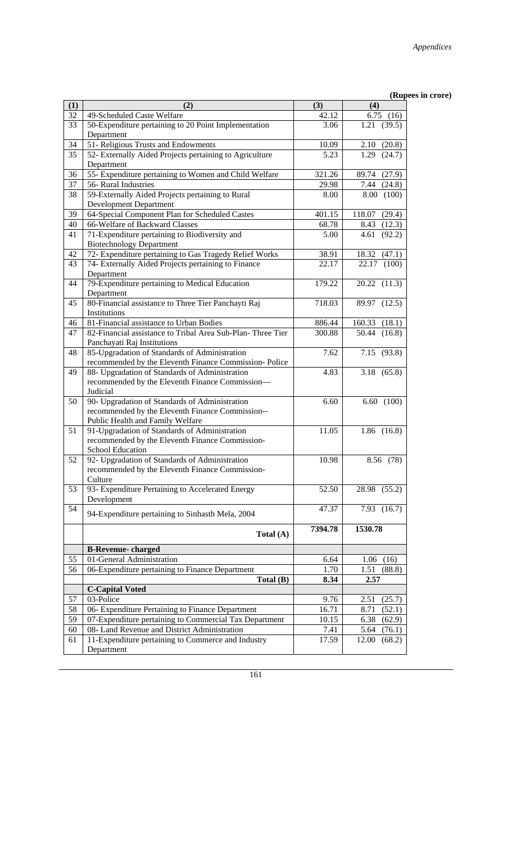| (1) | (2)                                                               | (3)     | (4)              |
|-----|-------------------------------------------------------------------|---------|------------------|
| 32  | 49-Scheduled Caste Welfare                                        | 42.12   | 6.75(16)         |
| 33  | 50-Expenditure pertaining to 20 Point Implementation              | 3.06    | (39.5)<br>1.21   |
|     | Department                                                        |         |                  |
| 34  | 51- Religious Trusts and Endowments                               | 10.09   | 2.10(20.8)       |
| 35  | 52- Externally Aided Projects pertaining to Agriculture           | 5.23    | 1.29<br>(24.7)   |
|     | Department                                                        |         |                  |
| 36  | 55- Expenditure pertaining to Women and Child Welfare             | 321.26  | 89.74<br>(27.9)  |
| 37  | 56- Rural Industries                                              | 29.98   | 7.44<br>(24.8)   |
| 38  | 59-Externally Aided Projects pertaining to Rural                  | 8.00    | (100)<br>8.00    |
|     | <b>Development Department</b>                                     |         |                  |
| 39  | 64-Special Component Plan for Scheduled Castes                    | 401.15  | 118.07<br>(29.4) |
| 40  | 66-Welfare of Backward Classes                                    | 68.78   | 8.43<br>(12.3)   |
| 41  | 71-Expenditure pertaining to Biodiversity and                     | 5.00    | 4.61<br>(92.2)   |
|     | <b>Biotechnology Department</b>                                   |         |                  |
| 42  | 72- Expenditure pertaining to Gas Tragedy Relief Works            | 38.91   | 18.32<br>(47.1)  |
| 43  | 74- Externally Aided Projects pertaining to Finance               | 22.17   | 22.17<br>(100)   |
|     | Department                                                        |         |                  |
| 44  | 79-Expenditure pertaining to Medical Education                    | 179.22  | 20.22<br>(11.3)  |
| 45  | Department<br>80-Financial assistance to Three Tier Panchayti Raj | 718.03  | 89.97<br>(12.5)  |
|     | Institutions                                                      |         |                  |
| 46  | 81-Financial assistance to Urban Bodies                           | 886.44  | 160.33<br>(18.1) |
| 47  | 82-Financial assistance to Tribal Area Sub-Plan-Three Tier        | 300.88  | 50.44<br>(16.8)  |
|     | Panchayati Raj Institutions                                       |         |                  |
| 48  | 85-Upgradation of Standards of Administration                     | 7.62    | (93.8)<br>7.15   |
|     | recommended by the Eleventh Finance Commission-Police             |         |                  |
| 49  | 88- Upgradation of Standards of Administration                    | 4.83    | (65.8)<br>3.18   |
|     | recommended by the Eleventh Finance Commission-                   |         |                  |
|     | Judicial                                                          |         |                  |
| 50  | 90- Upgradation of Standards of Administration                    | 6.60    | 6.60<br>(100)    |
|     | recommended by the Eleventh Finance Commission--                  |         |                  |
|     | Public Health and Family Welfare                                  |         |                  |
| 51  | 91-Upgradation of Standards of Administration                     | 11.05   | $1.86$ $(16.8)$  |
|     | recommended by the Eleventh Finance Commission-                   |         |                  |
|     | <b>School Education</b>                                           |         |                  |
| 52  | 92- Upgradation of Standards of Administration                    | 10.98   | 8.56 (78)        |
|     | recommended by the Eleventh Finance Commission-                   |         |                  |
|     | Culture                                                           |         |                  |
| 53  | 93- Expenditure Pertaining to Accelerated Energy                  | 52.50   | 28.98<br>(55.2)  |
| 54  | Development                                                       | 47.37   | 7.93<br>(16.7)   |
|     | 94-Expenditure pertaining to Sinhasth Mela, 2004                  |         |                  |
|     |                                                                   | 7394.78 | 1530.78          |
|     | Total (A)                                                         |         |                  |
|     | <b>B-Revenue-charged</b>                                          |         |                  |
| 55  | 01-General Administration                                         | 6.64    | (16)<br>1.06     |
| 56  | 06-Expenditure pertaining to Finance Department                   | 1.70    | (88.8)<br>1.51   |
|     | Total (B)                                                         | 8.34    | 2.57             |
|     | <b>C-Capital Voted</b>                                            |         |                  |
| 57  | 03-Police                                                         | 9.76    | 2.51<br>(25.7)   |
| 58  | 06- Expenditure Pertaining to Finance Department                  | 16.71   | 8.71<br>(52.1)   |
| 59  | 07-Expenditure pertaining to Commercial Tax Department            | 10.15   | 6.38<br>(62.9)   |
| 60  | 08- Land Revenue and District Administration                      | 7.41    | 5.64<br>(76.1)   |
| 61  | 11-Expenditure pertaining to Commerce and Industry                | 17.59   | 12.00<br>(68.2)  |
|     | Department                                                        |         |                  |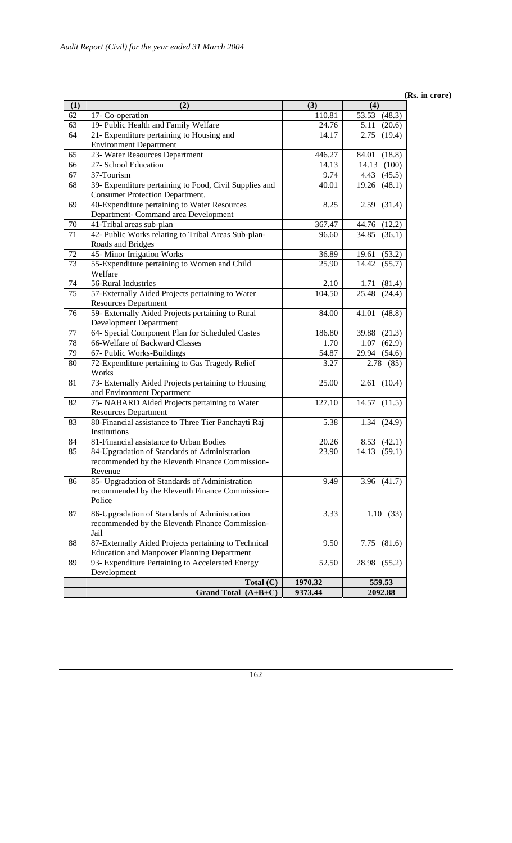#### **(Rs. in crore)**

| (1)             | (2)                                                    | (3)                 | (4)                          |
|-----------------|--------------------------------------------------------|---------------------|------------------------------|
| 62              | 17- Co-operation                                       | 110.81              | 53.53 (48.3)                 |
| 63              | 19- Public Health and Family Welfare                   | 24.76               | 5.11<br>(20.6)               |
| 64              | 21- Expenditure pertaining to Housing and              | 14.17               | 2.75<br>(19.4)               |
|                 | <b>Environment Department</b>                          |                     |                              |
| 65              | 23- Water Resources Department                         | 446.27              | 84.01<br>(18.8)              |
| 66              | 27- School Education                                   | 14.13               | (100)<br>14.13               |
| 67              | 37-Tourism                                             | 9.74                | 4.43<br>(45.5)               |
| 68              | 39- Expenditure pertaining to Food, Civil Supplies and | 40.01               | (48.1)<br>19.26              |
|                 | <b>Consumer Protection Department.</b>                 |                     |                              |
| 69              | 40-Expenditure pertaining to Water Resources           | 8.25                | (31.4)<br>2.59               |
|                 | Department- Command area Development                   |                     |                              |
| 70              | 41-Tribal areas sub-plan                               | 367.47              | 44.76 (12.2)                 |
| 71              | 42- Public Works relating to Tribal Areas Sub-plan-    | 96.60               | 34.85<br>(36.1)              |
|                 | Roads and Bridges                                      |                     |                              |
| 72              | 45-Minor Irrigation Works                              | 36.89               | (53.2)<br>19.61              |
| 73              | 55-Expenditure pertaining to Women and Child           | 25.90               | 14.42<br>(55.7)              |
|                 | Welfare                                                |                     |                              |
| 74              | 56-Rural Industries                                    | 2.10                | 1.71<br>(81.4)               |
| $\overline{75}$ | 57-Externally Aided Projects pertaining to Water       | $\overline{104.50}$ | $\overline{25.48}$<br>(24.4) |
|                 | <b>Resources Department</b>                            |                     |                              |
| 76              | 59- Externally Aided Projects pertaining to Rural      | 84.00               | 41.01<br>(48.8)              |
|                 | <b>Development Department</b>                          |                     |                              |
| 77              | 64- Special Component Plan for Scheduled Castes        | 186.80              | 39.88<br>(21.3)              |
| 78              | 66-Welfare of Backward Classes                         | 1.70                | 1.07<br>(62.9)               |
| 79              | 67- Public Works-Buildings                             | 54.87               | 29.94 (54.6)                 |
| 80              | 72-Expenditure pertaining to Gas Tragedy Relief        | 3.27                | 2.78 (85)                    |
|                 | Works                                                  |                     |                              |
| 81              | 73- Externally Aided Projects pertaining to Housing    | 25.00               | $\overline{2.61}$ (10.4)     |
|                 | and Environment Department                             |                     |                              |
| 82              | 75- NABARD Aided Projects pertaining to Water          | 127.10              | $14.57$ $(11.5)$             |
|                 | <b>Resources Department</b>                            |                     |                              |
| 83              | 80-Financial assistance to Three Tier Panchayti Raj    | 5.38                | 1.34(24.9)                   |
|                 | Institutions                                           |                     |                              |
| 84              | 81-Financial assistance to Urban Bodies                | 20.26               | 8.53(42.1)                   |
| 85              | 84-Upgradation of Standards of Administration          | 23.90               | 14.13<br>(59.1)              |
|                 | recommended by the Eleventh Finance Commission-        |                     |                              |
|                 | Revenue                                                |                     |                              |
| 86              | 85- Upgradation of Standards of Administration         | 9.49                | 3.96 (41.7)                  |
|                 | recommended by the Eleventh Finance Commission-        |                     |                              |
|                 | Police                                                 |                     |                              |
| 87              | 86-Upgradation of Standards of Administration          | 3.33                | 1.10(33)                     |
|                 | recommended by the Eleventh Finance Commission-        |                     |                              |
|                 | Jail                                                   |                     |                              |
| 88              | 87-Externally Aided Projects pertaining to Technical   | 9.50                | (81.6)<br>7.75               |
|                 | <b>Education and Manpower Planning Department</b>      |                     |                              |
| 89              | 93- Expenditure Pertaining to Accelerated Energy       | 52.50               | 28.98<br>(55.2)              |
|                 | Development                                            |                     |                              |
|                 | Total $(C)$                                            | 1970.32             | 559.53                       |
|                 | Grand Total $(A+B+C)$                                  | 9373.44             | 2092.88                      |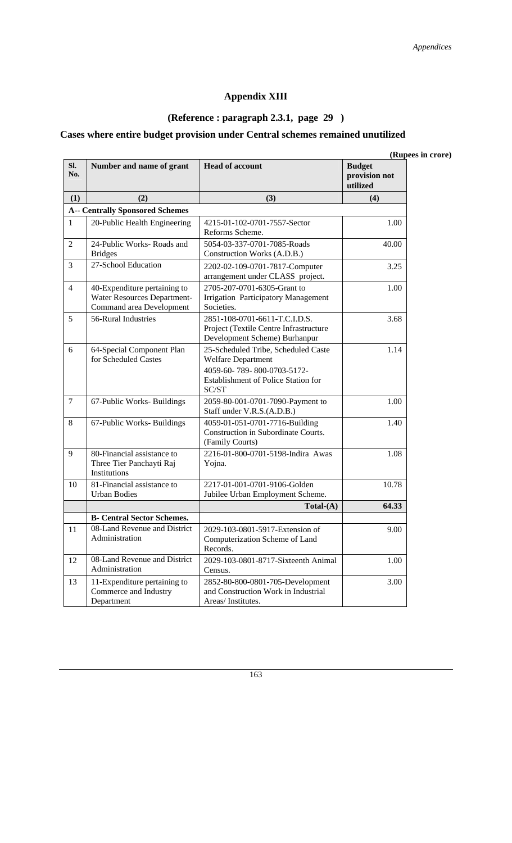## **Appendix XIII**

# **(Reference : paragraph 2.3.1, page 29 )**

# **Cases where entire budget provision under Central schemes remained unutilized**

|                |                                                                                         |                                                                                                                                         | (Rupees in crore)                          |
|----------------|-----------------------------------------------------------------------------------------|-----------------------------------------------------------------------------------------------------------------------------------------|--------------------------------------------|
| SI.<br>No.     | Number and name of grant                                                                | <b>Head of account</b>                                                                                                                  | <b>Budget</b><br>provision not<br>utilized |
| (1)            | (2)                                                                                     | (3)                                                                                                                                     | (4)                                        |
|                | <b>A-- Centrally Sponsored Schemes</b>                                                  |                                                                                                                                         |                                            |
| 1              | 20-Public Health Engineering                                                            | 4215-01-102-0701-7557-Sector<br>Reforms Scheme.                                                                                         | 1.00                                       |
| $\overline{c}$ | 24-Public Works-Roads and<br><b>Bridges</b>                                             | 5054-03-337-0701-7085-Roads<br>Construction Works (A.D.B.)                                                                              | 40.00                                      |
| $\overline{3}$ | 27-School Education                                                                     | 2202-02-109-0701-7817-Computer<br>arrangement under CLASS project.                                                                      | 3.25                                       |
| 4              | 40-Expenditure pertaining to<br>Water Resources Department-<br>Command area Development | 2705-207-0701-6305-Grant to<br><b>Irrigation Participatory Management</b><br>Societies.                                                 | 1.00                                       |
| 5              | 56-Rural Industries                                                                     | 2851-108-0701-6611-T.C.I.D.S.<br>Project (Textile Centre Infrastructure<br>Development Scheme) Burhanpur                                | 3.68                                       |
| 6              | 64-Special Component Plan<br>for Scheduled Castes                                       | 25-Scheduled Tribe, Scheduled Caste<br>Welfare Department<br>4059-60-789-800-0703-5172-<br>Establishment of Police Station for<br>SC/ST | 1.14                                       |
| 7              | 67-Public Works-Buildings                                                               | 2059-80-001-0701-7090-Payment to<br>Staff under V.R.S.(A.D.B.)                                                                          | 1.00                                       |
| 8              | 67-Public Works-Buildings                                                               | 4059-01-051-0701-7716-Building<br>Construction in Subordinate Courts.<br>(Family Courts)                                                | 1.40                                       |
| 9              | 80-Financial assistance to<br>Three Tier Panchayti Raj<br>Institutions                  | 2216-01-800-0701-5198-Indira Awas<br>Yojna.                                                                                             | 1.08                                       |
| 10             | 81-Financial assistance to<br><b>Urban Bodies</b>                                       | 2217-01-001-0701-9106-Golden<br>Jubilee Urban Employment Scheme.                                                                        | 10.78                                      |
|                |                                                                                         | $Total-(A)$                                                                                                                             | 64.33                                      |
|                | <b>B</b> - Central Sector Schemes.                                                      |                                                                                                                                         |                                            |
| 11             | 08-Land Revenue and District<br>Administration                                          | 2029-103-0801-5917-Extension of<br>Computerization Scheme of Land<br>Records.                                                           | 9.00                                       |
| 12             | 08-Land Revenue and District<br>Administration                                          | 2029-103-0801-8717-Sixteenth Animal<br>Census.                                                                                          | 1.00                                       |
| 13             | 11-Expenditure pertaining to<br>Commerce and Industry<br>Department                     | 2852-80-800-0801-705-Development<br>and Construction Work in Industrial<br>Areas/Institutes.                                            | 3.00                                       |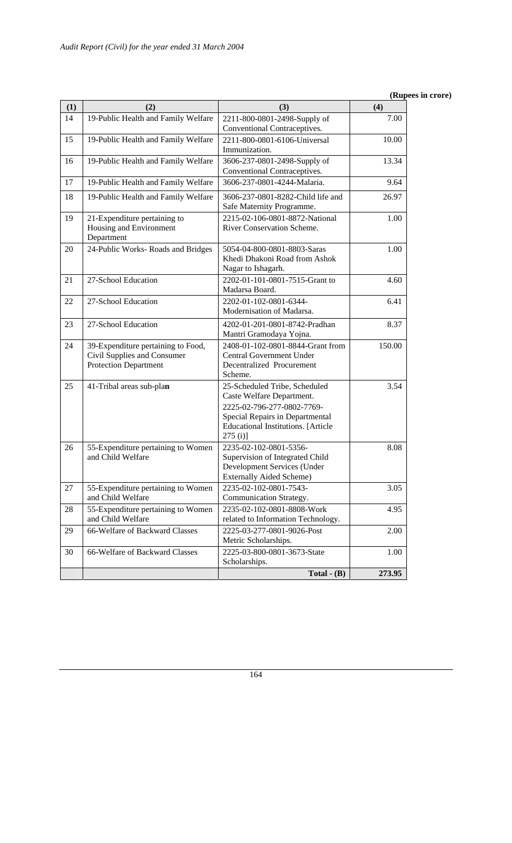| (1) | (2)                                                                                               | (3)                                                                                                                                                                                    | (4)    |
|-----|---------------------------------------------------------------------------------------------------|----------------------------------------------------------------------------------------------------------------------------------------------------------------------------------------|--------|
| 14  | 19-Public Health and Family Welfare                                                               | 2211-800-0801-2498-Supply of<br>Conventional Contraceptives.                                                                                                                           | 7.00   |
| 15  | 19-Public Health and Family Welfare                                                               | 2211-800-0801-6106-Universal<br>Immunization.                                                                                                                                          | 10.00  |
| 16  | 19-Public Health and Family Welfare                                                               | 3606-237-0801-2498-Supply of<br>Conventional Contraceptives.                                                                                                                           | 13.34  |
| 17  | 19-Public Health and Family Welfare                                                               | 3606-237-0801-4244-Malaria.                                                                                                                                                            | 9.64   |
| 18  | 19-Public Health and Family Welfare                                                               | 3606-237-0801-8282-Child life and<br>Safe Maternity Programme.                                                                                                                         | 26.97  |
| 19  | 21-Expenditure pertaining to<br>Housing and Environment<br>Department                             | 2215-02-106-0801-8872-National<br>River Conservation Scheme.                                                                                                                           | 1.00   |
| 20  | 24-Public Works-Roads and Bridges                                                                 | 5054-04-800-0801-8803-Saras<br>Khedi Dhakoni Road from Ashok<br>Nagar to Ishagarh.                                                                                                     | 1.00   |
| 21  | 27-School Education                                                                               | 2202-01-101-0801-7515-Grant to<br>Madarsa Board.                                                                                                                                       | 4.60   |
| 22  | 27-School Education                                                                               | 2202-01-102-0801-6344-<br>Modernisation of Madarsa.                                                                                                                                    | 6.41   |
| 23  | 27-School Education                                                                               | 4202-01-201-0801-8742-Pradhan<br>Mantri Gramodaya Yojna.                                                                                                                               | 8.37   |
| 24  | 39-Expenditure pertaining to Food,<br>Civil Supplies and Consumer<br><b>Protection Department</b> | 2408-01-102-0801-8844-Grant from<br>Central Government Under<br>Decentralized Procurement<br>Scheme.                                                                                   | 150.00 |
| 25  | 41-Tribal areas sub-plan                                                                          | 25-Scheduled Tribe, Scheduled<br>Caste Welfare Department.<br>2225-02-796-277-0802-7769-<br>Special Repairs in Departmental<br><b>Educational Institutions.</b> [Article<br>$275(i)$ ] | 3.54   |
| 26  | 55-Expenditure pertaining to Women<br>and Child Welfare                                           | 2235-02-102-0801-5356-<br>Supervision of Integrated Child<br>Development Services (Under<br>Externally Aided Scheme)                                                                   | 8.08   |
| 27  | 55-Expenditure pertaining to Women<br>and Child Welfare                                           | 2235-02-102-0801-7543-<br>Communication Strategy.                                                                                                                                      | 3.05   |
| 28  | 55-Expenditure pertaining to Women<br>and Child Welfare                                           | 2235-02-102-0801-8808-Work<br>related to Information Technology.                                                                                                                       | 4.95   |
| 29  | 66-Welfare of Backward Classes                                                                    | 2225-03-277-0801-9026-Post<br>Metric Scholarships.                                                                                                                                     | 2.00   |
| 30  | 66-Welfare of Backward Classes                                                                    | 2225-03-800-0801-3673-State<br>Scholarships.                                                                                                                                           | 1.00   |
|     |                                                                                                   | Total $-$ (B)                                                                                                                                                                          | 273.95 |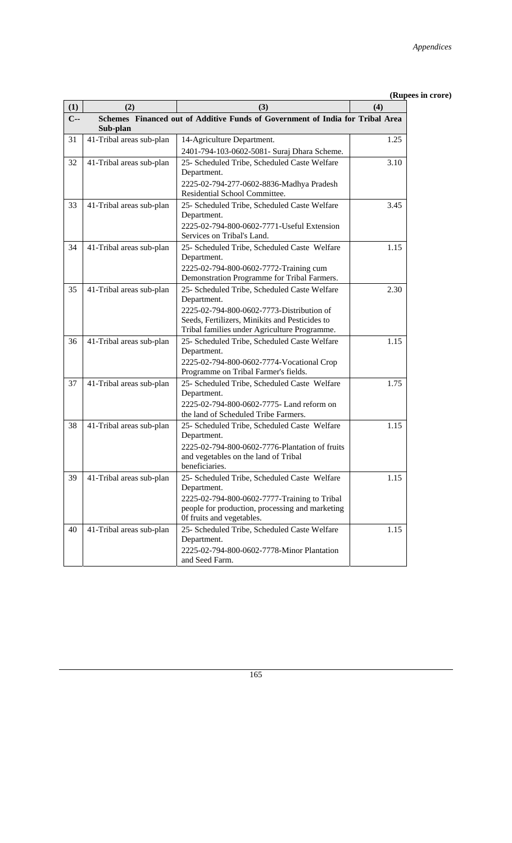| (1)   | (2)                      | (3)                                                                                                                                                                                                        | (4)  |
|-------|--------------------------|------------------------------------------------------------------------------------------------------------------------------------------------------------------------------------------------------------|------|
| $C -$ | Sub-plan                 | Schemes Financed out of Additive Funds of Government of India for Tribal Area                                                                                                                              |      |
| 31    | 41-Tribal areas sub-plan | 14-Agriculture Department.<br>2401-794-103-0602-5081- Suraj Dhara Scheme.                                                                                                                                  | 1.25 |
| 32    | 41-Tribal areas sub-plan | 25- Scheduled Tribe, Scheduled Caste Welfare<br>Department.<br>2225-02-794-277-0602-8836-Madhya Pradesh<br>Residential School Committee.                                                                   | 3.10 |
| 33    | 41-Tribal areas sub-plan | 25- Scheduled Tribe, Scheduled Caste Welfare<br>Department.<br>2225-02-794-800-0602-7771-Useful Extension<br>Services on Tribal's Land.                                                                    | 3.45 |
| 34    | 41-Tribal areas sub-plan | 25- Scheduled Tribe, Scheduled Caste Welfare<br>Department.<br>2225-02-794-800-0602-7772-Training cum<br>Demonstration Programme for Tribal Farmers.                                                       | 1.15 |
| 35    | 41-Tribal areas sub-plan | 25- Scheduled Tribe, Scheduled Caste Welfare<br>Department.<br>2225-02-794-800-0602-7773-Distribution of<br>Seeds, Fertilizers, Minikits and Pesticides to<br>Tribal families under Agriculture Programme. | 2.30 |
| 36    | 41-Tribal areas sub-plan | 25- Scheduled Tribe, Scheduled Caste Welfare<br>Department.<br>2225-02-794-800-0602-7774-Vocational Crop<br>Programme on Tribal Farmer's fields.                                                           | 1.15 |
| 37    | 41-Tribal areas sub-plan | 25- Scheduled Tribe, Scheduled Caste Welfare<br>Department.<br>2225-02-794-800-0602-7775- Land reform on<br>the land of Scheduled Tribe Farmers.                                                           | 1.75 |
| 38    | 41-Tribal areas sub-plan | 25- Scheduled Tribe, Scheduled Caste Welfare<br>Department.<br>2225-02-794-800-0602-7776-Plantation of fruits<br>and vegetables on the land of Tribal<br>beneficiaries.                                    | 1.15 |
| 39    | 41-Tribal areas sub-plan | 25- Scheduled Tribe, Scheduled Caste Welfare<br>Department.<br>2225-02-794-800-0602-7777-Training to Tribal<br>people for production, processing and marketing<br>Of fruits and vegetables.                | 1.15 |
| 40    | 41-Tribal areas sub-plan | 25- Scheduled Tribe, Scheduled Caste Welfare<br>Department.<br>2225-02-794-800-0602-7778-Minor Plantation<br>and Seed Farm.                                                                                | 1.15 |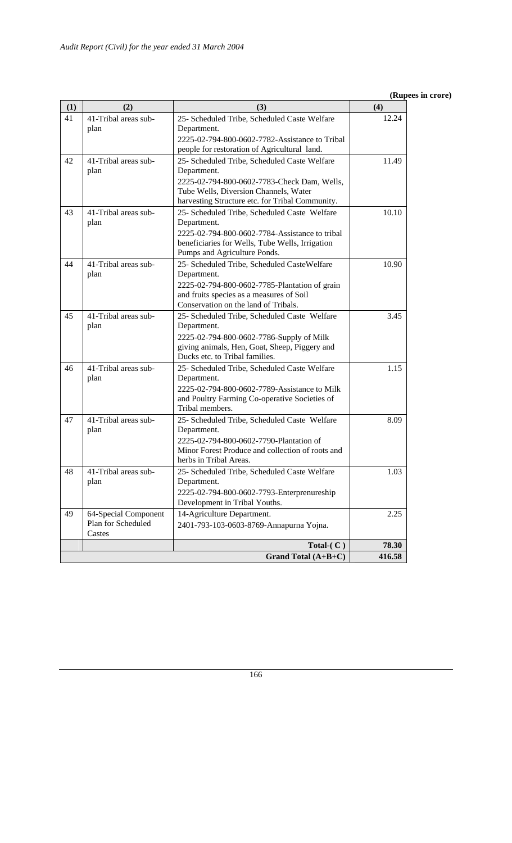| (1) | (2)                          | (3)                                                                                       | (4)    |
|-----|------------------------------|-------------------------------------------------------------------------------------------|--------|
| 41  | 41-Tribal areas sub-<br>plan | 25- Scheduled Tribe, Scheduled Caste Welfare<br>Department.                               | 12.24  |
|     |                              | 2225-02-794-800-0602-7782-Assistance to Tribal                                            |        |
|     |                              | people for restoration of Agricultural land.                                              |        |
| 42  | 41-Tribal areas sub-<br>plan | 25- Scheduled Tribe, Scheduled Caste Welfare<br>Department.                               | 11.49  |
|     |                              | 2225-02-794-800-0602-7783-Check Dam, Wells,                                               |        |
|     |                              | Tube Wells, Diversion Channels, Water                                                     |        |
|     |                              | harvesting Structure etc. for Tribal Community.                                           |        |
| 43  | 41-Tribal areas sub-<br>plan | 25- Scheduled Tribe, Scheduled Caste Welfare<br>Department.                               | 10.10  |
|     |                              | 2225-02-794-800-0602-7784-Assistance to tribal                                            |        |
|     |                              | beneficiaries for Wells, Tube Wells, Irrigation                                           |        |
|     |                              | Pumps and Agriculture Ponds.                                                              |        |
| 44  | 41-Tribal areas sub-         | 25- Scheduled Tribe, Scheduled CasteWelfare                                               | 10.90  |
|     | plan                         | Department.                                                                               |        |
|     |                              | 2225-02-794-800-0602-7785-Plantation of grain<br>and fruits species as a measures of Soil |        |
|     |                              | Conservation on the land of Tribals.                                                      |        |
| 45  | 41-Tribal areas sub-         | 25- Scheduled Tribe, Scheduled Caste Welfare                                              | 3.45   |
|     | plan                         | Department.                                                                               |        |
|     |                              | 2225-02-794-800-0602-7786-Supply of Milk                                                  |        |
|     |                              | giving animals, Hen, Goat, Sheep, Piggery and<br>Ducks etc. to Tribal families.           |        |
| 46  | 41-Tribal areas sub-         | 25- Scheduled Tribe, Scheduled Caste Welfare                                              | 1.15   |
|     | plan                         | Department.                                                                               |        |
|     |                              | 2225-02-794-800-0602-7789-Assistance to Milk                                              |        |
|     |                              | and Poultry Farming Co-operative Societies of                                             |        |
|     |                              | Tribal members.                                                                           |        |
| 47  | 41-Tribal areas sub-<br>plan | 25- Scheduled Tribe, Scheduled Caste Welfare<br>Department.                               | 8.09   |
|     |                              | 2225-02-794-800-0602-7790-Plantation of                                                   |        |
|     |                              | Minor Forest Produce and collection of roots and<br>herbs in Tribal Areas.                |        |
| 48  | 41-Tribal areas sub-         | 25- Scheduled Tribe, Scheduled Caste Welfare                                              | 1.03   |
|     | plan                         | Department.                                                                               |        |
|     |                              | 2225-02-794-800-0602-7793-Enterprenureship                                                |        |
|     |                              | Development in Tribal Youths.                                                             |        |
| 49  | 64-Special Component         | 14-Agriculture Department.                                                                | 2.25   |
|     | Plan for Scheduled           | 2401-793-103-0603-8769-Annapurna Yojna.                                                   |        |
|     | Castes                       | Total- $(C)$                                                                              | 78.30  |
|     |                              | Grand Total (A+B+C)                                                                       | 416.58 |
|     |                              |                                                                                           |        |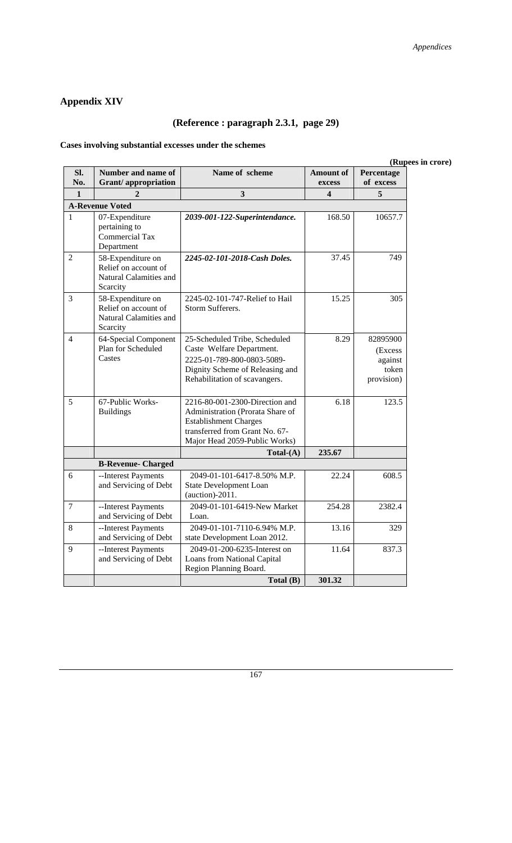## **Appendix XIV**

# **(Reference : paragraph 2.3.1, page 29)**

## **Cases involving substantial excesses under the schemes**

#### **(Rupees in crore)**

| SI.<br>No.     | Number and name of<br><b>Grant</b> /appropriation                               | Name of scheme                                                                                                                                                        | <b>Amount of</b><br>excess | Percentage<br>of excess                                |
|----------------|---------------------------------------------------------------------------------|-----------------------------------------------------------------------------------------------------------------------------------------------------------------------|----------------------------|--------------------------------------------------------|
| $\mathbf{1}$   | 2                                                                               | 3                                                                                                                                                                     | 4                          | 5                                                      |
|                | <b>A-Revenue Voted</b>                                                          |                                                                                                                                                                       |                            |                                                        |
| 1              | 07-Expenditure<br>pertaining to<br><b>Commercial Tax</b><br>Department          | 2039-001-122-Superintendance.                                                                                                                                         | 168.50                     | 10657.7                                                |
| $\overline{2}$ | 58-Expenditure on<br>Relief on account of<br>Natural Calamities and<br>Scarcity | 2245-02-101-2018-Cash Doles.                                                                                                                                          | 37.45                      | 749                                                    |
| 3              | 58-Expenditure on<br>Relief on account of<br>Natural Calamities and<br>Scarcity | 2245-02-101-747-Relief to Hail<br>Storm Sufferers.                                                                                                                    | 15.25                      | 305                                                    |
| 4              | 64-Special Component<br>Plan for Scheduled<br>Castes                            | 25-Scheduled Tribe, Scheduled<br>Caste Welfare Department.<br>2225-01-789-800-0803-5089-<br>Dignity Scheme of Releasing and<br>Rehabilitation of scavangers.          | 8.29                       | 82895900<br>(Excess)<br>against<br>token<br>provision) |
| 5              | 67-Public Works-<br><b>Buildings</b>                                            | 2216-80-001-2300-Direction and<br>Administration (Prorata Share of<br><b>Establishment Charges</b><br>transferred from Grant No. 67-<br>Major Head 2059-Public Works) | 6.18                       | 123.5                                                  |
|                |                                                                                 | $Total-(A)$                                                                                                                                                           | 235.67                     |                                                        |
|                | <b>B-Revenue- Charged</b>                                                       |                                                                                                                                                                       |                            |                                                        |
| 6              | --Interest Payments<br>and Servicing of Debt                                    | 2049-01-101-6417-8.50% M.P.<br><b>State Development Loan</b><br>(auction)-2011.                                                                                       | 22.24                      | 608.5                                                  |
| 7              | --Interest Payments<br>and Servicing of Debt                                    | 2049-01-101-6419-New Market<br>Loan.                                                                                                                                  | 254.28                     | 2382.4                                                 |
| 8              | --Interest Payments<br>and Servicing of Debt                                    | 2049-01-101-7110-6.94% M.P.<br>state Development Loan 2012.                                                                                                           | 13.16                      | 329                                                    |
| 9              | --Interest Payments<br>and Servicing of Debt                                    | 2049-01-200-6235-Interest on<br>Loans from National Capital<br>Region Planning Board.                                                                                 | 11.64                      | 837.3                                                  |
|                |                                                                                 | Total (B)                                                                                                                                                             | 301.32                     |                                                        |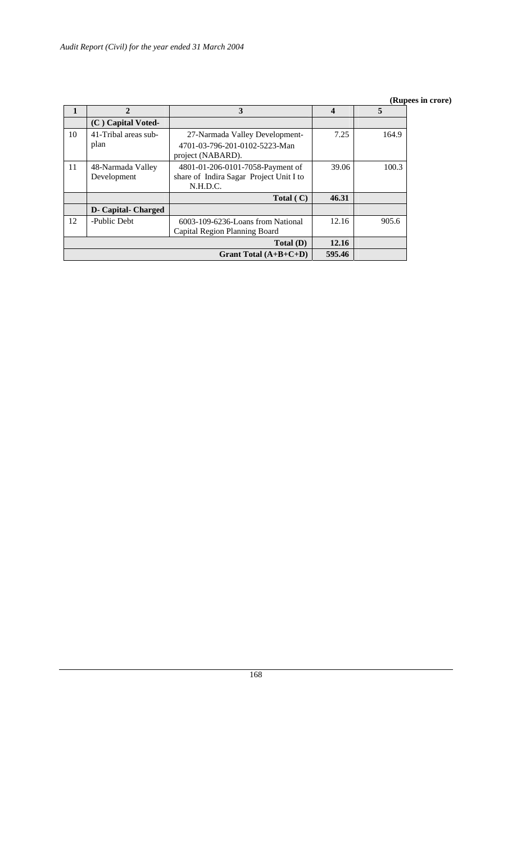|    |                            | 3                                       | 4      | 5     |
|----|----------------------------|-----------------------------------------|--------|-------|
|    | (C) Capital Voted-         |                                         |        |       |
| 10 | 41-Tribal areas sub-       | 27-Narmada Valley Development-          | 7.25   | 164.9 |
|    | plan                       | 4701-03-796-201-0102-5223-Man           |        |       |
|    |                            | project (NABARD).                       |        |       |
| 11 | 48-Narmada Valley          | 4801-01-206-0101-7058-Payment of        | 39.06  | 100.3 |
|    | Development                | share of Indira Sagar Project Unit I to |        |       |
|    |                            | N.H.D.C.                                |        |       |
|    |                            | Total $(C)$                             | 46.31  |       |
|    | <b>D- Capital- Charged</b> |                                         |        |       |
| 12 | -Public Debt               | 6003-109-6236-Loans from National       | 12.16  | 905.6 |
|    |                            | Capital Region Planning Board           |        |       |
|    | Total(D)                   |                                         |        |       |
|    |                            | Grant Total $(A+B+C+D)$                 | 595.46 |       |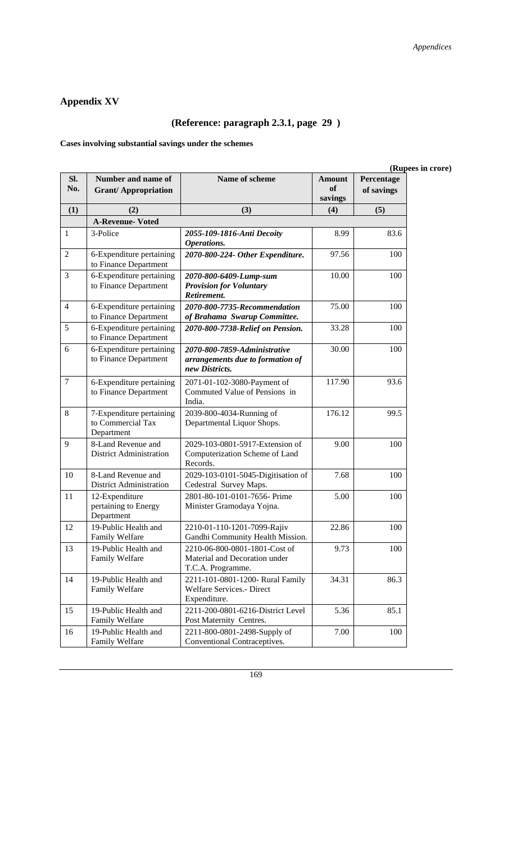## **Appendix XV**

# **(Reference: paragraph 2.3.1, page 29 )**

**Cases involving substantial savings under the schemes** 

| SI.<br>No.     | Number and name of<br><b>Grant/Appropriation</b>            | Name of scheme                                                                      | <b>Amount</b><br><sub>of</sub> | $\mathbf{u}$<br>Percentage<br>of savings |
|----------------|-------------------------------------------------------------|-------------------------------------------------------------------------------------|--------------------------------|------------------------------------------|
|                |                                                             |                                                                                     | savings                        |                                          |
| (1)            | (2)                                                         | (3)                                                                                 | (4)                            | (5)                                      |
|                | <b>A-Revenue- Voted</b>                                     |                                                                                     |                                |                                          |
| 1              | 3-Police                                                    | 2055-109-1816-Anti Decoity<br>Operations.                                           | 8.99                           | 83.6                                     |
| 2              | 6-Expenditure pertaining<br>to Finance Department           | 2070-800-224- Other Expenditure.                                                    | 97.56                          | 100                                      |
| 3              | 6-Expenditure pertaining<br>to Finance Department           | 2070-800-6409-Lump-sum<br><b>Provision for Voluntary</b><br>Retirement.             | 10.00                          | 100                                      |
| $\overline{4}$ | 6-Expenditure pertaining<br>to Finance Department           | 2070-800-7735-Recommendation<br>of Brahama Swarup Committee.                        | 75.00                          | 100                                      |
| 5              | 6-Expenditure pertaining<br>to Finance Department           | 2070-800-7738-Relief on Pension.                                                    | 33.28                          | 100                                      |
| 6              | 6-Expenditure pertaining<br>to Finance Department           | 2070-800-7859-Administrative<br>arrangements due to formation of<br>new Districts.  | 30.00                          | 100                                      |
| $\tau$         | 6-Expenditure pertaining<br>to Finance Department           | 2071-01-102-3080-Payment of<br>Commuted Value of Pensions in<br>India.              | 117.90                         | 93.6                                     |
| 8              | 7-Expenditure pertaining<br>to Commercial Tax<br>Department | 2039-800-4034-Running of<br>Departmental Liquor Shops.                              | 176.12                         | 99.5                                     |
| 9              | 8-Land Revenue and<br><b>District Administration</b>        | 2029-103-0801-5917-Extension of<br>Computerization Scheme of Land<br>Records.       | 9.00                           | 100                                      |
| 10             | 8-Land Revenue and<br><b>District Administration</b>        | 2029-103-0101-5045-Digitisation of<br>Cedestral Survey Maps.                        | 7.68                           | 100                                      |
| 11             | 12-Expenditure<br>pertaining to Energy<br>Department        | 2801-80-101-0101-7656- Prime<br>Minister Gramodaya Yojna.                           | 5.00                           | 100                                      |
| 12             | 19-Public Health and<br>Family Welfare                      | 2210-01-110-1201-7099-Rajiv<br>Gandhi Community Health Mission.                     | 22.86                          | 100                                      |
| 13             | 19-Public Health and<br>Family Welfare                      | 2210-06-800-0801-1801-Cost of<br>Material and Decoration under<br>T.C.A. Programme. | 9.73                           | 100                                      |
| 14             | 19-Public Health and<br>Family Welfare                      | 2211-101-0801-1200- Rural Family<br>Welfare Services.- Direct<br>Expenditure.       | 34.31                          | 86.3                                     |
| 15             | 19-Public Health and<br>Family Welfare                      | 2211-200-0801-6216-District Level<br>Post Maternity Centres.                        | 5.36                           | 85.1                                     |
| 16             | 19-Public Health and<br>Family Welfare                      | 2211-800-0801-2498-Supply of<br>Conventional Contraceptives.                        | 7.00                           | 100                                      |

#### **(Rupees in crore)**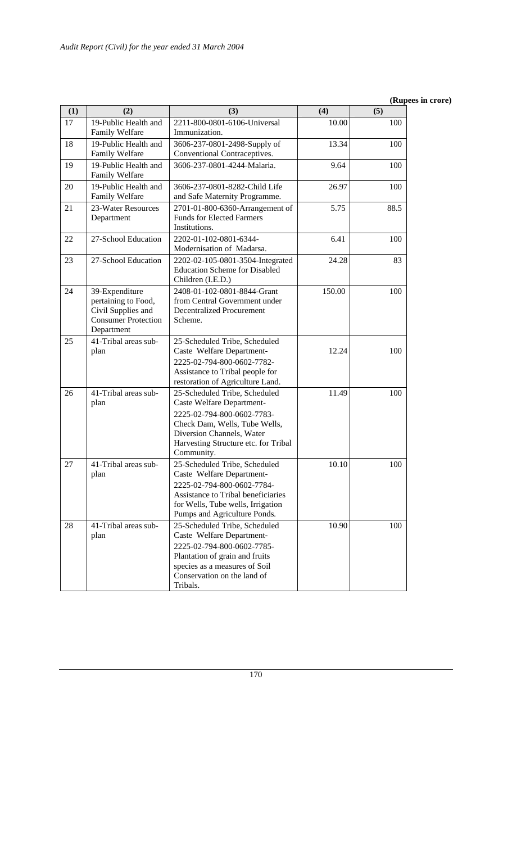| (1) | (2)                                                                                                     | (3)                                                                                                                                                                                                          | (4)    | (5)  |
|-----|---------------------------------------------------------------------------------------------------------|--------------------------------------------------------------------------------------------------------------------------------------------------------------------------------------------------------------|--------|------|
| 17  | 19-Public Health and<br>Family Welfare                                                                  | 2211-800-0801-6106-Universal<br>Immunization.                                                                                                                                                                | 10.00  | 100  |
| 18  | 19-Public Health and<br>Family Welfare                                                                  | 3606-237-0801-2498-Supply of<br>Conventional Contraceptives.                                                                                                                                                 | 13.34  | 100  |
| 19  | 19-Public Health and<br>Family Welfare                                                                  | 3606-237-0801-4244-Malaria.                                                                                                                                                                                  | 9.64   | 100  |
| 20  | 19-Public Health and<br>Family Welfare                                                                  | 3606-237-0801-8282-Child Life<br>and Safe Maternity Programme.                                                                                                                                               | 26.97  | 100  |
| 21  | 23-Water Resources<br>Department                                                                        | 2701-01-800-6360-Arrangement of<br><b>Funds for Elected Farmers</b><br>Institutions.                                                                                                                         | 5.75   | 88.5 |
| 22  | 27-School Education                                                                                     | 2202-01-102-0801-6344-<br>Modernisation of Madarsa.                                                                                                                                                          | 6.41   | 100  |
| 23  | 27-School Education                                                                                     | 2202-02-105-0801-3504-Integrated<br><b>Education Scheme for Disabled</b><br>Children (I.E.D.)                                                                                                                | 24.28  | 83   |
| 24  | 39-Expenditure<br>pertaining to Food,<br>Civil Supplies and<br><b>Consumer Protection</b><br>Department | 2408-01-102-0801-8844-Grant<br>from Central Government under<br><b>Decentralized Procurement</b><br>Scheme.                                                                                                  | 150.00 | 100  |
| 25  | 41-Tribal areas sub-<br>plan                                                                            | 25-Scheduled Tribe, Scheduled<br>Caste Welfare Department-<br>2225-02-794-800-0602-7782-<br>Assistance to Tribal people for<br>restoration of Agriculture Land.                                              | 12.24  | 100  |
| 26  | 41-Tribal areas sub-<br>plan                                                                            | 25-Scheduled Tribe, Scheduled<br>Caste Welfare Department-<br>2225-02-794-800-0602-7783-<br>Check Dam, Wells, Tube Wells,<br>Diversion Channels, Water<br>Harvesting Structure etc. for Tribal<br>Community. | 11.49  | 100  |
| 27  | 41-Tribal areas sub-<br>plan                                                                            | 25-Scheduled Tribe, Scheduled<br>Caste Welfare Department-<br>2225-02-794-800-0602-7784-<br>Assistance to Tribal beneficiaries<br>for Wells, Tube wells, Irrigation<br>Pumps and Agriculture Ponds.          | 10.10  | 100  |
| 28  | 41-Tribal areas sub-<br>plan                                                                            | 25-Scheduled Tribe, Scheduled<br>Caste Welfare Department-<br>2225-02-794-800-0602-7785-<br>Plantation of grain and fruits<br>species as a measures of Soil<br>Conservation on the land of<br>Tribals.       | 10.90  | 100  |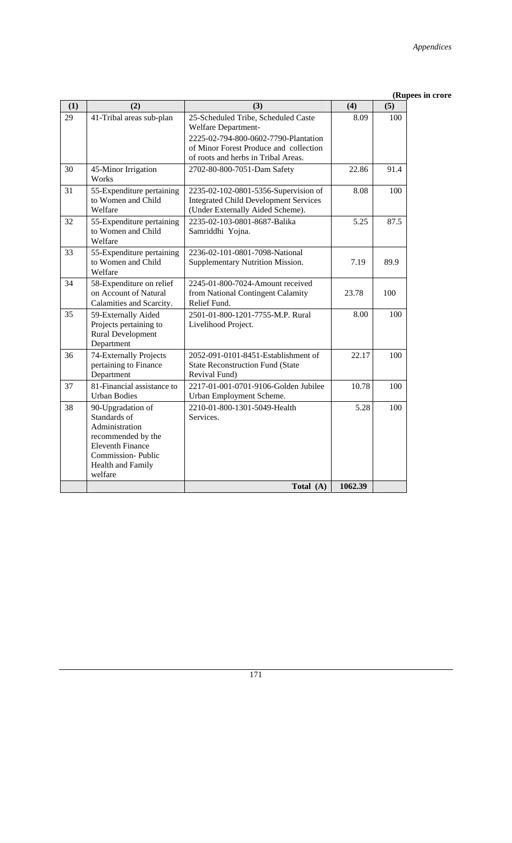| (1) | (2)                                                                                                                                                              | (3)                                                                                                                      | (4)     | (5)  |
|-----|------------------------------------------------------------------------------------------------------------------------------------------------------------------|--------------------------------------------------------------------------------------------------------------------------|---------|------|
| 29  | 41-Tribal areas sub-plan                                                                                                                                         | 25-Scheduled Tribe, Scheduled Caste<br>Welfare Department-                                                               | 8.09    | 100  |
|     |                                                                                                                                                                  | 2225-02-794-800-0602-7790-Plantation<br>of Minor Forest Produce and collection<br>of roots and herbs in Tribal Areas.    |         |      |
| 30  | 45-Minor Irrigation<br>Works                                                                                                                                     | 2702-80-800-7051-Dam Safety                                                                                              | 22.86   | 91.4 |
| 31  | 55-Expenditure pertaining<br>to Women and Child<br>Welfare                                                                                                       | 2235-02-102-0801-5356-Supervision of<br><b>Integrated Child Development Services</b><br>(Under Externally Aided Scheme). | 8.08    | 100  |
| 32  | 55-Expenditure pertaining<br>to Women and Child<br>Welfare                                                                                                       | 2235-02-103-0801-8687-Balika<br>Samriddhi Yojna.                                                                         | 5.25    | 87.5 |
| 33  | 55-Expenditure pertaining<br>to Women and Child<br>Welfare                                                                                                       | 2236-02-101-0801-7098-National<br>Supplementary Nutrition Mission.                                                       | 7.19    | 89.9 |
| 34  | 58-Expenditure on relief<br>on Account of Natural<br>Calamities and Scarcity.                                                                                    | 2245-01-800-7024-Amount received<br>from National Contingent Calamity<br>Relief Fund.                                    | 23.78   | 100  |
| 35  | 59-Externally Aided<br>Projects pertaining to<br><b>Rural Development</b><br>Department                                                                          | 2501-01-800-1201-7755-M.P. Rural<br>Livelihood Project.                                                                  | 8.00    | 100  |
| 36  | 74-Externally Projects<br>pertaining to Finance<br>Department                                                                                                    | 2052-091-0101-8451-Establishment of<br><b>State Reconstruction Fund (State</b><br>Revival Fund)                          | 22.17   | 100  |
| 37  | 81-Financial assistance to<br><b>Urban Bodies</b>                                                                                                                | 2217-01-001-0701-9106-Golden Jubilee<br>Urban Employment Scheme.                                                         | 10.78   | 100  |
| 38  | 90-Upgradation of<br>Standards of<br>Administration<br>recommended by the<br><b>Eleventh Finance</b><br><b>Commission-Public</b><br>Health and Family<br>welfare | 2210-01-800-1301-5049-Health<br>Services.                                                                                | 5.28    | 100  |
|     |                                                                                                                                                                  | Total (A)                                                                                                                | 1062.39 |      |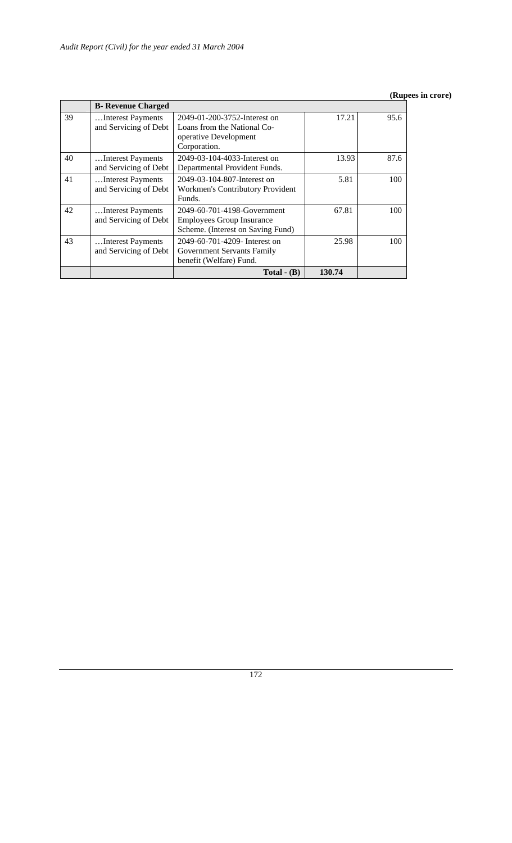|    |                                            | Total $-$ (B)                                                                                        | 130.74 |      |
|----|--------------------------------------------|------------------------------------------------------------------------------------------------------|--------|------|
| 43 | Interest Payments<br>and Servicing of Debt | 2049-60-701-4209- Interest on<br>Government Servants Family<br>benefit (Welfare) Fund.               | 25.98  | 100  |
| 42 | Interest Payments<br>and Servicing of Debt | 2049-60-701-4198-Government<br><b>Employees Group Insurance</b><br>Scheme. (Interest on Saving Fund) | 67.81  | 100  |
| 41 | Interest Payments<br>and Servicing of Debt | 2049-03-104-807-Interest on<br>Workmen's Contributory Provident<br>Funds.                            | 5.81   | 100  |
| 40 | Interest Payments<br>and Servicing of Debt | 2049-03-104-4033-Interest on<br>Departmental Provident Funds.                                        | 13.93  | 87.6 |
| 39 | Interest Payments<br>and Servicing of Debt | 2049-01-200-3752-Interest on<br>Loans from the National Co-<br>operative Development<br>Corporation. | 17.21  | 95.6 |
|    | <b>B- Revenue Charged</b>                  |                                                                                                      |        |      |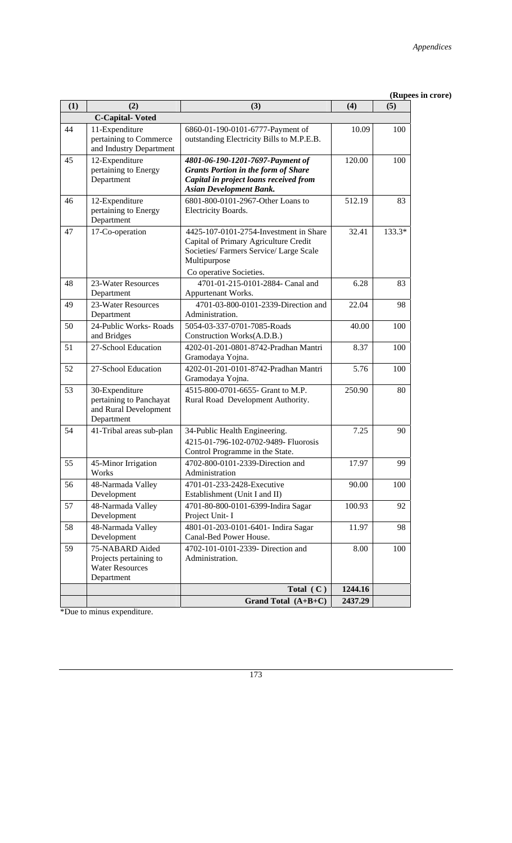| (1) | (2)                                                                               | (3)                                                                                                                                                                 | (4)     | $\mu$<br>(5) |
|-----|-----------------------------------------------------------------------------------|---------------------------------------------------------------------------------------------------------------------------------------------------------------------|---------|--------------|
|     | <b>C-Capital-Voted</b>                                                            |                                                                                                                                                                     |         |              |
| 44  | 11-Expenditure<br>pertaining to Commerce<br>and Industry Department               | 6860-01-190-0101-6777-Payment of<br>outstanding Electricity Bills to M.P.E.B.                                                                                       | 10.09   | 100          |
| 45  | 12-Expenditure<br>pertaining to Energy<br>Department                              | 4801-06-190-1201-7697-Payment of<br><b>Grants Portion in the form of Share</b><br>Capital in project loans received from<br><b>Asian Development Bank.</b>          | 120.00  | 100          |
| 46  | 12-Expenditure<br>pertaining to Energy<br>Department                              | 6801-800-0101-2967-Other Loans to<br>Electricity Boards.                                                                                                            | 512.19  | 83           |
| 47  | 17-Co-operation                                                                   | 4425-107-0101-2754-Investment in Share<br>Capital of Primary Agriculture Credit<br>Societies/Farmers Service/Large Scale<br>Multipurpose<br>Co operative Societies. | 32.41   | 133.3*       |
| 48  | 23-Water Resources<br>Department                                                  | 4701-01-215-0101-2884- Canal and<br>Appurtenant Works.                                                                                                              | 6.28    | 83           |
| 49  | 23-Water Resources<br>Department                                                  | 4701-03-800-0101-2339-Direction and<br>Administration.                                                                                                              | 22.04   | 98           |
| 50  | 24-Public Works-Roads<br>and Bridges                                              | 5054-03-337-0701-7085-Roads<br>Construction Works(A.D.B.)                                                                                                           | 40.00   | 100          |
| 51  | 27-School Education                                                               | 4202-01-201-0801-8742-Pradhan Mantri<br>Gramodaya Yojna.                                                                                                            | 8.37    | 100          |
| 52  | 27-School Education                                                               | 4202-01-201-0101-8742-Pradhan Mantri<br>Gramodaya Yojna.                                                                                                            | 5.76    | 100          |
| 53  | 30-Expenditure<br>pertaining to Panchayat<br>and Rural Development<br>Department  | 4515-800-0701-6655- Grant to M.P.<br>Rural Road Development Authority.                                                                                              | 250.90  | 80           |
| 54  | 41-Tribal areas sub-plan                                                          | 34-Public Health Engineering.<br>4215-01-796-102-0702-9489- Fluorosis<br>Control Programme in the State.                                                            | 7.25    | 90           |
| 55  | 45-Minor Irrigation<br>Works                                                      | 4702-800-0101-2339-Direction and<br>Administration                                                                                                                  | 17.97   | 99           |
| 56  | 48-Narmada Valley<br>Development                                                  | 4701-01-233-2428-Executive<br>Establishment (Unit I and II)                                                                                                         | 90.00   | 100          |
| 57  | 48-Narmada Valley<br>Development                                                  | 4701-80-800-0101-6399-Indira Sagar<br>Project Unit- I                                                                                                               | 100.93  | 92           |
| 58  | 48-Narmada Valley<br>Development                                                  | 4801-01-203-0101-6401- Indira Sagar<br>Canal-Bed Power House.                                                                                                       | 11.97   | 98           |
| 59  | 75-NABARD Aided<br>Projects pertaining to<br><b>Water Resources</b><br>Department | 4702-101-0101-2339- Direction and<br>Administration.                                                                                                                | 8.00    | 100          |
|     |                                                                                   | Total $(C)$                                                                                                                                                         | 1244.16 |              |
|     |                                                                                   | Grand Total $(A+B+C)$                                                                                                                                               | 2437.29 |              |

\*Due to minus expenditure.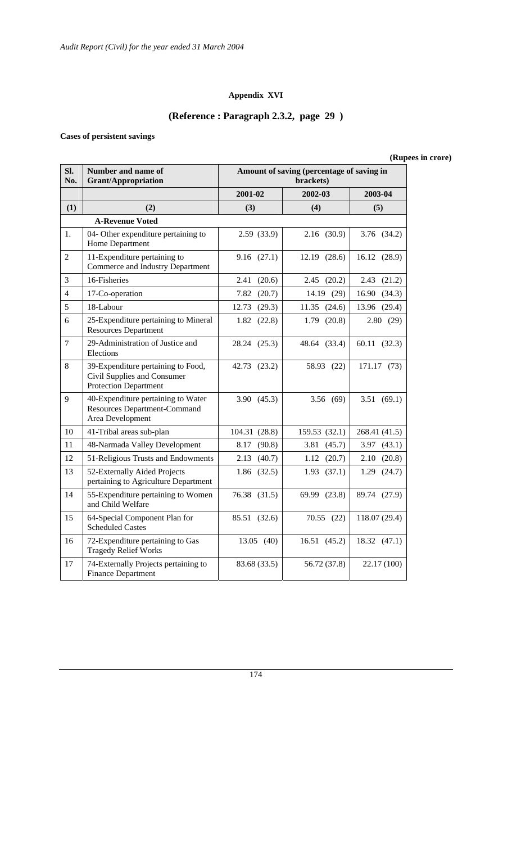### **Appendix XVI**

## **(Reference : Paragraph 2.3.2, page 29 )**

## **Cases of persistent savings**

| SI.<br>No.     | Number and name of<br>Amount of saving (percentage of saving in<br><b>Grant/Appropriation</b><br>brackets) |                 |                 |                |  |
|----------------|------------------------------------------------------------------------------------------------------------|-----------------|-----------------|----------------|--|
|                |                                                                                                            | 2001-02         | 2002-03         | 2003-04        |  |
| (1)            | (2)                                                                                                        | (3)             | (4)             | (5)            |  |
|                | <b>A-Revenue Voted</b>                                                                                     |                 |                 |                |  |
| 1.             | 04- Other expenditure pertaining to<br>Home Department                                                     | 2.59 (33.9)     | 2.16(30.9)      | 3.76 (34.2)    |  |
| 2              | 11-Expenditure pertaining to<br>Commerce and Industry Department                                           | 9.16(27.1)      | 12.19 (28.6)    | 16.12 (28.9)   |  |
| 3              | 16-Fisheries                                                                                               | 2.41<br>(20.6)  | $2.45$ $(20.2)$ | (21.2)<br>2.43 |  |
| $\overline{4}$ | 17-Co-operation                                                                                            | 7.82<br>(20.7)  | 14.19 (29)      | 16.90(34.3)    |  |
| 5              | 18-Labour                                                                                                  | (29.3)<br>12.73 | 11.35(24.6)     | 13.96 (29.4)   |  |
| 6              | 25-Expenditure pertaining to Mineral<br><b>Resources Department</b>                                        | (22.8)<br>1.82  | 1.79<br>(20.8)  | 2.80(29)       |  |
| $\overline{7}$ | 29-Administration of Justice and<br>Elections                                                              | 28.24 (25.3)    | 48.64 (33.4)    | 60.11 (32.3)   |  |
| $8\,$          | 39-Expenditure pertaining to Food,<br>Civil Supplies and Consumer<br><b>Protection Department</b>          | 42.73 (23.2)    | 58.93 (22)      | 171.17 (73)    |  |
| 9              | 40-Expenditure pertaining to Water<br><b>Resources Department-Command</b><br>Area Development              | 3.90(45.3)      | 3.56 (69)       | 3.51(69.1)     |  |
| 10             | 41-Tribal areas sub-plan                                                                                   | 104.31 (28.8)   | 159.53 (32.1)   | 268.41 (41.5)  |  |
| 11             | 48-Narmada Valley Development                                                                              | (90.8)<br>8.17  | 3.81<br>(45.7)  | 3.97<br>(43.1) |  |
| 12             | 51-Religious Trusts and Endowments                                                                         | (40.7)<br>2.13  | (20.7)<br>1.12  | 2.10(20.8)     |  |
| 13             | 52-Externally Aided Projects<br>pertaining to Agriculture Department                                       | (32.5)<br>1.86  | (37.1)<br>1.93  | (24.7)<br>1.29 |  |
| 14             | 55-Expenditure pertaining to Women<br>and Child Welfare                                                    | 76.38 (31.5)    | 69.99 (23.8)    | 89.74 (27.9)   |  |
| 15             | 64-Special Component Plan for<br><b>Scheduled Castes</b>                                                   | 85.51 (32.6)    | 70.55(22)       | 118.07 (29.4)  |  |
| 16             | 72-Expenditure pertaining to Gas<br><b>Tragedy Relief Works</b>                                            | 13.05(40)       | 16.51(45.2)     | 18.32(47.1)    |  |
| 17             | 74-Externally Projects pertaining to<br><b>Finance Department</b>                                          | 83.68 (33.5)    | 56.72 (37.8)    | 22.17 (100)    |  |

## **(Rupees in crore)**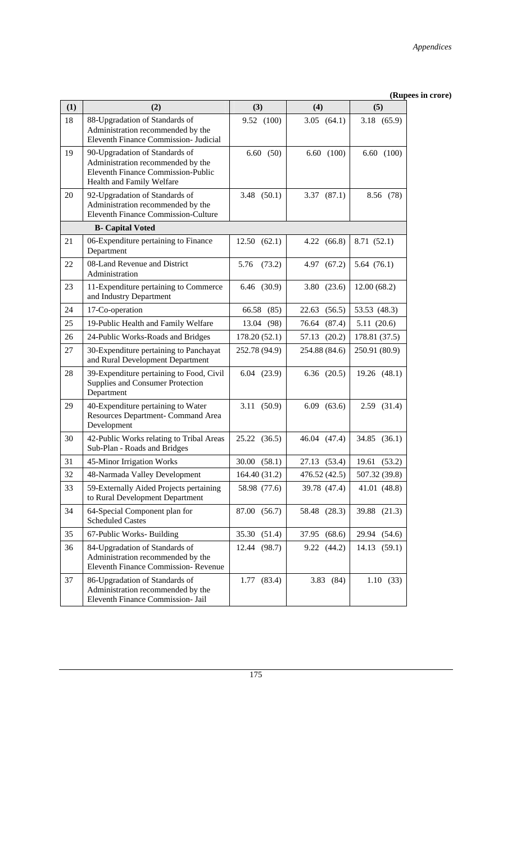| (1) | (2)                                                                                                                                    | (3)             | (4)             | (vapc<br>(5)    |
|-----|----------------------------------------------------------------------------------------------------------------------------------------|-----------------|-----------------|-----------------|
| 18  | 88-Upgradation of Standards of<br>Administration recommended by the<br>Eleventh Finance Commission- Judicial                           | 9.52 (100)      | 3.05(64.1)      | 3.18 (65.9)     |
| 19  | 90-Upgradation of Standards of<br>Administration recommended by the<br>Eleventh Finance Commission-Public<br>Health and Family Welfare | 6.60(50)        | 6.60(100)       | 6.60(100)       |
| 20  | 92-Upgradation of Standards of<br>Administration recommended by the<br><b>Eleventh Finance Commission-Culture</b>                      | 3.48(50.1)      | 3.37(87.1)      | 8.56 (78)       |
|     | <b>B-</b> Capital Voted                                                                                                                |                 |                 |                 |
| 21  | 06-Expenditure pertaining to Finance<br>Department                                                                                     | 12.50(62.1)     | 4.22(66.8)      | 8.71 (52.1)     |
| 22  | 08-Land Revenue and District<br>Administration                                                                                         | 5.76<br>(73.2)  | 4.97 (67.2)     | 5.64(76.1)      |
| 23  | 11-Expenditure pertaining to Commerce<br>and Industry Department                                                                       | 6.46 (30.9)     | 3.80<br>(23.6)  | 12.00(68.2)     |
| 24  | 17-Co-operation                                                                                                                        | 66.58<br>(85)   | 22.63<br>(56.5) | 53.53 (48.3)    |
| 25  | 19-Public Health and Family Welfare                                                                                                    | 13.04<br>(98)   | (87.4)<br>76.64 | 5.11(20.6)      |
| 26  | 24-Public Works-Roads and Bridges                                                                                                      | 178.20(52.1)    | (20.2)<br>57.13 | 178.81 (37.5)   |
| 27  | 30-Expenditure pertaining to Panchayat<br>and Rural Development Department                                                             | 252.78 (94.9)   | 254.88 (84.6)   | 250.91 (80.9)   |
| 28  | 39-Expenditure pertaining to Food, Civil<br>Supplies and Consumer Protection<br>Department                                             | $6.04$ $(23.9)$ | $6.36$ $(20.5)$ | 19.26 (48.1)    |
| 29  | 40-Expenditure pertaining to Water<br>Resources Department- Command Area<br>Development                                                | 3.11 (50.9)     | $6.09$ $(63.6)$ | $2.59$ $(31.4)$ |
| 30  | 42-Public Works relating to Tribal Areas<br>Sub-Plan - Roads and Bridges                                                               | 25.22 (36.5)    | 46.04 (47.4)    | 34.85 (36.1)    |
| 31  | 45-Minor Irrigation Works                                                                                                              | 30.00<br>(58.1) | 27.13 (53.4)    | 19.61 (53.2)    |
| 32  | 48-Narmada Valley Development                                                                                                          | 164.40 (31.2)   | 476.52 (42.5)   | 507.32 (39.8)   |
| 33  | 59-Externally Aided Projects pertaining<br>to Rural Development Department                                                             | 58.98 (77.6)    | 39.78 (47.4)    | 41.01 (48.8)    |
| 34  | 64-Special Component plan for<br><b>Scheduled Castes</b>                                                                               | 87.00 (56.7)    | 58.48 (28.3)    | 39.88 (21.3)    |
| 35  | 67-Public Works-Building                                                                                                               | 35.30<br>(51.4) | 37.95<br>(68.6) | 29.94<br>(54.6) |
| 36  | 84-Upgradation of Standards of<br>Administration recommended by the<br><b>Eleventh Finance Commission- Revenue</b>                     | (98.7)<br>12.44 | 9.22(44.2)      | 14.13<br>(59.1) |
| 37  | 86-Upgradation of Standards of<br>Administration recommended by the<br>Eleventh Finance Commission- Jail                               | 1.77(83.4)      | 3.83(84)        | 1.10(33)        |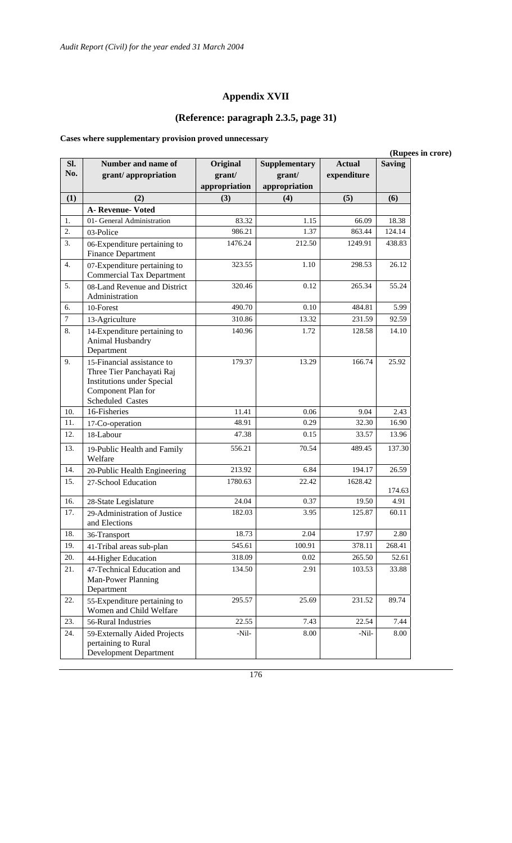## **Appendix XVII**

# **(Reference: paragraph 2.3.5, page 31)**

**Cases where supplementary provision proved unnecessary** 

| (Rupees in crore) |                                                                                                                                        |                                     |                                          |                              |               |
|-------------------|----------------------------------------------------------------------------------------------------------------------------------------|-------------------------------------|------------------------------------------|------------------------------|---------------|
| Sl.<br>No.        | Number and name of<br>grant/appropriation                                                                                              | Original<br>grant/<br>appropriation | Supplementary<br>grant/<br>appropriation | <b>Actual</b><br>expenditure | <b>Saving</b> |
| (1)               | (2)                                                                                                                                    | (3)                                 | (4)                                      | (5)                          | (6)           |
|                   | <b>A- Revenue- Voted</b>                                                                                                               |                                     |                                          |                              |               |
| 1.                | 01- General Administration                                                                                                             | 83.32                               | 1.15                                     | 66.09                        | 18.38         |
| 2.                | 03-Police                                                                                                                              | 986.21                              | 1.37                                     | 863.44                       | 124.14        |
| 3.                | 06-Expenditure pertaining to<br><b>Finance Department</b>                                                                              | 1476.24                             | 212.50                                   | 1249.91                      | 438.83        |
| 4.                | 07-Expenditure pertaining to<br><b>Commercial Tax Department</b>                                                                       | 323.55                              | 1.10                                     | 298.53                       | 26.12         |
| 5.                | 08-Land Revenue and District<br>Administration                                                                                         | 320.46                              | 0.12                                     | 265.34                       | 55.24         |
| 6.                | 10-Forest                                                                                                                              | 490.70                              | 0.10                                     | 484.81                       | 5.99          |
| $\boldsymbol{7}$  | 13-Agriculture                                                                                                                         | 310.86                              | 13.32                                    | 231.59                       | 92.59         |
| 8.                | 14-Expenditure pertaining to<br>Animal Husbandry<br>Department                                                                         | 140.96                              | 1.72                                     | 128.58                       | 14.10         |
| 9.                | 15-Financial assistance to<br>Three Tier Panchayati Raj<br><b>Institutions under Special</b><br>Component Plan for<br>Scheduled Castes | 179.37                              | 13.29                                    | 166.74                       | 25.92         |
| 10.               | 16-Fisheries                                                                                                                           | 11.41                               | 0.06                                     | 9.04                         | 2.43          |
| 11.               | 17-Co-operation                                                                                                                        | 48.91                               | 0.29                                     | 32.30                        | 16.90         |
| 12.               | 18-Labour                                                                                                                              | 47.38                               | 0.15                                     | 33.57                        | 13.96         |
| 13.               | 19-Public Health and Family<br>Welfare                                                                                                 | 556.21                              | 70.54                                    | 489.45                       | 137.30        |
| 14.               | 20-Public Health Engineering                                                                                                           | 213.92                              | 6.84                                     | 194.17                       | 26.59         |
| 15.               | 27-School Education                                                                                                                    | 1780.63                             | 22.42                                    | 1628.42                      | 174.63        |
| 16.               | 28-State Legislature                                                                                                                   | 24.04                               | 0.37                                     | 19.50                        | 4.91          |
| 17.               | 29-Administration of Justice<br>and Elections                                                                                          | 182.03                              | 3.95                                     | 125.87                       | 60.11         |
| 18.               | 36-Transport                                                                                                                           | 18.73                               | 2.04                                     | 17.97                        | 2.80          |
| 19.               | 41-Tribal areas sub-plan                                                                                                               | 545.61                              | 100.91                                   | 378.11                       | 268.41        |
| 20.               | 44-Higher Education                                                                                                                    | 318.09                              | $0.02\,$                                 | 265.50                       | 52.61         |
| 21.               | 47-Technical Education and<br>Man-Power Planning<br>Department                                                                         | 134.50                              | 2.91                                     | 103.53                       | 33.88         |
| 22.               | 55-Expenditure pertaining to<br>Women and Child Welfare                                                                                | 295.57                              | 25.69                                    | 231.52                       | 89.74         |
| 23.               | 56-Rural Industries                                                                                                                    | 22.55                               | 7.43                                     | 22.54                        | 7.44          |
| 24.               | 59-Externally Aided Projects<br>pertaining to Rural<br><b>Development Department</b>                                                   | $-Nil-$                             | 8.00                                     | -Nil-                        | 8.00          |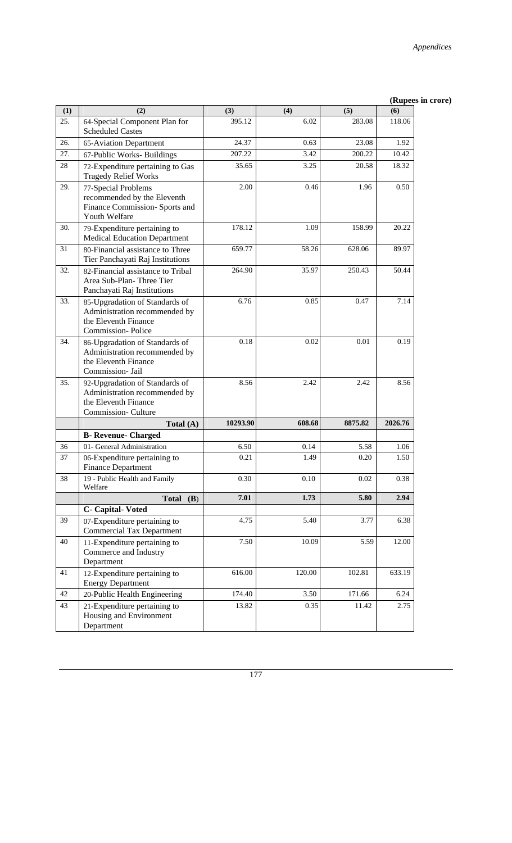|     |                                                                                                                     |          |        |         | (wahees |
|-----|---------------------------------------------------------------------------------------------------------------------|----------|--------|---------|---------|
| (1) | (2)                                                                                                                 | (3)      | (4)    | (5)     | (6)     |
| 25. | 64-Special Component Plan for<br><b>Scheduled Castes</b>                                                            | 395.12   | 6.02   | 283.08  | 118.06  |
| 26. | 65-Aviation Department                                                                                              | 24.37    | 0.63   | 23.08   | 1.92    |
| 27. | 67-Public Works- Buildings                                                                                          | 207.22   | 3.42   | 200.22  | 10.42   |
| 28  | 72-Expenditure pertaining to Gas<br><b>Tragedy Relief Works</b>                                                     | 35.65    | 3.25   | 20.58   | 18.32   |
| 29. | 77-Special Problems<br>recommended by the Eleventh<br>Finance Commission- Sports and<br>Youth Welfare               | 2.00     | 0.46   | 1.96    | 0.50    |
| 30. | 79-Expenditure pertaining to<br><b>Medical Education Department</b>                                                 | 178.12   | 1.09   | 158.99  | 20.22   |
| 31  | 80-Financial assistance to Three<br>Tier Panchayati Raj Institutions                                                | 659.77   | 58.26  | 628.06  | 89.97   |
| 32. | 82-Financial assistance to Tribal<br>Area Sub-Plan-Three Tier<br>Panchayati Raj Institutions                        | 264.90   | 35.97  | 250.43  | 50.44   |
| 33. | 85-Upgradation of Standards of<br>Administration recommended by<br>the Eleventh Finance<br><b>Commission-Police</b> | 6.76     | 0.85   | 0.47    | 7.14    |
| 34. | 86-Upgradation of Standards of<br>Administration recommended by<br>the Eleventh Finance<br>Commission- Jail         | 0.18     | 0.02   | 0.01    | 0.19    |
| 35. | 92-Upgradation of Standards of<br>Administration recommended by<br>the Eleventh Finance<br>Commission-Culture       | 8.56     | 2.42   | 2.42    | 8.56    |
|     | Total $(A)$                                                                                                         | 10293.90 | 608.68 | 8875.82 | 2026.76 |
|     | <b>B-</b> Revenue- Charged                                                                                          |          |        |         |         |
| 36  | 01- General Administration                                                                                          | 6.50     | 0.14   | 5.58    | 1.06    |
| 37  | 06-Expenditure pertaining to<br><b>Finance Department</b>                                                           | 0.21     | 1.49   | 0.20    | 1.50    |
| 38  | 19 - Public Health and Family<br>Welfare                                                                            | 0.30     | 0.10   | 0.02    | 0.38    |
|     | Total $(B)$                                                                                                         | 7.01     | 1.73   | 5.80    | 2.94    |
|     | C- Capital-Voted                                                                                                    |          |        |         |         |
| 39  | 07-Expenditure pertaining to<br><b>Commercial Tax Department</b>                                                    | 4.75     | 5.40   | 3.77    | 6.38    |
| 40  | 11-Expenditure pertaining to<br>Commerce and Industry<br>Department                                                 | 7.50     | 10.09  | 5.59    | 12.00   |
| 41  | 12-Expenditure pertaining to<br><b>Energy Department</b>                                                            | 616.00   | 120.00 | 102.81  | 633.19  |
| 42  | 20-Public Health Engineering                                                                                        | 174.40   | 3.50   | 171.66  | 6.24    |
| 43  | 21-Expenditure pertaining to<br>Housing and Environment<br>Department                                               | 13.82    | 0.35   | 11.42   | 2.75    |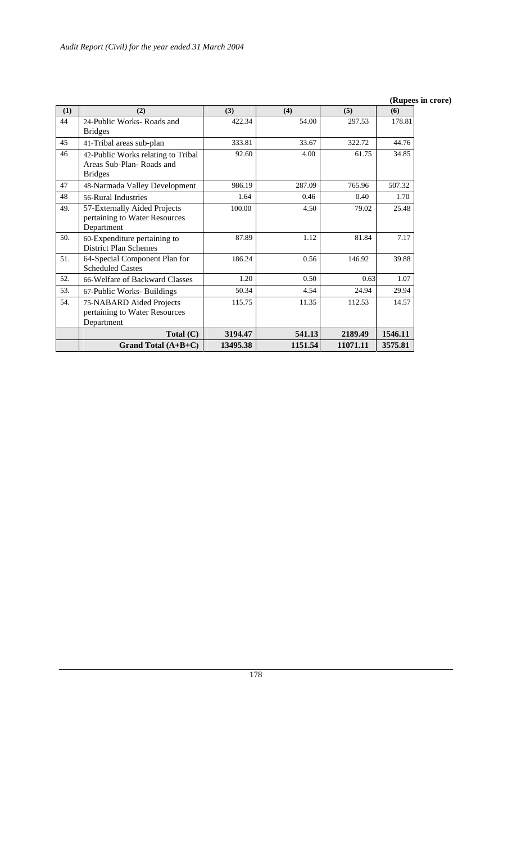| (1) | (2)                                | (3)      | (4)     | (5)      | (6)     |
|-----|------------------------------------|----------|---------|----------|---------|
| 44  | 24-Public Works-Roads and          | 422.34   | 54.00   | 297.53   | 178.81  |
|     | <b>Bridges</b>                     |          |         |          |         |
| 45  | 41-Tribal areas sub-plan           | 333.81   | 33.67   | 322.72   | 44.76   |
| 46  | 42-Public Works relating to Tribal | 92.60    | 4.00    | 61.75    | 34.85   |
|     | Areas Sub-Plan-Roads and           |          |         |          |         |
|     | <b>Bridges</b>                     |          |         |          |         |
| 47  | 48-Narmada Valley Development      | 986.19   | 287.09  | 765.96   | 507.32  |
| 48  | 56-Rural Industries                | 1.64     | 0.46    | 0.40     | 1.70    |
| 49. | 57-Externally Aided Projects       | 100.00   | 4.50    | 79.02    | 25.48   |
|     | pertaining to Water Resources      |          |         |          |         |
|     | Department                         |          |         |          |         |
| 50. | 60-Expenditure pertaining to       | 87.89    | 1.12    | 81.84    | 7.17    |
|     | <b>District Plan Schemes</b>       |          |         |          |         |
| 51. | 64-Special Component Plan for      | 186.24   | 0.56    | 146.92   | 39.88   |
|     | <b>Scheduled Castes</b>            |          |         |          |         |
| 52. | 66-Welfare of Backward Classes     | 1.20     | 0.50    | 0.63     | 1.07    |
| 53. | 67-Public Works-Buildings          | 50.34    | 4.54    | 24.94    | 29.94   |
| 54. | 75-NABARD Aided Projects           | 115.75   | 11.35   | 112.53   | 14.57   |
|     | pertaining to Water Resources      |          |         |          |         |
|     | Department                         |          |         |          |         |
|     | Total $(C)$                        | 3194.47  | 541.13  | 2189.49  | 1546.11 |
|     | Grand Total $(A+B+C)$              | 13495.38 | 1151.54 | 11071.11 | 3575.81 |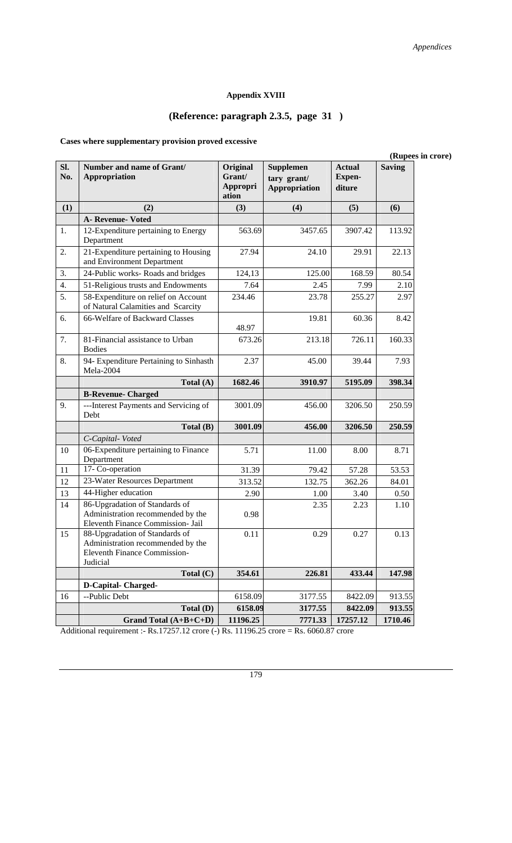# **Appendix XVIII**

# **(Reference: paragraph 2.3.5, page 31 )**

# **Cases where supplementary provision proved excessive**

|                                                                                                                              |                                         |                                                         |                                          | (Rupees in crore) |
|------------------------------------------------------------------------------------------------------------------------------|-----------------------------------------|---------------------------------------------------------|------------------------------------------|-------------------|
| SI.<br>Number and name of Grant/<br>No.<br>Appropriation                                                                     | Original<br>Grant/<br>Appropri<br>ation | <b>Supplemen</b><br>tary grant/<br><b>Appropriation</b> | <b>Actual</b><br><b>Expen-</b><br>diture | <b>Saving</b>     |
| (1)<br>(2)                                                                                                                   | (3)                                     | (4)                                                     | (5)                                      | (6)               |
| A- Revenue- Voted                                                                                                            |                                         |                                                         |                                          |                   |
| 1.<br>12-Expenditure pertaining to Energy<br>Department                                                                      | 563.69                                  | 3457.65                                                 | 3907.42                                  | 113.92            |
| 2.<br>21-Expenditure pertaining to Housing<br>and Environment Department                                                     | 27.94                                   | 24.10                                                   | 29.91                                    | 22.13             |
| 3.<br>24-Public works-Roads and bridges                                                                                      | 124,13                                  | 125.00                                                  | 168.59                                   | 80.54             |
| 4.<br>51-Religious trusts and Endowments                                                                                     | 7.64                                    | 2.45                                                    | 7.99                                     | 2.10              |
| 5.<br>58-Expenditure on relief on Account<br>of Natural Calamities and Scarcity                                              | 234.46                                  | 23.78                                                   | 255.27                                   | 2.97              |
| 66-Welfare of Backward Classes<br>6.                                                                                         | 48.97                                   | 19.81                                                   | 60.36                                    | 8.42              |
| 7.<br>81-Financial assistance to Urban<br><b>Bodies</b>                                                                      | 673.26                                  | 213.18                                                  | 726.11                                   | 160.33            |
| 94- Expenditure Pertaining to Sinhasth<br>8.<br>Mela-2004                                                                    | 2.37                                    | 45.00                                                   | 39.44                                    | 7.93              |
| Total $(A)$                                                                                                                  | 1682.46                                 | 3910.97                                                 | 5195.09                                  | 398.34            |
| <b>B-Revenue- Charged</b>                                                                                                    |                                         |                                                         |                                          |                   |
| 9.<br>---Interest Payments and Servicing of<br>Debt                                                                          | 3001.09                                 | 456.00                                                  | 3206.50                                  | 250.59            |
| Total (B)                                                                                                                    | 3001.09                                 | 456.00                                                  | 3206.50                                  | 250.59            |
| C-Capital-Voted                                                                                                              |                                         |                                                         |                                          |                   |
| 06-Expenditure pertaining to Finance<br>10<br>Department                                                                     | 5.71                                    | 11.00                                                   | 8.00                                     | 8.71              |
| 17- Co-operation<br>11                                                                                                       | 31.39                                   | 79.42                                                   | 57.28                                    | 53.53             |
| 23-Water Resources Department<br>12                                                                                          | 313.52                                  | 132.75                                                  | 362.26                                   | 84.01             |
| 44-Higher education<br>13                                                                                                    | 2.90                                    | 1.00                                                    | 3.40                                     | 0.50              |
| 86-Upgradation of Standards of<br>14<br>Administration recommended by the<br>Eleventh Finance Commission- Jail               | 0.98                                    | 2.35                                                    | 2.23                                     | 1.10              |
| 88-Upgradation of Standards of<br>15<br>Administration recommended by the<br><b>Eleventh Finance Commission-</b><br>Judicial | 0.11                                    | 0.29                                                    | 0.27                                     | 0.13              |
| Total $(C)$                                                                                                                  | 354.61                                  | 226.81                                                  | 433.44                                   | 147.98            |
| <b>D-Capital-Charged-</b>                                                                                                    |                                         |                                                         |                                          |                   |
| 16<br>--Public Debt                                                                                                          | 6158.09                                 | 3177.55                                                 | 8422.09                                  | 913.55            |
| Total (D)                                                                                                                    | 6158.09                                 | 3177.55                                                 | 8422.09                                  | 913.55            |
| Grand Total $(A+B+C+D)$                                                                                                      | 11196.25                                | 7771.33                                                 | 17257.12                                 | 1710.46           |

Additional requirement :- Rs.17257.12 crore (-) Rs. 11196.25 crore = Rs. 6060.87 crore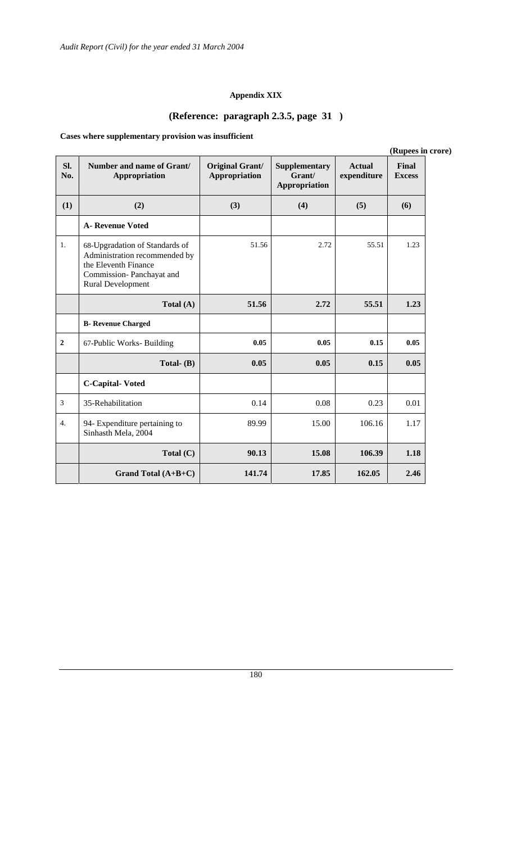# **Appendix XIX**

# **(Reference: paragraph 2.3.5, page 31 )**

# **Cases where supplementary provision was insufficient**

|                  |                                                                                                                                                 |                                                |                                          |                              | (Rupees in crore)             |
|------------------|-------------------------------------------------------------------------------------------------------------------------------------------------|------------------------------------------------|------------------------------------------|------------------------------|-------------------------------|
| SI.<br>No.       | Number and name of Grant/<br>Appropriation                                                                                                      | <b>Original Grant/</b><br><b>Appropriation</b> | Supplementary<br>Grant/<br>Appropriation | <b>Actual</b><br>expenditure | <b>Final</b><br><b>Excess</b> |
| (1)              | (2)                                                                                                                                             | (3)                                            | (4)                                      | (5)                          | (6)                           |
|                  | <b>A- Revenue Voted</b>                                                                                                                         |                                                |                                          |                              |                               |
| 1.               | 68-Upgradation of Standards of<br>Administration recommended by<br>the Eleventh Finance<br>Commission-Panchayat and<br><b>Rural Development</b> | 51.56                                          | 2.72                                     | 55.51                        | 1.23                          |
|                  | Total $(A)$                                                                                                                                     | 51.56                                          | 2.72                                     | 55.51                        | 1.23                          |
|                  | <b>B-</b> Revenue Charged                                                                                                                       |                                                |                                          |                              |                               |
| $\boldsymbol{2}$ | 67-Public Works- Building                                                                                                                       | 0.05                                           | 0.05                                     | 0.15                         | 0.05                          |
|                  | Total- $(B)$                                                                                                                                    | 0.05                                           | 0.05                                     | 0.15                         | 0.05                          |
|                  | <b>C-Capital-Voted</b>                                                                                                                          |                                                |                                          |                              |                               |
| $\mathfrak{Z}$   | 35-Rehabilitation                                                                                                                               | 0.14                                           | 0.08                                     | 0.23                         | 0.01                          |
| $\overline{4}$ . | 94- Expenditure pertaining to<br>Sinhasth Mela, 2004                                                                                            | 89.99                                          | 15.00                                    | 106.16                       | 1.17                          |
|                  | Total $(C)$                                                                                                                                     | 90.13                                          | 15.08                                    | 106.39                       | 1.18                          |
|                  | Grand Total $(A+B+C)$                                                                                                                           | 141.74                                         | 17.85                                    | 162.05                       | 2.46                          |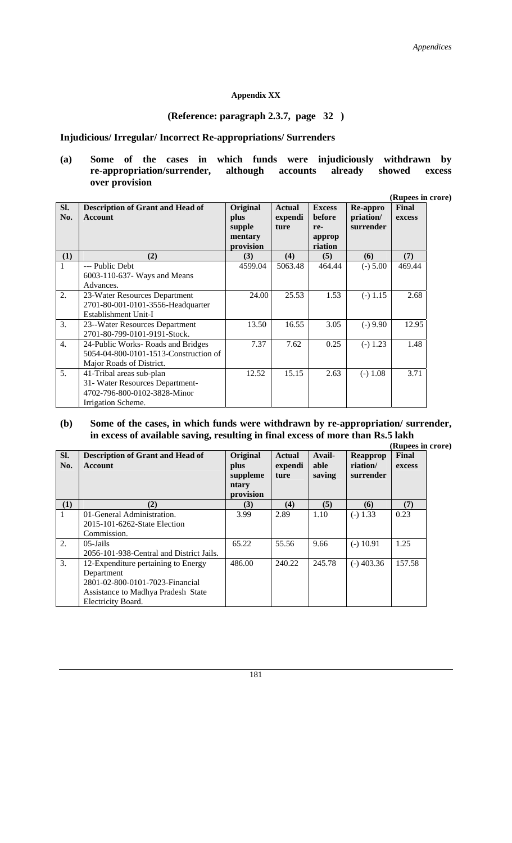#### **Appendix XX**

#### **(Reference: paragraph 2.3.7, page 32 )**

# **Injudicious/ Irregular/ Incorrect Re-appropriations/ Surrenders**

### **(a) Some of the cases in which funds were injudiciously withdrawn by re-appropriation/surrender, although accounts already showed excess over provision**

**(Rupees in crore)** 

| SI.<br>No. | <b>Description of Grant and Head of</b><br><b>Account</b>                                                         | Original<br>plus<br>supple<br>mentary<br>provision | <b>Actual</b><br>expendi<br>ture | <b>Excess</b><br>before<br>re-<br>approp<br>riation | Re-appro<br>priation/<br>surrender | Final<br>excess |
|------------|-------------------------------------------------------------------------------------------------------------------|----------------------------------------------------|----------------------------------|-----------------------------------------------------|------------------------------------|-----------------|
| (1)        | (2)                                                                                                               | (3)                                                | (4)                              | (5)                                                 | (6)                                | (7)             |
| 1          | --- Public Debt<br>6003-110-637- Ways and Means<br>Advances.                                                      | 4599.04                                            | 5063.48                          | 464.44                                              | $(-) 5.00$                         | 469.44          |
| 2.         | 23-Water Resources Department<br>2701-80-001-0101-3556-Headquarter<br>Establishment Unit-I                        | 24.00                                              | 25.53                            | 1.53                                                | $(-) 1.15$                         | 2.68            |
| 3.         | 23--Water Resources Department<br>2701-80-799-0101-9191-Stock.                                                    | 13.50                                              | 16.55                            | 3.05                                                | $(-) 9.90$                         | 12.95           |
| 4.         | 24-Public Works-Roads and Bridges<br>5054-04-800-0101-1513-Construction of<br>Major Roads of District.            | 7.37                                               | 7.62                             | 0.25                                                | $(-) 1.23$                         | 1.48            |
| 5.         | 41-Tribal areas sub-plan<br>31- Water Resources Department-<br>4702-796-800-0102-3828-Minor<br>Irrigation Scheme. | 12.52                                              | 15.15                            | 2.63                                                | $(-) 1.08$                         | 3.71            |

### **(b) Some of the cases, in which funds were withdrawn by re-appropriation/ surrender, in excess of available saving, resulting in final excess of more than Rs.5 lakh**

|                  |                                          |           |               |        |              | (Rupees in crore) |  |
|------------------|------------------------------------------|-----------|---------------|--------|--------------|-------------------|--|
| SI.              | <b>Description of Grant and Head of</b>  | Original  | <b>Actual</b> | Avail- | Reapprop     | Final             |  |
| No.              | <b>Account</b>                           | plus      | expendi       | able   | riation/     | excess            |  |
|                  |                                          | suppleme  | ture          | saving | surrender    |                   |  |
|                  |                                          | ntary     |               |        |              |                   |  |
|                  |                                          | provision |               |        |              |                   |  |
| (1)              | (2)                                      | (3)       | (4)           | (5)    | (6)          | (7)               |  |
| 1                | 01-General Administration.               | 3.99      | 2.89          | 1.10   | $(-) 1.33$   | 0.23              |  |
|                  | 2015-101-6262-State Election             |           |               |        |              |                   |  |
|                  | Commission.                              |           |               |        |              |                   |  |
| $\overline{2}$ . | $05$ -Jails                              | 65.22     | 55.56         | 9.66   | $(-)$ 10.91  | 1.25              |  |
|                  | 2056-101-938-Central and District Jails. |           |               |        |              |                   |  |
| 3.               | 12-Expenditure pertaining to Energy      | 486.00    | 240.22        | 245.78 | $(-)$ 403.36 | 157.58            |  |
|                  | Department                               |           |               |        |              |                   |  |
|                  | 2801-02-800-0101-7023-Financial          |           |               |        |              |                   |  |
|                  | Assistance to Madhya Pradesh State       |           |               |        |              |                   |  |
|                  | Electricity Board.                       |           |               |        |              |                   |  |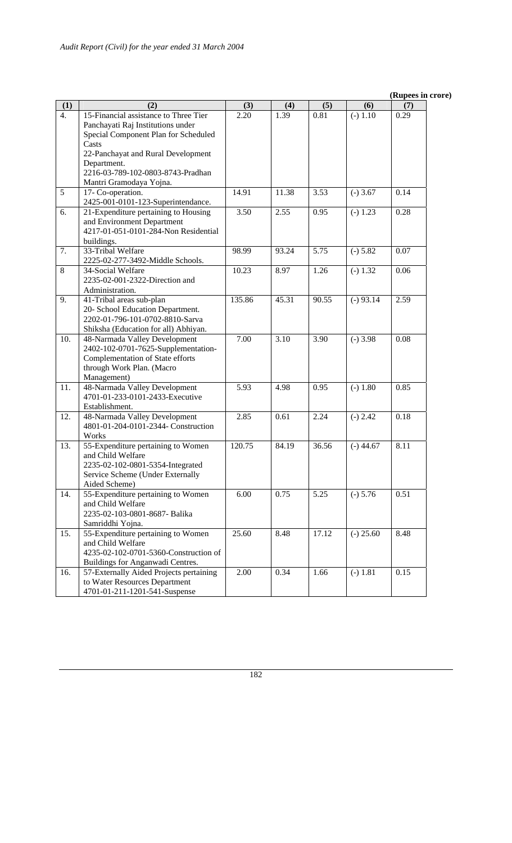|                  |                                                                                                                                                                   |        |       |       |             | (Rupees in crore) |
|------------------|-------------------------------------------------------------------------------------------------------------------------------------------------------------------|--------|-------|-------|-------------|-------------------|
| (1)              | (2)                                                                                                                                                               | (3)    | (4)   | (5)   | (6)         | (7)               |
| $\overline{4}$ . | 15-Financial assistance to Three Tier<br>Panchayati Raj Institutions under<br>Special Component Plan for Scheduled<br>Casts<br>22-Panchayat and Rural Development | 2.20   | 1.39  | 0.81  | $(-) 1.10$  | 0.29              |
|                  | Department.<br>2216-03-789-102-0803-8743-Pradhan<br>Mantri Gramodaya Yojna.                                                                                       |        |       |       |             |                   |
| 5                | 17- Co-operation.<br>2425-001-0101-123-Superintendance.                                                                                                           | 14.91  | 11.38 | 3.53  | $(-)$ 3.67  | 0.14              |
| 6.               | 21-Expenditure pertaining to Housing<br>and Environment Department<br>4217-01-051-0101-284-Non Residential<br>buildings.                                          | 3.50   | 2.55  | 0.95  | $(-) 1.23$  | 0.28              |
| 7.               | 33-Tribal Welfare<br>2225-02-277-3492-Middle Schools.                                                                                                             | 98.99  | 93.24 | 5.75  | $(-) 5.82$  | 0.07              |
| $\,8\,$          | 34-Social Welfare<br>2235-02-001-2322-Direction and<br>Administration.                                                                                            | 10.23  | 8.97  | 1.26  | $(-) 1.32$  | 0.06              |
| 9.               | 41-Tribal areas sub-plan<br>20- School Education Department.<br>2202-01-796-101-0702-8810-Sarva<br>Shiksha (Education for all) Abhiyan.                           | 135.86 | 45.31 | 90.55 | $(-) 93.14$ | 2.59              |
| 10.              | 48-Narmada Valley Development<br>2402-102-0701-7625-Supplementation-<br>Complementation of State efforts<br>through Work Plan. (Macro<br>Management)              | 7.00   | 3.10  | 3.90  | $(-)$ 3.98  | 0.08              |
| 11.              | 48-Narmada Valley Development<br>4701-01-233-0101-2433-Executive<br>Establishment.                                                                                | 5.93   | 4.98  | 0.95  | $(-) 1.80$  | 0.85              |
| 12.              | 48-Narmada Valley Development<br>4801-01-204-0101-2344- Construction<br>Works                                                                                     | 2.85   | 0.61  | 2.24  | $(-) 2.42$  | 0.18              |
| 13.              | 55-Expenditure pertaining to Women<br>and Child Welfare<br>2235-02-102-0801-5354-Integrated<br>Service Scheme (Under Externally<br>Aided Scheme)                  | 120.75 | 84.19 | 36.56 | $(-)$ 44.67 | 8.11              |
| 14.              | 55-Expenditure pertaining to Women<br>and Child Welfare<br>2235-02-103-0801-8687- Balika<br>Samriddhi Yojna.                                                      | 6.00   | 0.75  | 5.25  | $(-) 5.76$  | 0.51              |
| 15.              | 55-Expenditure pertaining to Women<br>and Child Welfare<br>4235-02-102-0701-5360-Construction of<br>Buildings for Anganwadi Centres.                              | 25.60  | 8.48  | 17.12 | $(-) 25.60$ | 8.48              |
| 16.              | 57-Externally Aided Projects pertaining<br>to Water Resources Department<br>4701-01-211-1201-541-Suspense                                                         | 2.00   | 0.34  | 1.66  | $(-) 1.81$  | 0.15              |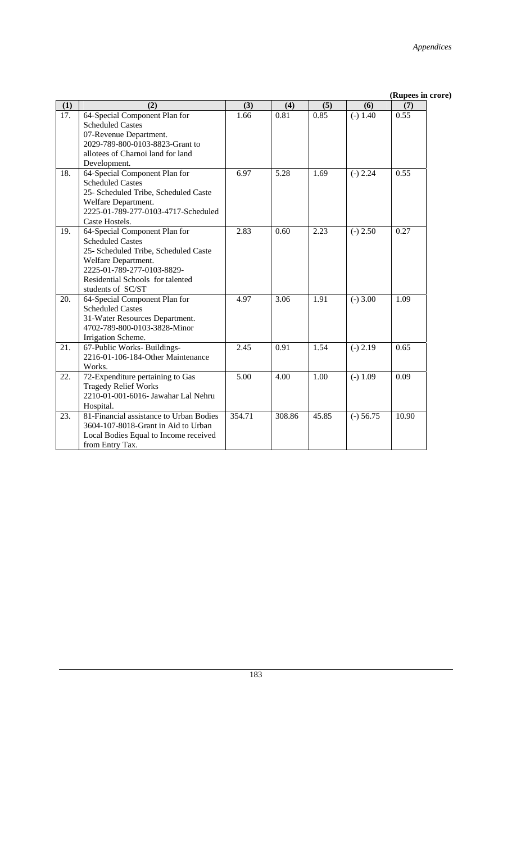|                   |                                                                                                                                                                                                                |                   |        |       |             | (Rupees in crore) |  |
|-------------------|----------------------------------------------------------------------------------------------------------------------------------------------------------------------------------------------------------------|-------------------|--------|-------|-------------|-------------------|--|
| (1)               | (2)                                                                                                                                                                                                            | (3)               | (4)    | (5)   | (6)         | (7)               |  |
| $\overline{17}$ . | 64-Special Component Plan for<br><b>Scheduled Castes</b><br>07-Revenue Department.                                                                                                                             | 1.66              | 0.81   | 0.85  | $(-) 1.40$  | 0.55              |  |
|                   | 2029-789-800-0103-8823-Grant to<br>allotees of Charnoi land for land<br>Development.                                                                                                                           |                   |        |       |             |                   |  |
| 18.               | 64-Special Component Plan for<br><b>Scheduled Castes</b><br>25- Scheduled Tribe, Scheduled Caste<br>Welfare Department.<br>2225-01-789-277-0103-4717-Scheduled<br>Caste Hostels.                               | 6.97              | 5.28   | 1.69  | $(-) 2.24$  | 0.55              |  |
| 19.               | 64-Special Component Plan for<br><b>Scheduled Castes</b><br>25- Scheduled Tribe, Scheduled Caste<br>Welfare Department.<br>2225-01-789-277-0103-8829-<br>Residential Schools for talented<br>students of SC/ST | 2.83              | 0.60   | 2.23  | $(-) 2.50$  | 0.27              |  |
| 20.               | 64-Special Component Plan for<br><b>Scheduled Castes</b><br>31-Water Resources Department.<br>4702-789-800-0103-3828-Minor<br>Irrigation Scheme.                                                               | 4.97              | 3.06   | 1.91  | $(-) 3.00$  | 1.09              |  |
| 21.               | 67-Public Works-Buildings-<br>2216-01-106-184-Other Maintenance<br>Works.                                                                                                                                      | 2.45              | 0.91   | 1.54  | $(-) 2.19$  | 0.65              |  |
| 22.               | 72-Expenditure pertaining to Gas<br><b>Tragedy Relief Works</b><br>2210-01-001-6016- Jawahar Lal Nehru<br>Hospital.                                                                                            | $\overline{5.00}$ | 4.00   | 1.00  | $(-) 1.09$  | 0.09              |  |
| 23.               | 81-Financial assistance to Urban Bodies<br>3604-107-8018-Grant in Aid to Urban<br>Local Bodies Equal to Income received<br>from Entry Tax.                                                                     | 354.71            | 308.86 | 45.85 | $(-) 56.75$ | 10.90             |  |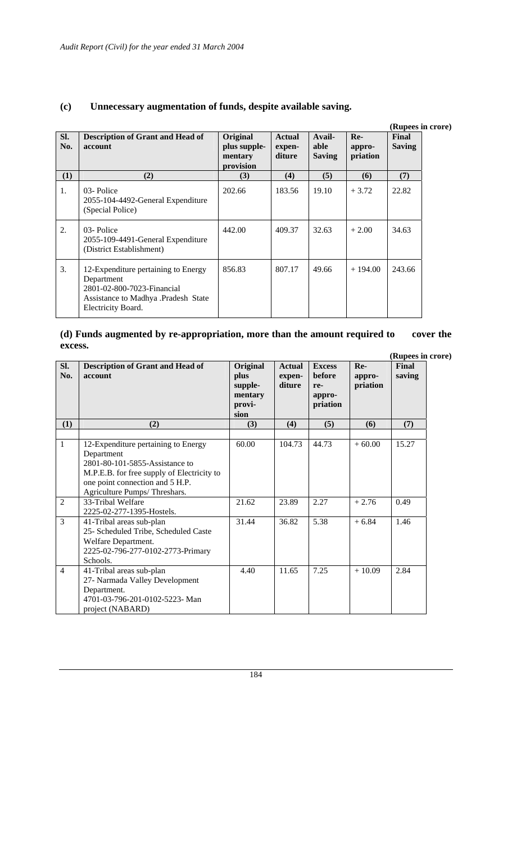|            |                                                                                                                                              |                                                  |                                   |                                 |                             | (Rupees in crore)      |  |
|------------|----------------------------------------------------------------------------------------------------------------------------------------------|--------------------------------------------------|-----------------------------------|---------------------------------|-----------------------------|------------------------|--|
| SI.<br>No. | <b>Description of Grant and Head of</b><br>account                                                                                           | Original<br>plus supple-<br>mentary<br>provision | <b>Actual</b><br>expen-<br>diture | Avail-<br>able<br><b>Saving</b> | $Re-$<br>appro-<br>priation | Final<br><b>Saving</b> |  |
| (1)        | (2)                                                                                                                                          | (3)                                              | (4)                               | (5)                             | (6)                         | (7)                    |  |
| 1.         | 03-Police<br>2055-104-4492-General Expenditure<br>(Special Police)                                                                           | 202.66                                           | 183.56                            | 19.10                           | $+3.72$                     | 22.82                  |  |
| 2.         | 03-Police<br>2055-109-4491-General Expenditure<br>(District Establishment)                                                                   | 442.00                                           | 409.37                            | 32.63                           | $+2.00$                     | 34.63                  |  |
| 3.         | 12-Expenditure pertaining to Energy<br>Department<br>2801-02-800-7023-Financial<br>Assistance to Madhya .Pradesh State<br>Electricity Board. | 856.83                                           | 807.17                            | 49.66                           | $+194.00$                   | 243.66                 |  |

# **(c) Unnecessary augmentation of funds, despite available saving.**

# **(d) Funds augmented by re-appropriation, more than the amount required to cover the excess.**

|                |                                                                                                                                                                                                      |                                                          |                                   |                                                      |                           | (Rupees in crore) |
|----------------|------------------------------------------------------------------------------------------------------------------------------------------------------------------------------------------------------|----------------------------------------------------------|-----------------------------------|------------------------------------------------------|---------------------------|-------------------|
| Sl.<br>No.     | <b>Description of Grant and Head of</b><br>account                                                                                                                                                   | Original<br>plus<br>supple-<br>mentary<br>provi-<br>sion | <b>Actual</b><br>expen-<br>diture | <b>Excess</b><br>before<br>re-<br>appro-<br>priation | Re-<br>appro-<br>priation | Final<br>saving   |
| (1)            | (2)                                                                                                                                                                                                  | (3)                                                      | (4)                               | (5)                                                  | (6)                       | (7)               |
| $\mathbf{1}$   | 12-Expenditure pertaining to Energy<br>Department<br>2801-80-101-5855-Assistance to<br>M.P.E.B. for free supply of Electricity to<br>one point connection and 5 H.P.<br>Agriculture Pumps/Threshars. | 60.00                                                    | 104.73                            | 44.73                                                | $+60.00$                  | 15.27             |
| $\overline{2}$ | 33-Tribal Welfare<br>2225-02-277-1395-Hostels.                                                                                                                                                       | 21.62                                                    | 23.89                             | 2.27                                                 | $+2.76$                   | 0.49              |
| 3              | 41-Tribal areas sub-plan<br>25- Scheduled Tribe, Scheduled Caste<br>Welfare Department.<br>2225-02-796-277-0102-2773-Primary<br>Schools.                                                             | 31.44                                                    | 36.82                             | 5.38                                                 | $+6.84$                   | 1.46              |
| $\overline{4}$ | 41-Tribal areas sub-plan<br>27- Narmada Valley Development<br>Department.<br>4701-03-796-201-0102-5223- Man<br>project (NABARD)                                                                      | 4.40                                                     | 11.65                             | 7.25                                                 | $+10.09$                  | 2.84              |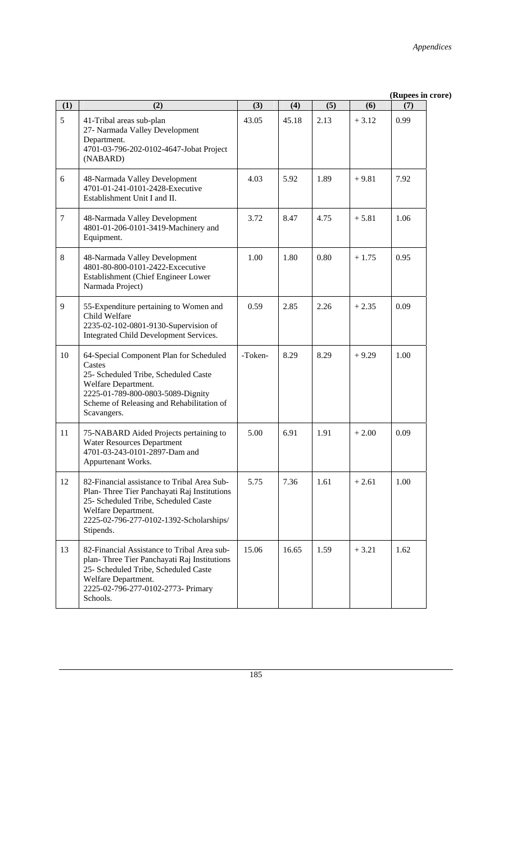|                |                                                                                                                                                                                                                   |         |       |      |         | (Rupees in crore) |
|----------------|-------------------------------------------------------------------------------------------------------------------------------------------------------------------------------------------------------------------|---------|-------|------|---------|-------------------|
| (1)            | (2)                                                                                                                                                                                                               | (3)     | (4)   | (5)  | (6)     | (7)               |
| 5              | 41-Tribal areas sub-plan<br>27- Narmada Valley Development<br>Department.<br>4701-03-796-202-0102-4647-Jobat Project<br>(NABARD)                                                                                  | 43.05   | 45.18 | 2.13 | $+3.12$ | 0.99              |
| 6              | 48-Narmada Valley Development<br>4701-01-241-0101-2428-Executive<br>Establishment Unit I and II.                                                                                                                  | 4.03    | 5.92  | 1.89 | $+9.81$ | 7.92              |
| $\overline{7}$ | 48-Narmada Valley Development<br>4801-01-206-0101-3419-Machinery and<br>Equipment.                                                                                                                                | 3.72    | 8.47  | 4.75 | $+5.81$ | 1.06              |
| $\,8\,$        | 48-Narmada Valley Development<br>4801-80-800-0101-2422-Excecutive<br>Establishment (Chief Engineer Lower<br>Narmada Project)                                                                                      | 1.00    | 1.80  | 0.80 | $+1.75$ | 0.95              |
| 9              | 55-Expenditure pertaining to Women and<br>Child Welfare<br>2235-02-102-0801-9130-Supervision of<br>Integrated Child Development Services.                                                                         | 0.59    | 2.85  | 2.26 | $+2.35$ | 0.09              |
| 10             | 64-Special Component Plan for Scheduled<br>Castes<br>25- Scheduled Tribe, Scheduled Caste<br>Welfare Department.<br>2225-01-789-800-0803-5089-Dignity<br>Scheme of Releasing and Rehabilitation of<br>Scavangers. | -Token- | 8.29  | 8.29 | $+9.29$ | 1.00              |
| 11             | 75-NABARD Aided Projects pertaining to<br><b>Water Resources Department</b><br>4701-03-243-0101-2897-Dam and<br>Appurtenant Works.                                                                                | 5.00    | 6.91  | 1.91 | $+2.00$ | 0.09              |
| 12             | 82-Financial assistance to Tribal Area Sub-<br>Plan-Three Tier Panchayati Raj Institutions<br>25- Scheduled Tribe, Scheduled Caste<br>Welfare Department.<br>2225-02-796-277-0102-1392-Scholarships/<br>Stipends. | 5.75    | 7.36  | 1.61 | $+2.61$ | 1.00              |
| 13             | 82-Financial Assistance to Tribal Area sub-<br>plan-Three Tier Panchayati Raj Institutions<br>25- Scheduled Tribe, Scheduled Caste<br>Welfare Department.<br>2225-02-796-277-0102-2773- Primary<br>Schools.       | 15.06   | 16.65 | 1.59 | $+3.21$ | 1.62              |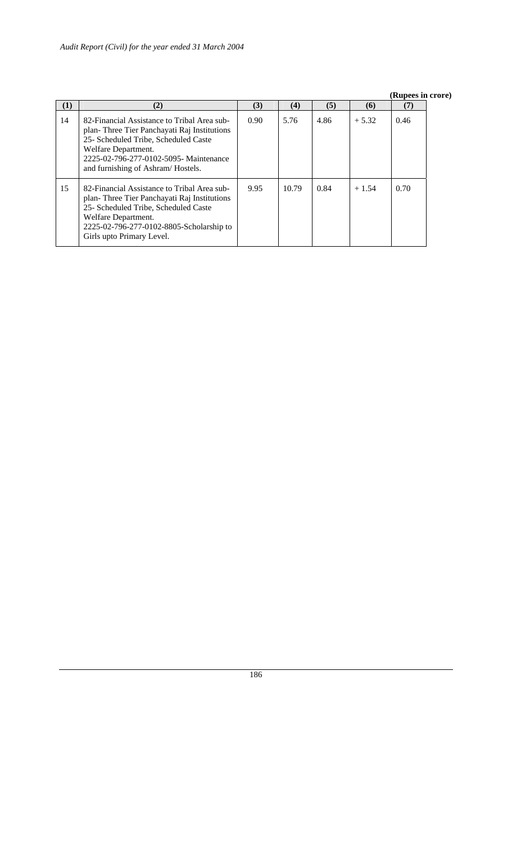#### **(Rupees in crore)**

| (1) | (2)                                                                                                                                                                                                                                      | (3)  | (4)   | (5)  | (6)     | (7)  |
|-----|------------------------------------------------------------------------------------------------------------------------------------------------------------------------------------------------------------------------------------------|------|-------|------|---------|------|
| 14  | 82-Financial Assistance to Tribal Area sub-<br>plan-Three Tier Panchayati Raj Institutions<br>25- Scheduled Tribe, Scheduled Caste<br>Welfare Department.<br>2225-02-796-277-0102-5095- Maintenance<br>and furnishing of Ashram/Hostels. | 0.90 | 5.76  | 4.86 | $+5.32$ | 0.46 |
| 15  | 82-Financial Assistance to Tribal Area sub-<br>plan-Three Tier Panchayati Raj Institutions<br>25- Scheduled Tribe, Scheduled Caste<br>Welfare Department.<br>2225-02-796-277-0102-8805-Scholarship to<br>Girls upto Primary Level.       | 9.95 | 10.79 | 0.84 | $+1.54$ | 0.70 |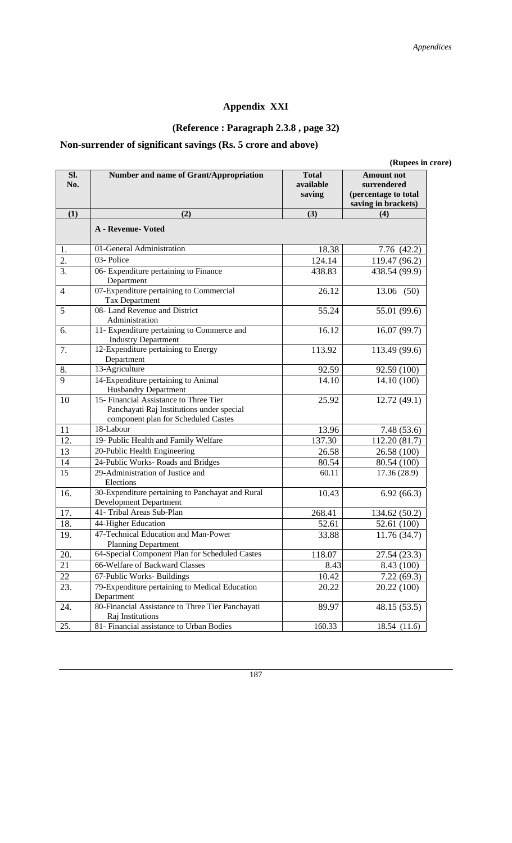# **Appendix XXI**

# **(Reference : Paragraph 2.3.8 , page 32)**

# **Non-surrender of significant savings (Rs. 5 crore and above)**

|                   |                                                                                                                            |                                     | (Rupees in crore)                                                               |
|-------------------|----------------------------------------------------------------------------------------------------------------------------|-------------------------------------|---------------------------------------------------------------------------------|
| SI.<br>No.        | Number and name of Grant/Appropriation                                                                                     | <b>Total</b><br>available<br>saving | <b>Amount not</b><br>surrendered<br>(percentage to total<br>saving in brackets) |
| (1)               | (2)                                                                                                                        | (3)                                 | (4)                                                                             |
|                   | <b>A</b> - Revenue- Voted                                                                                                  |                                     |                                                                                 |
| 1.                | 01-General Administration                                                                                                  | 18.38                               | 7.76 (42.2)                                                                     |
| $\overline{2}$ .  | 03-Police                                                                                                                  | 124.14                              | 119.47 (96.2)                                                                   |
| 3.                | 06- Expenditure pertaining to Finance<br>Department                                                                        | 438.83                              | 438.54 (99.9)                                                                   |
| 4                 | 07-Expenditure pertaining to Commercial<br>Tax Department                                                                  | 26.12                               | 13.06 (50)                                                                      |
| 5                 | 08-Land Revenue and District<br>Administration                                                                             | 55.24                               | 55.01 (99.6)                                                                    |
| 6.                | 11- Expenditure pertaining to Commerce and<br><b>Industry Department</b>                                                   | 16.12                               | 16.07(99.7)                                                                     |
| 7.                | 12-Expenditure pertaining to Energy<br>Department                                                                          | 113.92                              | 113.49 (99.6)                                                                   |
| 8.                | 13-Agriculture                                                                                                             | 92.59                               | 92.59 (100)                                                                     |
| 9                 | 14-Expenditure pertaining to Animal<br><b>Husbandry Department</b>                                                         | 14.10                               | 14.10 (100)                                                                     |
| 10                | 15- Financial Assistance to Three Tier<br>Panchayati Raj Institutions under special<br>component plan for Scheduled Castes | 25.92                               | 12.72(49.1)                                                                     |
| 11                | 18-Labour                                                                                                                  | 13.96                               | 7.48(53.6)                                                                      |
| $\overline{12}$ . | 19- Public Health and Family Welfare                                                                                       | 137.30                              | 112.20 (81.7)                                                                   |
| 13                | 20-Public Health Engineering                                                                                               | 26.58                               | 26.58 (100)                                                                     |
| 14                | 24-Public Works-Roads and Bridges                                                                                          | 80.54                               | 80.54 (100)                                                                     |
| 15                | 29-Administration of Justice and<br>Elections                                                                              | 60.11                               | 17.36(28.9)                                                                     |
| 16.               | 30-Expenditure pertaining to Panchayat and Rural<br><b>Development Department</b>                                          | 10.43                               | 6.92(66.3)                                                                      |
| 17.               | 41- Tribal Areas Sub-Plan                                                                                                  | 268.41                              | 134.62 (50.2)                                                                   |
| 18.               | 44-Higher Education                                                                                                        | 52.61                               | 52.61 (100)                                                                     |
| 19.               | 47-Technical Education and Man-Power<br><b>Planning Department</b>                                                         | 33.88                               | 11.76(34.7)                                                                     |
| 20.               | 64-Special Component Plan for Scheduled Castes                                                                             | 118.07                              | 27.54 (23.3)                                                                    |
| 21                | 66-Welfare of Backward Classes                                                                                             | 8.43                                | 8.43 (100)                                                                      |
| 22                | 67-Public Works- Buildings                                                                                                 | 10.42                               | 7.22(69.3)                                                                      |
| 23.               | 79-Expenditure pertaining to Medical Education<br>Department                                                               | 20.22                               | 20.22 (100)                                                                     |
| 24.               | 80-Financial Assistance to Three Tier Panchayati<br>Raj Institutions                                                       | 89.97                               | 48.15(53.5)                                                                     |
| 25.               | 81- Financial assistance to Urban Bodies                                                                                   | 160.33                              | 18.54 (11.6)                                                                    |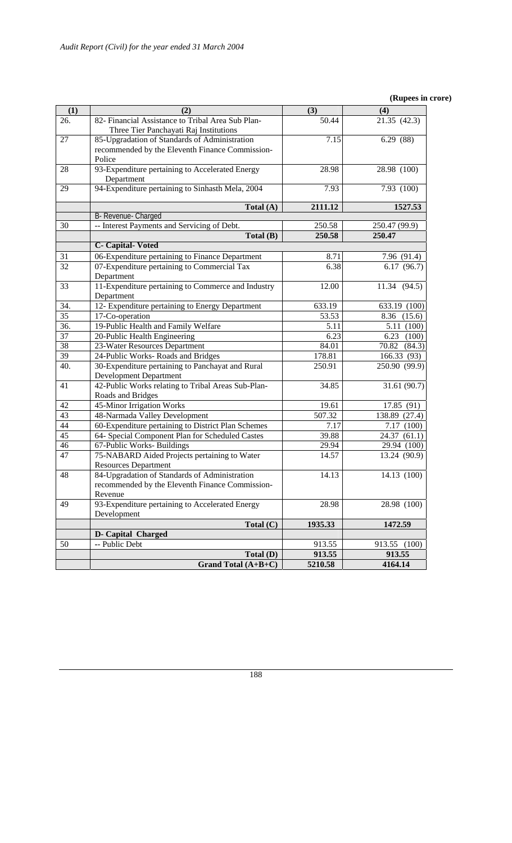#### **(Rupees in crore)**

| (1)      | (2)                                                                                                   | (3)           | (4)                      |
|----------|-------------------------------------------------------------------------------------------------------|---------------|--------------------------|
| 26.      | 82- Financial Assistance to Tribal Area Sub Plan-                                                     | 50.44         | 21.35 (42.3)             |
|          | Three Tier Panchayati Raj Institutions                                                                |               |                          |
| 27       | 85-Upgradation of Standards of Administration                                                         | 7.15          | 6.29(88)                 |
|          | recommended by the Eleventh Finance Commission-                                                       |               |                          |
|          | Police                                                                                                |               |                          |
| 28       | 93-Expenditure pertaining to Accelerated Energy                                                       | 28.98         | 28.98 (100)              |
|          | Department                                                                                            |               |                          |
| 29       | 94-Expenditure pertaining to Sinhasth Mela, 2004                                                      | 7.93          | 7.93 (100)               |
|          | Total (A)                                                                                             | 2111.12       | 1527.53                  |
|          | B- Revenue- Charged                                                                                   |               |                          |
| 30       | -- Interest Payments and Servicing of Debt.                                                           | 250.58        | 250.47 (99.9)            |
|          | Total (B)                                                                                             | 250.58        | 250.47                   |
|          | <b>C</b> - Capital-Voted                                                                              |               |                          |
| 31       | 06-Expenditure pertaining to Finance Department                                                       | 8.71          | 7.96 (91.4)              |
| 32       | 07-Expenditure pertaining to Commercial Tax                                                           | 6.38          | 6.17(96.7)               |
|          | Department                                                                                            |               |                          |
| 33       | 11-Expenditure pertaining to Commerce and Industry                                                    | 12.00         | 11.34 (94.5)             |
|          | Department                                                                                            |               |                          |
| 34.      | 12- Expenditure pertaining to Energy Department                                                       | 633.19        | 633.19 (100)             |
| 35       | 17-Co-operation                                                                                       | 53.53         | 8.36 (15.6)              |
| 36.      | 19-Public Health and Family Welfare                                                                   | 5.11          | 5.11 (100)               |
| 37       | 20-Public Health Engineering                                                                          | 6.23          | $6.23$ $(100)$           |
| 38       | 23-Water Resources Department                                                                         | 84.01         | 70.82 (84.3)             |
| 39       | 24-Public Works-Roads and Bridges                                                                     | 178.81        | 166.33 (93)              |
| 40.      | 30-Expenditure pertaining to Panchayat and Rural                                                      | 250.91        | 250.90 (99.9)            |
|          | <b>Development Department</b>                                                                         |               |                          |
| 41       | 42-Public Works relating to Tribal Areas Sub-Plan-                                                    | 34.85         | 31.61 (90.7)             |
|          | Roads and Bridges                                                                                     |               |                          |
| 42<br>43 | 45-Minor Irrigation Works                                                                             | 19.61         | 17.85 (91)               |
|          | 48-Narmada Valley Development                                                                         | 507.32        | 138.89 (27.4)            |
| 44<br>45 | 60-Expenditure pertaining to District Plan Schemes<br>64- Special Component Plan for Scheduled Castes | 7.17<br>39.88 | 7.17(100)<br>24.37(61.1) |
| 46       | 67-Public Works-Buildings                                                                             | 29.94         | 29.94 (100)              |
| 47       | 75-NABARD Aided Projects pertaining to Water                                                          | 14.57         | 13.24 (90.9)             |
|          | <b>Resources Department</b>                                                                           |               |                          |
| 48       | 84-Upgradation of Standards of Administration                                                         | 14.13         | 14.13 (100)              |
|          | recommended by the Eleventh Finance Commission-                                                       |               |                          |
|          | Revenue                                                                                               |               |                          |
| 49       | 93-Expenditure pertaining to Accelerated Energy                                                       | 28.98         | 28.98 (100)              |
|          | Development                                                                                           |               |                          |
|          | Total (C)                                                                                             | 1935.33       | 1472.59                  |
|          | D- Capital Charged                                                                                    |               |                          |
| 50       | -- Public Debt                                                                                        | 913.55        | 913.55 (100)             |
|          | Total (D)                                                                                             | 913.55        | 913.55                   |
|          | Grand Total (A+B+C)                                                                                   | 5210.58       | 4164.14                  |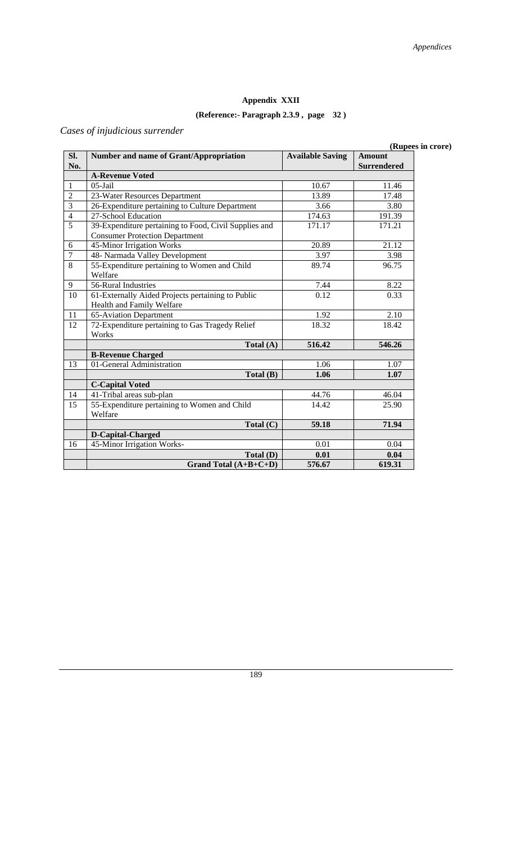# **Appendix XXII**

# **(Reference:- Paragraph 2.3.9 , page 32 )**

# *Cases of injudicious surrender*

**(Rupees in crore)** 

| Sl.            | <b>Number and name of Grant/Appropriation</b>         | <b>Available Saving</b> | <b>Amount</b>      |
|----------------|-------------------------------------------------------|-------------------------|--------------------|
| No.            |                                                       |                         | <b>Surrendered</b> |
|                | <b>A-Revenue Voted</b>                                |                         |                    |
| $\mathbf{1}$   | $05$ -Jail                                            | 10.67                   | 11.46              |
| $\overline{2}$ | 23-Water Resources Department                         | 13.89                   | 17.48              |
| $\overline{3}$ | 26-Expenditure pertaining to Culture Department       | 3.66                    | 3.80               |
| $\overline{4}$ | 27-School Education                                   | 174.63                  | 191.39             |
| $\overline{5}$ | 39-Expenditure pertaining to Food, Civil Supplies and | 171.17                  | 171.21             |
|                | <b>Consumer Protection Department</b>                 |                         |                    |
| 6              | 45-Minor Irrigation Works                             | 20.89                   | 21.12              |
| $\tau$         | 48- Narmada Valley Development                        | 3.97                    | 3.98               |
| 8              | 55-Expenditure pertaining to Women and Child          | 89.74                   | 96.75              |
|                | Welfare                                               |                         |                    |
| 9              | 56-Rural Industries                                   | 7.44                    | 8.22               |
| 10             | 61-Externally Aided Projects pertaining to Public     | 0.12                    | 0.33               |
|                | Health and Family Welfare                             |                         |                    |
| 11             | 65-Aviation Department                                | 1.92                    | 2.10               |
| 12             | 72-Expenditure pertaining to Gas Tragedy Relief       | 18.32                   | 18.42              |
|                | Works                                                 |                         |                    |
|                | Total $(A)$                                           | 516.42                  | 546.26             |
|                | <b>B-Revenue Charged</b>                              |                         |                    |
| 13             | 01-General Administration                             | 1.06                    | 1.07               |
|                | Total(B)                                              | 1.06                    | 1.07               |
|                | <b>C-Capital Voted</b>                                |                         |                    |
| 14             | 41-Tribal areas sub-plan                              | 44.76                   | 46.04              |
| 15             | 55-Expenditure pertaining to Women and Child          | 14.42                   | 25.90              |
|                | Welfare                                               |                         |                    |
|                | Total $(C)$                                           | 59.18                   | 71.94              |
|                | D-Capital-Charged                                     |                         |                    |
| 16             | 45-Minor Irrigation Works-                            | 0.01                    | 0.04               |
|                | Total (D)                                             | 0.01                    | 0.04               |
|                | Grand Total $(A+B+C+D)$                               | 576.67                  | 619.31             |

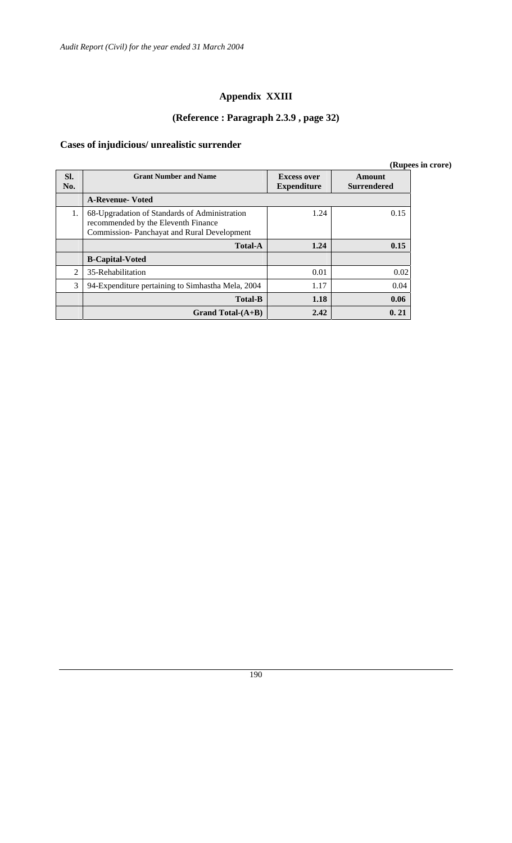# **Appendix XXIII**

# **(Reference : Paragraph 2.3.9 , page 32)**

# **Cases of injudicious/ unrealistic surrender**

|                |                                                                                                                                    |                                          |                              | (Rupees in crore) |
|----------------|------------------------------------------------------------------------------------------------------------------------------------|------------------------------------------|------------------------------|-------------------|
| Sl.<br>No.     | <b>Grant Number and Name</b>                                                                                                       | <b>Excess over</b><br><b>Expenditure</b> | Amount<br><b>Surrendered</b> |                   |
|                | <b>A-Revenue-Voted</b>                                                                                                             |                                          |                              |                   |
| 1.             | 68-Upgradation of Standards of Administration<br>recommended by the Eleventh Finance<br>Commission-Panchayat and Rural Development | 1.24                                     | 0.15                         |                   |
|                | <b>Total-A</b>                                                                                                                     | 1.24                                     | 0.15                         |                   |
|                | <b>B-Capital-Voted</b>                                                                                                             |                                          |                              |                   |
| $\mathfrak{D}$ | 35-Rehabilitation                                                                                                                  | 0.01                                     | 0.02                         |                   |
| 3              | 94-Expenditure pertaining to Simhastha Mela, 2004                                                                                  | 1.17                                     | 0.04                         |                   |
|                | <b>Total-B</b>                                                                                                                     | 1.18                                     | 0.06                         |                   |
|                | Grand Total- $(A+B)$                                                                                                               | 2.42                                     | 0.21                         |                   |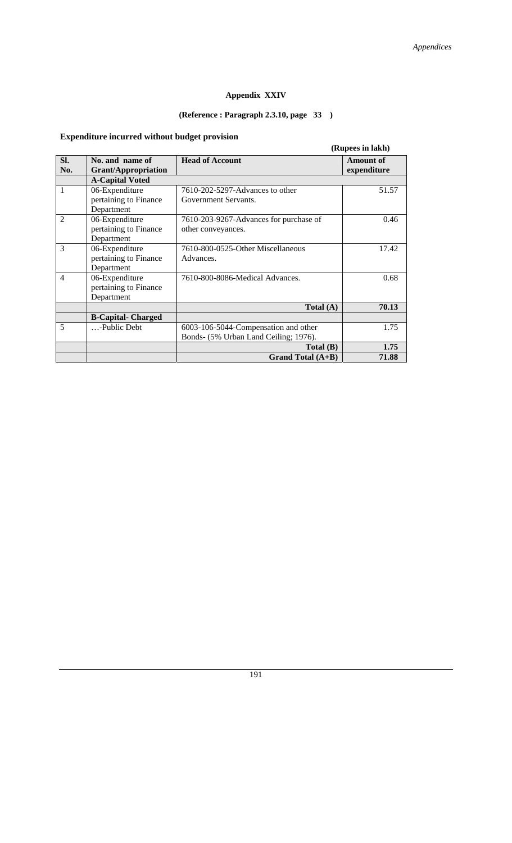# **Appendix XXIV**

# **(Reference : Paragraph 2.3.10, page 33 )**

# **Expenditure incurred without budget provision**

|                |                                                       |                                                                               | (Rupees in lakh)                |
|----------------|-------------------------------------------------------|-------------------------------------------------------------------------------|---------------------------------|
| SI.<br>No.     | No. and name of<br><b>Grant/Appropriation</b>         | <b>Head of Account</b>                                                        | <b>Amount of</b><br>expenditure |
|                | <b>A-Capital Voted</b>                                |                                                                               |                                 |
| 1              | 06-Expenditure<br>pertaining to Finance<br>Department | 7610-202-5297-Advances to other<br>Government Servants.                       | 51.57                           |
| $\mathfrak{D}$ | 06-Expenditure<br>pertaining to Finance<br>Department | 7610-203-9267-Advances for purchase of<br>other conveyances.                  | 0.46                            |
| 3              | 06-Expenditure<br>pertaining to Finance<br>Department | 7610-800-0525-Other Miscellaneous<br>Advances.                                | 17.42                           |
| $\overline{4}$ | 06-Expenditure<br>pertaining to Finance<br>Department | 7610-800-8086-Medical Advances.                                               | 0.68                            |
|                |                                                       | Total $(A)$                                                                   | 70.13                           |
|                | <b>B-Capital- Charged</b>                             |                                                                               |                                 |
| 5              | -Public Debt                                          | 6003-106-5044-Compensation and other<br>Bonds- (5% Urban Land Ceiling; 1976). | 1.75                            |
|                |                                                       | Total (B)                                                                     | 1.75                            |
|                |                                                       | <b>Grand Total (A+B)</b>                                                      | 71.88                           |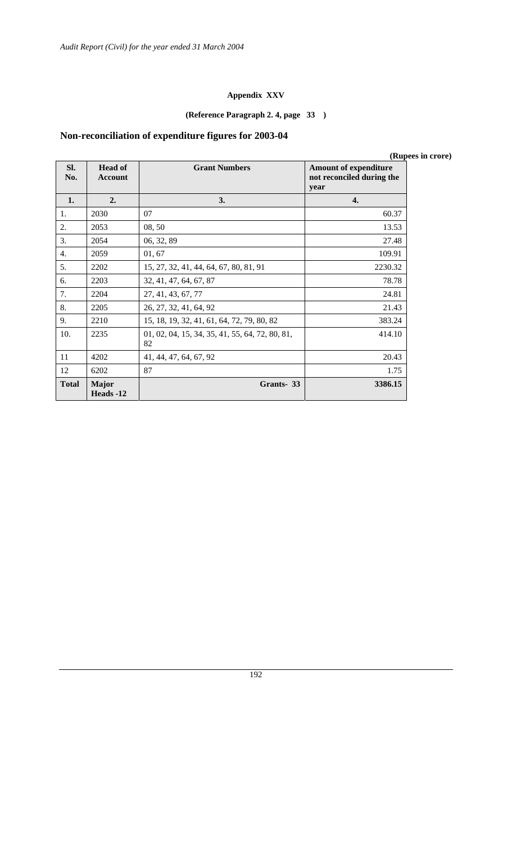#### **Appendix XXV**

# **(Reference Paragraph 2. 4, page 33 )**

# **Non-reconciliation of expenditure figures for 2003-04**

|              |                                  |                                                       |                                                                   | (Rupees in crore) |
|--------------|----------------------------------|-------------------------------------------------------|-------------------------------------------------------------------|-------------------|
| Sl.<br>No.   | <b>Head of</b><br><b>Account</b> | <b>Grant Numbers</b>                                  | <b>Amount of expenditure</b><br>not reconciled during the<br>year |                   |
| 1.           | 2.                               | 3.                                                    | 4.                                                                |                   |
| 1.           | 2030                             | 07                                                    | 60.37                                                             |                   |
| 2.           | 2053                             | 08, 50                                                | 13.53                                                             |                   |
| 3.           | 2054                             | 06, 32, 89                                            | 27.48                                                             |                   |
| 4.           | 2059                             | 01, 67                                                | 109.91                                                            |                   |
| 5.           | 2202                             | 15, 27, 32, 41, 44, 64, 67, 80, 81, 91                | 2230.32                                                           |                   |
| 6.           | 2203                             | 32, 41, 47, 64, 67, 87                                | 78.78                                                             |                   |
| 7.           | 2204                             | 27, 41, 43, 67, 77                                    | 24.81                                                             |                   |
| 8.           | 2205                             | 26, 27, 32, 41, 64, 92                                | 21.43                                                             |                   |
| 9.           | 2210                             | 15, 18, 19, 32, 41, 61, 64, 72, 79, 80, 82            | 383.24                                                            |                   |
| 10.          | 2235                             | 01, 02, 04, 15, 34, 35, 41, 55, 64, 72, 80, 81,<br>82 | 414.10                                                            |                   |
| 11           | 4202                             | 41, 44, 47, 64, 67, 92                                | 20.43                                                             |                   |
| 12           | 6202                             | 87                                                    | 1.75                                                              |                   |
| <b>Total</b> | <b>Major</b><br>Heads -12        | Grants-33                                             | 3386.15                                                           |                   |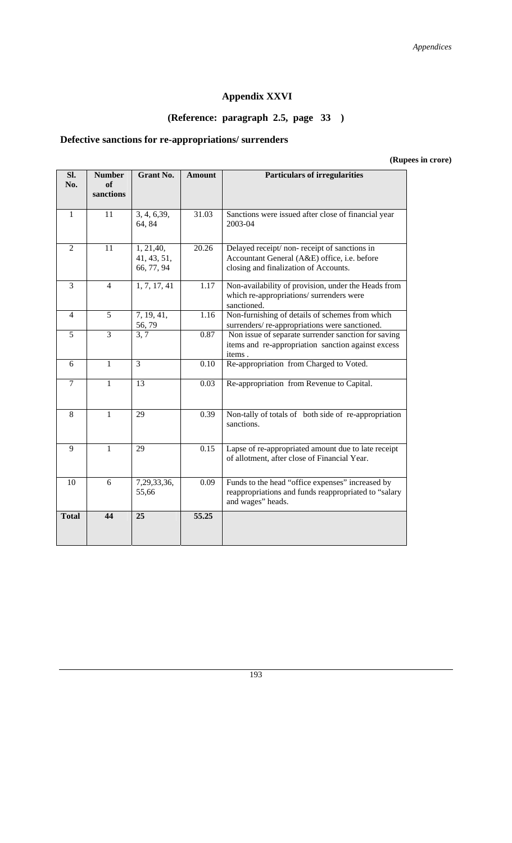# **Appendix XXVI**

# **(Reference: paragraph 2.5, page 33 )**

# **Defective sanctions for re-appropriations/ surrenders**

**(Rupees in crore)** 

| SI.<br>No.     | <b>Number</b><br>of<br>sanctions | <b>Grant No.</b>                        | <b>Amount</b> | <b>Particulars of irregularities</b>                                                                                                 |  |  |
|----------------|----------------------------------|-----------------------------------------|---------------|--------------------------------------------------------------------------------------------------------------------------------------|--|--|
| $\mathbf{1}$   | 11                               | 3, 4, 6, 39,<br>64, 84                  | 31.03         | Sanctions were issued after close of financial year<br>2003-04                                                                       |  |  |
| $\overline{2}$ | 11                               | 1, 21, 40,<br>41, 43, 51,<br>66, 77, 94 | 20.26         | Delayed receipt/non-receipt of sanctions in<br>Accountant General (A&E) office, i.e. before<br>closing and finalization of Accounts. |  |  |
| $\overline{3}$ | $\overline{4}$                   | 1, 7, 17, 41                            | 1.17          | Non-availability of provision, under the Heads from<br>which re-appropriations/ surrenders were<br>sanctioned.                       |  |  |
| $\overline{4}$ | $\overline{5}$                   | 7, 19, 41,<br>56,79                     | 1.16          | Non-furnishing of details of schemes from which<br>surrenders/re-appropriations were sanctioned.                                     |  |  |
| $\overline{5}$ | $\overline{3}$                   | $\overline{3}, 7$                       | 0.87          | Non issue of separate surrender sanction for saving<br>items and re-appropriation sanction against excess<br>items.                  |  |  |
| 6              | $\mathbf{1}$                     | $\overline{3}$                          | 0.10          | Re-appropriation from Charged to Voted.                                                                                              |  |  |
| $\overline{7}$ | $\mathbf{1}$                     | 13                                      | 0.03          | Re-appropriation from Revenue to Capital.                                                                                            |  |  |
| 8              | $\mathbf{1}$                     | 29                                      | 0.39          | Non-tally of totals of both side of re-appropriation<br>sanctions.                                                                   |  |  |
| 9              | $\mathbf{1}$                     | 29                                      | 0.15          | Lapse of re-appropriated amount due to late receipt<br>of allotment, after close of Financial Year.                                  |  |  |
| 10             | 6                                | 7,29,33,36,<br>55,66                    | 0.09          | Funds to the head "office expenses" increased by<br>reappropriations and funds reappropriated to "salary<br>and wages" heads.        |  |  |
| <b>Total</b>   | 44                               | 25                                      | 55.25         |                                                                                                                                      |  |  |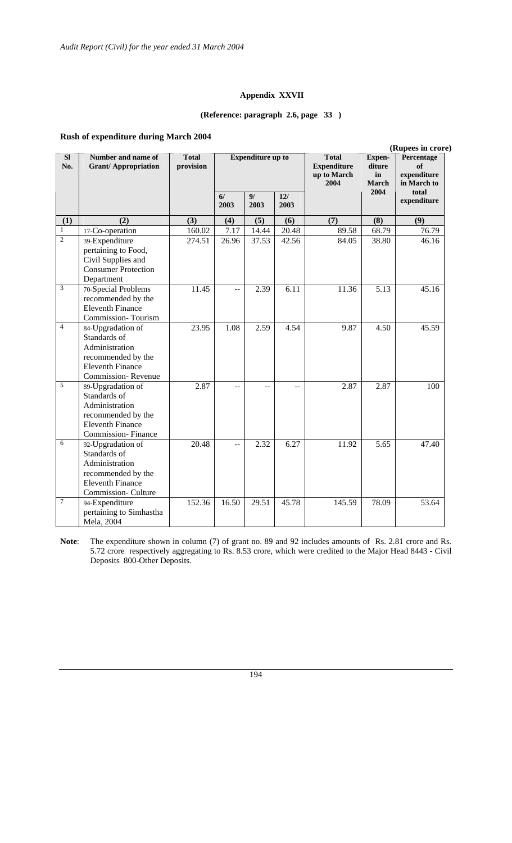#### **Appendix XXVII**

#### **(Reference: paragraph 2.6, page 33 )**

#### **Rush of expenditure during March 2004**

|                             | (Rupees in crore)                                                                                                          |                           |                                 |                          |             |                                                           |                                 |                                                |
|-----------------------------|----------------------------------------------------------------------------------------------------------------------------|---------------------------|---------------------------------|--------------------------|-------------|-----------------------------------------------------------|---------------------------------|------------------------------------------------|
| <b>SI</b><br>No.            | Number and name of<br><b>Grant/Appropriation</b>                                                                           | <b>Total</b><br>provision |                                 | <b>Expenditure up to</b> |             | <b>Total</b><br><b>Expenditure</b><br>up to March<br>2004 | Expen-<br>diture<br>in<br>March | Percentage<br>of<br>expenditure<br>in March to |
|                             |                                                                                                                            |                           | $\overline{\mathbf{6}}$<br>2003 | 9/<br>2003               | 12/<br>2003 |                                                           | 2004                            | total<br>expenditure                           |
| (1)                         | (2)                                                                                                                        | (3)                       | (4)                             | (5)                      | (6)         | (7)                                                       | (8)                             | (9)                                            |
| $\,1$                       | 17-Co-operation                                                                                                            | 160.02                    | 7.17                            | 14.44                    | 20.48       | 89.58                                                     | 68.79                           | 76.79                                          |
| $\overline{2}$              | 39-Expenditure<br>pertaining to Food,<br>Civil Supplies and<br><b>Consumer Protection</b><br>Department                    | 274.51                    | 26.96                           | 37.53                    | 42.56       | 84.05                                                     | 38.80                           | 46.16                                          |
| $\ensuremath{\mathfrak{Z}}$ | 70-Special Problems<br>recommended by the<br><b>Eleventh Finance</b><br>Commission-Tourism                                 | 11.45                     | $-$                             | 2.39                     | 6.11        | 11.36                                                     | 5.13                            | 45.16                                          |
| $\overline{4}$              | 84-Upgradation of<br>Standards of<br>Administration<br>recommended by the<br><b>Eleventh Finance</b><br>Commission-Revenue | 23.95                     | 1.08                            | 2.59                     | 4.54        | 9.87                                                      | 4.50                            | 45.59                                          |
| 5                           | 89-Upgradation of<br>Standards of<br>Administration<br>recommended by the<br><b>Eleventh Finance</b><br>Commission-Finance | 2.87                      | $-$                             |                          |             | 2.87                                                      | 2.87                            | 100                                            |
| 6                           | 92-Upgradation of<br>Standards of<br>Administration<br>recommended by the<br><b>Eleventh Finance</b><br>Commission-Culture | 20.48                     | $\overline{a}$                  | 2.32                     | 6.27        | 11.92                                                     | 5.65                            | 47.40                                          |
| $\tau$                      | 94-Expenditure<br>pertaining to Simhastha<br>Mela, 2004                                                                    | 152.36                    | 16.50                           | 29.51                    | 45.78       | 145.59                                                    | 78.09                           | 53.64                                          |

**Note**: The expenditure shown in column (7) of grant no. 89 and 92 includes amounts of Rs. 2.81 crore and Rs. 5.72 crore respectively aggregating to Rs. 8.53 crore, which were credited to the Major Head 8443 - Civil Deposits 800-Other Deposits.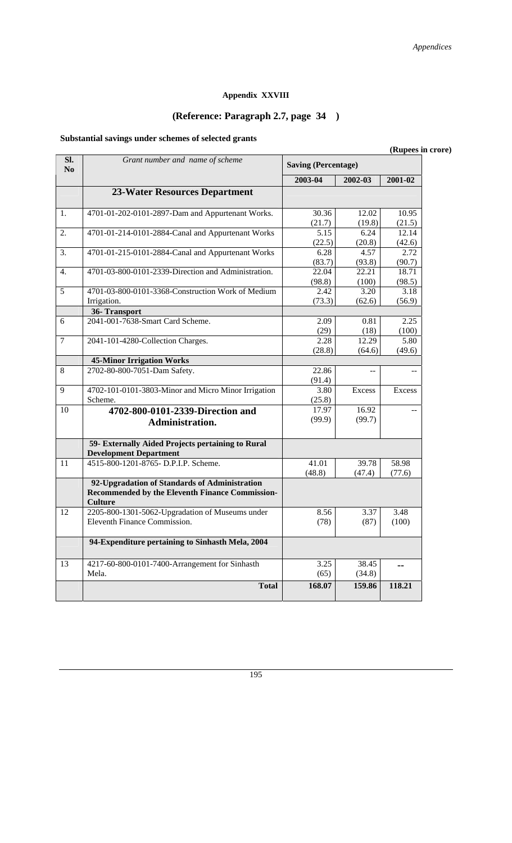# **Appendix XXVIII**

# **(Reference: Paragraph 2.7, page 34 )**

# **Substantial savings under schemes of selected grants**

|                       |                                                                                                                    |                            |                 | (Rupees in crore) |
|-----------------------|--------------------------------------------------------------------------------------------------------------------|----------------------------|-----------------|-------------------|
| Sl.<br>N <sub>0</sub> | Grant number and name of scheme                                                                                    | <b>Saving (Percentage)</b> |                 |                   |
|                       |                                                                                                                    | 2003-04                    | 2002-03         | 2001-02           |
|                       | <b>23-Water Resources Department</b>                                                                               |                            |                 |                   |
| 1.                    | 4701-01-202-0101-2897-Dam and Appurtenant Works.                                                                   | 30.36<br>(21.7)            | 12.02<br>(19.8) | 10.95<br>(21.5)   |
| 2.                    | 4701-01-214-0101-2884-Canal and Appurtenant Works                                                                  | 5.15<br>(22.5)             | 6.24<br>(20.8)  | 12.14<br>(42.6)   |
| 3.                    | 4701-01-215-0101-2884-Canal and Appurtenant Works                                                                  | 6.28<br>(83.7)             | 4.57<br>(93.8)  | 2.72<br>(90.7)    |
| 4.                    | 4701-03-800-0101-2339-Direction and Administration.                                                                | 22.04<br>(98.8)            | 22.21<br>(100)  | 18.71<br>(98.5)   |
| 5                     | 4701-03-800-0101-3368-Construction Work of Medium<br>Irrigation.                                                   | 2.42<br>(73.3)             | 3.20<br>(62.6)  | 3.18<br>(56.9)    |
|                       | 36-Transport                                                                                                       |                            |                 |                   |
| 6                     | 2041-001-7638-Smart Card Scheme.                                                                                   | 2.09<br>(29)               | 0.81<br>(18)    | 2.25<br>(100)     |
| $\overline{7}$        | 2041-101-4280-Collection Charges.                                                                                  | 2.28<br>(28.8)             | 12.29<br>(64.6) | 5.80<br>(49.6)    |
|                       | <b>45-Minor Irrigation Works</b>                                                                                   |                            |                 |                   |
| 8                     | 2702-80-800-7051-Dam Safety.                                                                                       | 22.86<br>(91.4)            |                 | --                |
| 9                     | 4702-101-0101-3803-Minor and Micro Minor Irrigation<br>Scheme.                                                     | 3.80<br>(25.8)             | Excess          | Excess            |
| 10                    | 4702-800-0101-2339-Direction and<br>Administration.                                                                | 17.97<br>(99.9)            | 16.92<br>(99.7) | $\sim$            |
|                       | 59- Externally Aided Projects pertaining to Rural<br><b>Development Department</b>                                 |                            |                 |                   |
| 11                    | 4515-800-1201-8765- D.P.I.P. Scheme.                                                                               | 41.01<br>(48.8)            | 39.78<br>(47.4) | 58.98<br>(77.6)   |
|                       | 92-Upgradation of Standards of Administration<br>Recommended by the Eleventh Finance Commission-<br><b>Culture</b> |                            |                 |                   |
| 12                    | 2205-800-1301-5062-Upgradation of Museums under<br>Eleventh Finance Commission.                                    | 8.56<br>(78)               | 3.37<br>(87)    | 3.48<br>(100)     |
|                       | 94-Expenditure pertaining to Sinhasth Mela, 2004                                                                   |                            |                 |                   |
| 13                    | 4217-60-800-0101-7400-Arrangement for Sinhasth<br>Mela.                                                            | 3.25<br>(65)               | 38.45<br>(34.8) | $-$               |
|                       | <b>Total</b>                                                                                                       | 168.07                     | 159.86          | 118.21            |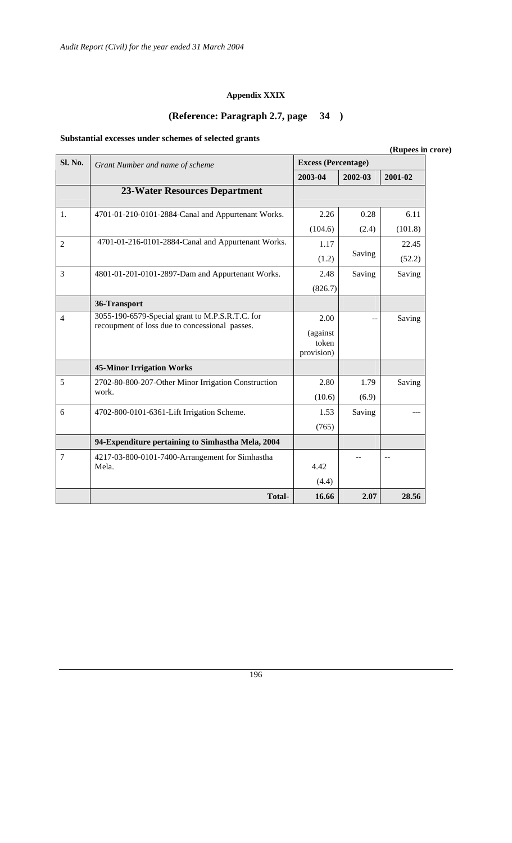# **Appendix XXIX**

# **(Reference: Paragraph 2.7, page 34 )**

# **Substantial excesses under schemes of selected grants**

|                |                                                                                                   |                                         |                    | (Rupees in crore) |  |
|----------------|---------------------------------------------------------------------------------------------------|-----------------------------------------|--------------------|-------------------|--|
| <b>Sl. No.</b> | Grant Number and name of scheme                                                                   | <b>Excess (Percentage)</b>              | 2001-02<br>2002-03 |                   |  |
|                |                                                                                                   | 2003-04                                 |                    |                   |  |
|                | <b>23-Water Resources Department</b>                                                              |                                         |                    |                   |  |
| 1.             | 4701-01-210-0101-2884-Canal and Appurtenant Works.                                                | 2.26                                    | 0.28               | 6.11              |  |
|                |                                                                                                   | (104.6)                                 | (2.4)              | (101.8)           |  |
| $\overline{2}$ | 4701-01-216-0101-2884-Canal and Appurtenant Works.                                                | 1.17                                    |                    | 22.45             |  |
|                |                                                                                                   | (1.2)                                   | Saving             | (52.2)            |  |
| 3              | 4801-01-201-0101-2897-Dam and Appurtenant Works.                                                  | 2.48                                    | Saving             | Saving            |  |
|                |                                                                                                   | (826.7)                                 |                    |                   |  |
|                | 36-Transport                                                                                      |                                         |                    |                   |  |
| $\overline{4}$ | 3055-190-6579-Special grant to M.P.S.R.T.C. for<br>recoupment of loss due to concessional passes. | 2.00<br>(against<br>token<br>provision) |                    | Saving            |  |
|                | <b>45-Minor Irrigation Works</b>                                                                  |                                         |                    |                   |  |
| 5              | 2702-80-800-207-Other Minor Irrigation Construction                                               | 2.80                                    | 1.79               | Saving            |  |
|                | work.                                                                                             | (10.6)                                  | (6.9)              |                   |  |
| 6              | 4702-800-0101-6361-Lift Irrigation Scheme.                                                        | 1.53                                    | Saving             |                   |  |
|                |                                                                                                   | (765)                                   |                    |                   |  |
|                | 94-Expenditure pertaining to Simhastha Mela, 2004                                                 |                                         |                    |                   |  |
| $\overline{7}$ | 4217-03-800-0101-7400-Arrangement for Simhastha<br>Mela.                                          | 4.42                                    |                    |                   |  |
|                |                                                                                                   | (4.4)                                   |                    |                   |  |
|                | <b>Total-</b>                                                                                     | 16.66                                   | 2.07               | 28.56             |  |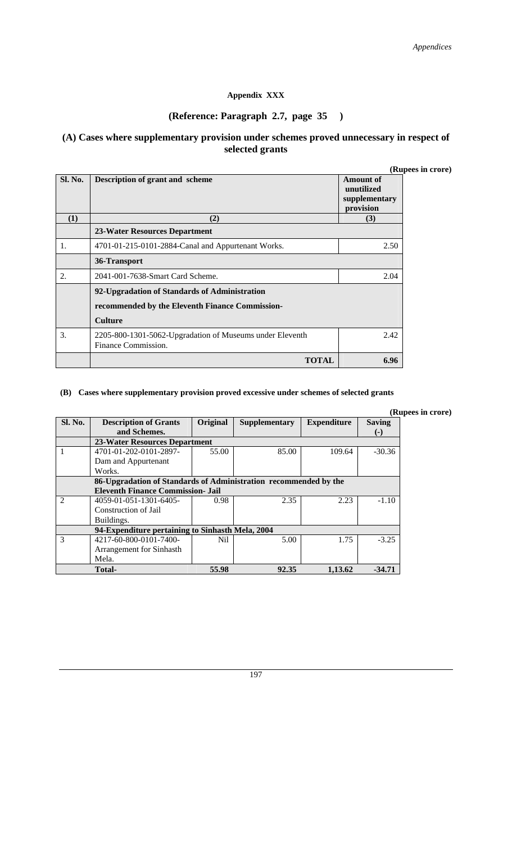#### **Appendix XXX**

# **(Reference: Paragraph 2.7, page 35 )**

#### **(A) Cases where supplementary provision under schemes proved unnecessary in respect of selected grants**

| (Rupees in crore) |  |
|-------------------|--|
|                   |  |

| Sl. No. | Description of grant and scheme                                                 | unu<br>Amount of<br>unutilized<br>supplementary |
|---------|---------------------------------------------------------------------------------|-------------------------------------------------|
| (1)     | (2)                                                                             | provision<br>(3)                                |
|         | 23-Water Resources Department                                                   |                                                 |
| 1.      | 4701-01-215-0101-2884-Canal and Appurtenant Works.                              | 2.50                                            |
|         | 36-Transport                                                                    |                                                 |
| 2.      | 2041-001-7638-Smart Card Scheme.                                                | 2.04                                            |
|         | 92-Upgradation of Standards of Administration                                   |                                                 |
|         | recommended by the Eleventh Finance Commission-                                 |                                                 |
|         | <b>Culture</b>                                                                  |                                                 |
| 3.      | 2205-800-1301-5062-Upgradation of Museums under Eleventh<br>Finance Commission. | 2.42                                            |
|         | <b>TOTAL</b>                                                                    | 6.96                                            |

#### **(B) Cases where supplementary provision proved excessive under schemes of selected grants**

|                |                                                                  |          |                      |                    | (Rupees in crore) |
|----------------|------------------------------------------------------------------|----------|----------------------|--------------------|-------------------|
| Sl. No.        | <b>Description of Grants</b>                                     | Original | <b>Supplementary</b> | <b>Expenditure</b> | <b>Saving</b>     |
|                | and Schemes.                                                     |          |                      |                    | $(-)$             |
|                | 23-Water Resources Department                                    |          |                      |                    |                   |
| 1              | 4701-01-202-0101-2897-                                           | 55.00    | 85.00                | 109.64             | $-30.36$          |
|                | Dam and Appurtenant                                              |          |                      |                    |                   |
|                | Works.                                                           |          |                      |                    |                   |
|                | 86-Upgradation of Standards of Administration recommended by the |          |                      |                    |                   |
|                | <b>Eleventh Finance Commission- Jail</b>                         |          |                      |                    |                   |
| $\mathfrak{D}$ | 4059-01-051-1301-6405-                                           | 0.98     | 2.35                 | 2.23               | $-1.10$           |
|                | Construction of Jail                                             |          |                      |                    |                   |
|                | Buildings.                                                       |          |                      |                    |                   |
|                | 94-Expenditure pertaining to Sinhasth Mela, 2004                 |          |                      |                    |                   |
| 3              | 4217-60-800-0101-7400-                                           | Nil.     | 5.00                 | 1.75               | $-3.25$           |
|                | Arrangement for Sinhasth                                         |          |                      |                    |                   |
|                | Mela.                                                            |          |                      |                    |                   |
|                | Total-                                                           | 55.98    | 92.35                | 1,13.62            | $-34.71$          |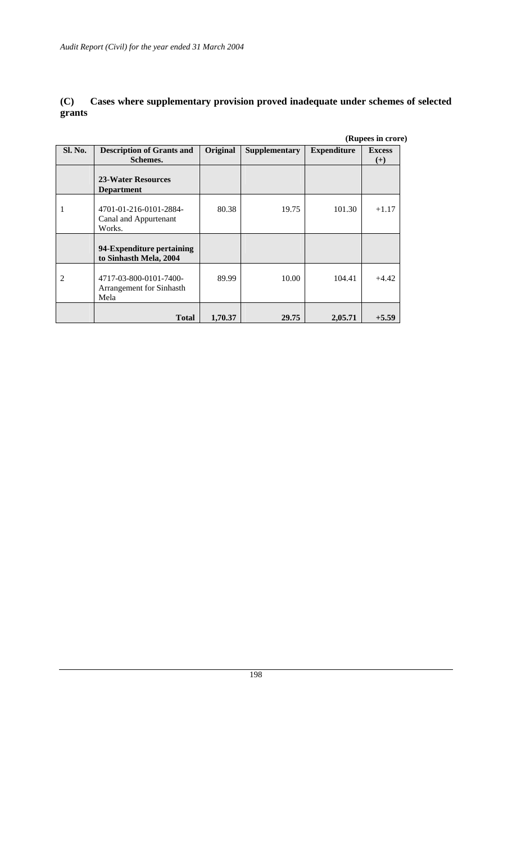# **(C) Cases where supplementary provision proved inadequate under schemes of selected grants**

|                |                                                            |          |                      |                    | (Rupees in crore)         |
|----------------|------------------------------------------------------------|----------|----------------------|--------------------|---------------------------|
| <b>Sl. No.</b> | <b>Description of Grants and</b><br>Schemes.               | Original | <b>Supplementary</b> | <b>Expenditure</b> | <b>Excess</b><br>$^{(+)}$ |
|                | 23-Water Resources<br><b>Department</b>                    |          |                      |                    |                           |
|                | 4701-01-216-0101-2884-<br>Canal and Appurtenant<br>Works.  | 80.38    | 19.75                | 101.30             | $+1.17$                   |
|                | 94-Expenditure pertaining<br>to Sinhasth Mela, 2004        |          |                      |                    |                           |
| $\mathfrak{D}$ | 4717-03-800-0101-7400-<br>Arrangement for Sinhasth<br>Mela | 89.99    | 10.00                | 104.41             | $+4.42$                   |
|                | <b>Total</b>                                               | 1,70.37  | 29.75                | 2,05.71            | $+5.59$                   |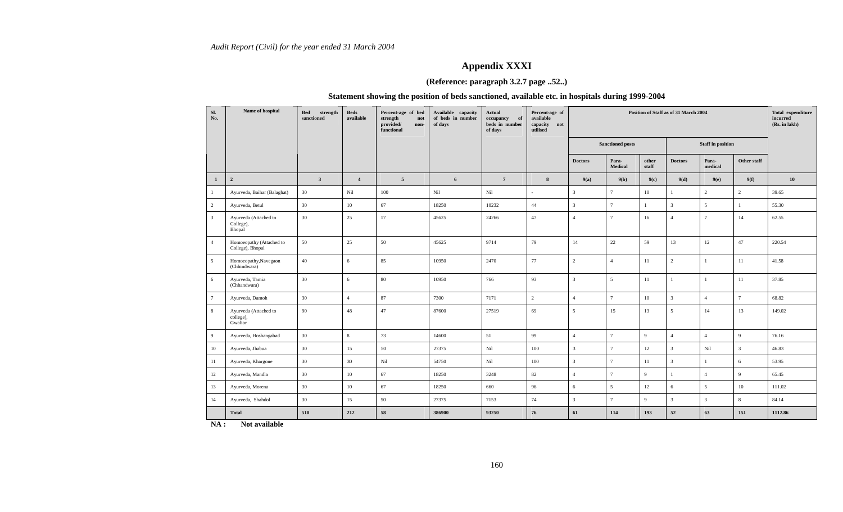# **Appendix XXXI**

#### **(Reference: paragraph 3.2.7 page ..52..)**

#### **Statement showing the position of beds sanctioned, available etc. in hospitals during 1999-2004**

| Sl.<br>No.      | Name of hospital                              | Bed<br>strength<br>sanctioned | <b>Beds</b><br>available | Percent-age of bed<br>strength<br>not<br>provided/<br>non-<br>functional | Available capacity<br>of beds in number<br>of days | Actual<br>occupancy<br>of<br>beds in number<br>of days | Percent-age of<br>available<br>capacity<br>not<br>utilised | Position of Staff as of 31 March 2004 |                         |                | Total expenditure<br>incurred<br>(Rs. in lakh) |                          |                |         |
|-----------------|-----------------------------------------------|-------------------------------|--------------------------|--------------------------------------------------------------------------|----------------------------------------------------|--------------------------------------------------------|------------------------------------------------------------|---------------------------------------|-------------------------|----------------|------------------------------------------------|--------------------------|----------------|---------|
|                 |                                               |                               |                          |                                                                          |                                                    |                                                        |                                                            |                                       | <b>Sanctioned posts</b> |                |                                                | <b>Staff</b> in position |                |         |
|                 |                                               |                               |                          |                                                                          |                                                    |                                                        |                                                            | <b>Doctors</b>                        | Para-<br>Medical        | other<br>staff | <b>Doctors</b>                                 | Para-<br>medical         | Other staff    |         |
| $\mathbf{1}$    | $\overline{\mathbf{2}}$                       | $\overline{\mathbf{3}}$       | $\overline{4}$           | $\overline{5}$                                                           | 6                                                  | $7\overline{ }$                                        | 8                                                          | 9(a)                                  | 9(b)                    | 9(c)           | 9(d)                                           | 9(e)                     | 9(f)           | 10      |
| $\mathbf{1}$    | Ayurveda, Baihar (Balaghat)                   | 30                            | Nil                      | 100                                                                      | Nil                                                | Nil                                                    | $\sim$                                                     | $\overline{\mathbf{3}}$               | $\overline{7}$          | 10             |                                                | $\overline{c}$           | $\overline{2}$ | 39.65   |
| $\overline{2}$  | Ayurveda, Betul                               | 30                            | 10                       | 67                                                                       | 18250                                              | 10232                                                  | 44                                                         | $\overline{3}$                        | $\overline{7}$          | $\mathbf{1}$   | $\overline{3}$                                 | 5                        |                | 55.30   |
| $\overline{3}$  | Ayurveda (Attached to<br>College),<br>Bhopal  | 30                            | 25                       | 17                                                                       | 45625                                              | 24266                                                  | 47                                                         | $\overline{4}$                        | $\overline{7}$          | 16             | $\overline{4}$                                 | $\overline{7}$           | 14             | 62.55   |
| $\overline{4}$  | Homoeopathy (Attached to<br>College), Bhopal  | 50                            | 25                       | 50                                                                       | 45625                                              | 9714                                                   | 79                                                         | 14                                    | 22                      | 59             | 13                                             | 12                       | 47             | 220.54  |
| $5\overline{)}$ | Homoeopathy, Navegaon<br>(Chhindwara)         | 40                            | 6                        | 85                                                                       | 10950                                              | 2470                                                   | 77                                                         | $\overline{2}$                        | $\overline{4}$          | $11\,$         | $\overline{2}$                                 | $\mathbf{1}$             | 11             | 41.58   |
| 6               | Ayurveda, Tamia<br>(Chhandwara)               | 30                            | 6                        | 80                                                                       | 10950                                              | 766                                                    | 93                                                         | $\overline{3}$                        | 5                       | 11             | $\mathbf{1}$                                   | $\mathbf{1}$             | 11             | 37.85   |
| $\overline{7}$  | Ayurveda, Damoh                               | 30                            | $\overline{4}$           | 87                                                                       | 7300                                               | 7171                                                   | $\overline{2}$                                             | $\overline{4}$                        | $\overline{7}$          | 10             | $\overline{3}$                                 | $\overline{4}$           | $\overline{7}$ | 68.82   |
| 8               | Ayurveda (Attached to<br>college),<br>Gwalior | 90                            | 48                       | 47                                                                       | 87600                                              | 27519                                                  | 69                                                         | 5                                     | 15                      | 13             | 5                                              | 14                       | 13             | 149.02  |
| 9               | Ayurveda, Hoshangabad                         | 30                            | 8                        | 73                                                                       | 14600                                              | 51                                                     | 99                                                         | $\overline{4}$                        | $\overline{7}$          | 9              | $\overline{4}$                                 | $\overline{4}$           | $\overline{9}$ | 76.16   |
| 10              | Ayurveda, Jhabua                              | 30                            | 15                       | 50                                                                       | 27375                                              | $\rm{Nil}$                                             | 100                                                        | $\overline{3}$                        | $\overline{7}$          | 12             | $\overline{3}$                                 | Nil                      | $\overline{3}$ | 46.83   |
| 11              | Ayurveda, Khargone                            | 30                            | 30                       | $\rm{Nil}$                                                               | 54750                                              | Nil                                                    | 100                                                        | $\overline{3}$                        | $\overline{7}$          | 11             | $\overline{3}$                                 | $\mathbf{1}$             | 6              | 53.95   |
| 12              | Ayurveda, Mandla                              | 30                            | 10                       | 67                                                                       | 18250                                              | 3248                                                   | 82                                                         | $\overline{4}$                        | $\overline{7}$          | $\overline{9}$ | $\mathbf{1}$                                   | $\overline{4}$           | $\mathbf{q}$   | 65.45   |
| 13              | Ayurveda, Morena                              | 30                            | 10                       | 67                                                                       | 18250                                              | 660                                                    | 96                                                         | 6                                     | $5\overline{5}$         | 12             | 6                                              | 5                        | $10\,$         | 111.02  |
| 14              | Ayurveda, Shahdol                             | 30                            | 15                       | 50                                                                       | 27375                                              | 7153                                                   | 74                                                         | $\overline{3}$                        | $\overline{7}$          | 9              | $\overline{3}$                                 | 3                        | $\mathbf{8}$   | 84.14   |
|                 | <b>Total</b>                                  | 510                           | 212                      | 58                                                                       | 386900                                             | 93250                                                  | 76                                                         | 61                                    | 114                     | 193            | 52                                             | 63                       | 151            | 1112.86 |

**NA : Not available**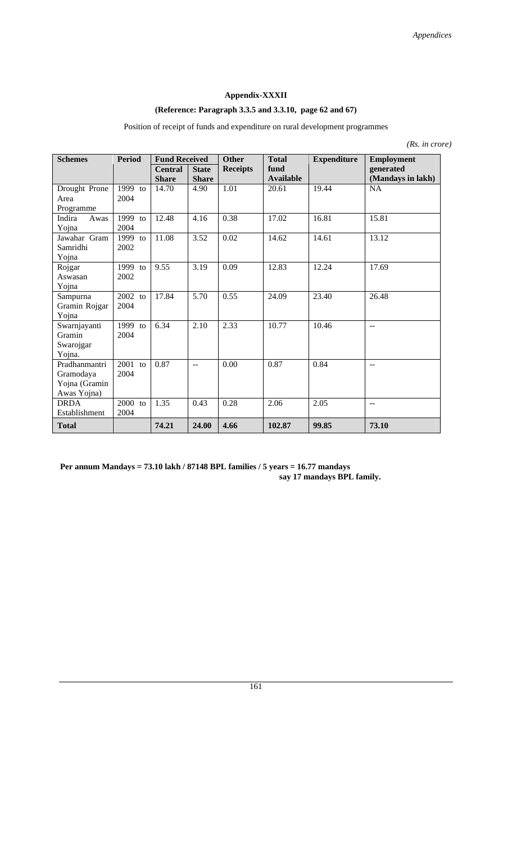#### **Appendix-XXXII**

# **(Reference: Paragraph 3.3.5 and 3.3.10, page 62 and 67)**

| <b>Schemes</b> | <b>Period</b><br><b>Fund Received</b> |                | <b>Other</b>   | <b>Total</b>    | <b>Expenditure</b> | <b>Employment</b> |                   |
|----------------|---------------------------------------|----------------|----------------|-----------------|--------------------|-------------------|-------------------|
|                |                                       | <b>Central</b> | <b>State</b>   | <b>Receipts</b> | fund               |                   | generated         |
|                |                                       | <b>Share</b>   | <b>Share</b>   |                 | <b>Available</b>   |                   | (Mandays in lakh) |
| Drought Prone  | 1999 to                               | 14.70          | 4.90           | 1.01            | 20.61              | 19.44             | NA                |
| Area           | 2004                                  |                |                |                 |                    |                   |                   |
| Programme      |                                       |                |                |                 |                    |                   |                   |
| Indira<br>Awas | 1999 to                               | 12.48          | 4.16           | 0.38            | 17.02              | 16.81             | 15.81             |
| Yojna          | 2004                                  |                |                |                 |                    |                   |                   |
| Jawahar Gram   | 1999 $to$                             | 11.08          | 3.52           | 0.02            | 14.62              | 14.61             | 13.12             |
| Samridhi       | 2002                                  |                |                |                 |                    |                   |                   |
| Yojna          |                                       |                |                |                 |                    |                   |                   |
| Rojgar         | 1999 to                               | 9.55           | 3.19           | 0.09            | 12.83              | 12.24             | 17.69             |
| Aswasan        | 2002                                  |                |                |                 |                    |                   |                   |
| Yojna          |                                       |                |                |                 |                    |                   |                   |
| Sampurna       | $2002$ to                             | 17.84          | 5.70           | 0.55            | 24.09              | 23.40             | 26.48             |
| Gramin Rojgar  | 2004                                  |                |                |                 |                    |                   |                   |
| Yojna          |                                       |                |                |                 |                    |                   |                   |
| Swarnjayanti   | 1999 $to$                             | 6.34           | 2.10           | 2.33            | 10.77              | 10.46             | --                |
| Gramin         | 2004                                  |                |                |                 |                    |                   |                   |
| Swarojgar      |                                       |                |                |                 |                    |                   |                   |
| Yojna.         |                                       |                |                |                 |                    |                   |                   |
| Pradhanmantri  | 2001 to                               | 0.87           | $\overline{a}$ | 0.00            | 0.87               | 0.84              | $-$               |
| Gramodaya      | 2004                                  |                |                |                 |                    |                   |                   |
| Yojna (Gramin  |                                       |                |                |                 |                    |                   |                   |
| Awas Yojna)    |                                       |                |                |                 |                    |                   |                   |
| <b>DRDA</b>    | 2000 to                               | 1.35           | 0.43           | 0.28            | 2.06               | 2.05              | --                |
| Establishment  | 2004                                  |                |                |                 |                    |                   |                   |
| <b>Total</b>   |                                       | 74.21          | 24.00          | 4.66            | 102.87             | 99.85             | 73.10             |

Position of receipt of funds and expenditure on rural development programmes

*(Rs. in crore)* 

**Per annum Mandays = 73.10 lakh / 87148 BPL families / 5 years = 16.77 mandays say 17 mandays BPL family.**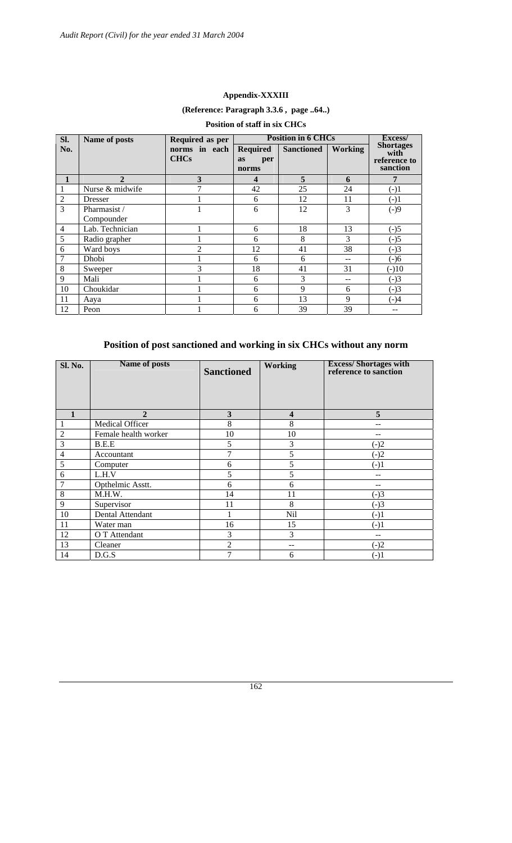#### **Appendix-XXXIII**

# **(Reference: Paragraph 3.3.6 , page ..64..)**

| SI.            | Name of posts   | Required as per              |                                       | <b>Position in 6 CHCs</b> |                | Excess/                                              |
|----------------|-----------------|------------------------------|---------------------------------------|---------------------------|----------------|------------------------------------------------------|
| No.            |                 | norms in each<br><b>CHCs</b> | <b>Required</b><br>as<br>per<br>norms | <b>Sanctioned</b>         | <b>Working</b> | <b>Shortages</b><br>with<br>reference to<br>sanction |
| 1              | $\mathbf{2}$    | 3                            | 4                                     | 5                         | 6              | 7                                                    |
|                | Nurse & midwife | 7                            | 42                                    | 25                        | 24             | $(-)1$                                               |
| $\overline{2}$ | <b>Dresser</b>  |                              | 6                                     | 12                        | 11             | $(-)1$                                               |
| $\overline{3}$ | Pharmasist /    |                              | 6                                     | 12                        | 3              | $(-)9$                                               |
|                | Compounder      |                              |                                       |                           |                |                                                      |
| $\overline{4}$ | Lab. Technician |                              | 6                                     | 18                        | 13             | $(-)5$                                               |
| 5              | Radio grapher   |                              | 6                                     | 8                         | 3              | $(-)5$                                               |
| 6              | Ward boys       | $\mathfrak{D}$               | 12                                    | 41                        | 38             | $(-)3$                                               |
| $\overline{7}$ | Dhobi           |                              | 6                                     | 6                         |                | $(-)6$                                               |
| 8              | Sweeper         | 3                            | 18                                    | 41                        | 31             | $(-)10$                                              |
| 9              | Mali            |                              | 6                                     | 3                         |                | $(-)3$                                               |
| 10             | Choukidar       |                              | 6                                     | 9                         | 6              | $(-)3$                                               |
| 11             | Aaya            |                              | 6                                     | 13                        | 9              | $(-)4$                                               |
| 12             | Peon            |                              | 6                                     | 39                        | 39             |                                                      |

# **Position of staff in six CHCs**

# **Position of post sanctioned and working in six CHCs without any norm**

| Sl. No.        | <b>Name of posts</b>   | <b>Sanctioned</b> | <b>Working</b> | <b>Excess/Shortages with</b><br>reference to sanction |
|----------------|------------------------|-------------------|----------------|-------------------------------------------------------|
| $\mathbf{1}$   | $\mathbf{2}$           | 3                 | 4              | 5                                                     |
|                | <b>Medical Officer</b> | 8                 | 8              |                                                       |
| $\overline{2}$ | Female health worker   | 10                | 10             | $- -$                                                 |
| 3              | B.E.E                  | 5                 | 3              | $(-)2$                                                |
| $\overline{4}$ | Accountant             | 7                 | 5              | $(-)2$                                                |
| 5              | Computer               | 6                 | 5              | $(-)1$                                                |
| 6              | L.H.V                  | 5                 | 5              |                                                       |
| 7              | Opthelmic Asstt.       | 6                 | 6              |                                                       |
| 8              | M.H.W.                 | 14                | 11             | $(-)3$                                                |
| 9              | Supervisor             | 11                | 8              | $(-)3$                                                |
| 10             | Dental Attendant       |                   | <b>Nil</b>     | $(-)1$                                                |
| 11             | Water man              | 16                | 15             | $(-)1$                                                |
| 12             | O T Attendant          | 3                 | 3              | --                                                    |
| 13             | Cleaner                | $\overline{2}$    | --             | $(-)2$                                                |
| 14             | D.G.S                  | 7                 | 6              | $(-)1$                                                |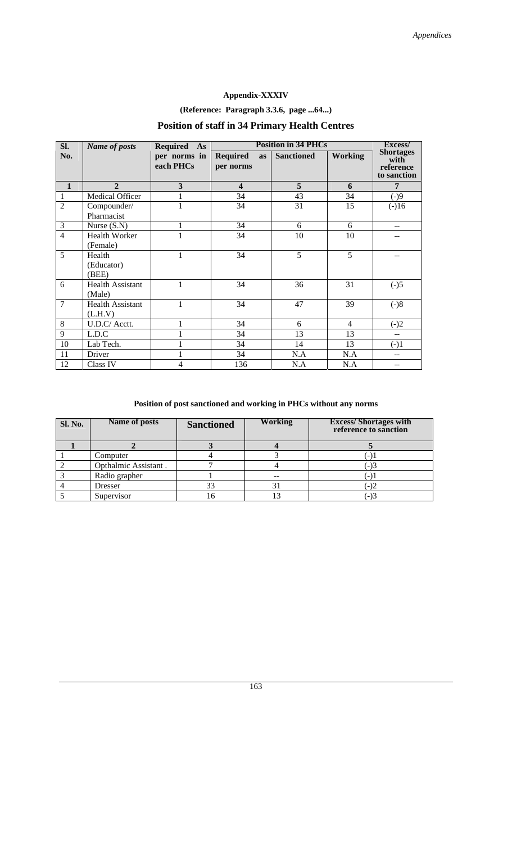# **Appendix-XXXIV**

# **(Reference: Paragraph 3.3.6, page ...64...)**

# **Position of staff in 34 Primary Health Centres**

| SI.            | <b>Name of posts</b>               | <b>Required</b><br>As     | <b>Position in 34 PHCs</b>         |                   |                | Excess/                                              |
|----------------|------------------------------------|---------------------------|------------------------------------|-------------------|----------------|------------------------------------------------------|
| No.            |                                    | per norms in<br>each PHCs | <b>Required</b><br>as<br>per norms | <b>Sanctioned</b> | <b>Working</b> | <b>Shortages</b><br>with<br>reference<br>to sanction |
| $\mathbf{1}$   | $\mathbf{2}$                       | 3                         | $\overline{\mathbf{4}}$            | 5 <sup>5</sup>    | 6              | 7                                                    |
| 1              | <b>Medical Officer</b>             |                           | 34                                 | 43                | 34             | $(-)9$                                               |
| $\overline{2}$ | Compounder/<br>Pharmacist          | 1                         | 34                                 | 31                | 15             | $(-)16$                                              |
| 3              | Nurse $(S.N)$                      | 1                         | 34                                 | 6                 | 6              | $\overline{\phantom{m}}$                             |
| $\overline{4}$ | Health Worker<br>(Female)          | 1                         | 34                                 | 10                | 10             |                                                      |
| 5              | Health<br>(Educator)<br>(BEE)      | 1                         | 34                                 | 5                 | 5              |                                                      |
| 6              | <b>Health Assistant</b><br>(Male)  | 1                         | 34                                 | 36                | 31             | $(-)5$                                               |
| $\overline{7}$ | <b>Health Assistant</b><br>(L.H.V) | 1                         | 34                                 | 47                | 39             | $(-)8$                                               |
| 8              | U.D.C/ Acctt.                      |                           | 34                                 | 6                 | $\overline{4}$ | $(-)2$                                               |
| 9              | L.D.C                              |                           | 34                                 | 13                | 13             | $\overline{\phantom{a}}$                             |
| 10             | Lab Tech.                          |                           | 34                                 | 14                | 13             | $(-)1$                                               |
| 11             | Driver                             |                           | 34                                 | N.A               | N.A            |                                                      |
| 12             | Class IV                           | 4                         | 136                                | N.A               | N.A            |                                                      |

# **Position of post sanctioned and working in PHCs without any norms**

| <b>Sl. No.</b> | Name of posts        | <b>Sanctioned</b> | <b>Working</b> | <b>Excess/Shortages with</b><br>reference to sanction |
|----------------|----------------------|-------------------|----------------|-------------------------------------------------------|
|                |                      |                   |                |                                                       |
|                | Computer             |                   |                | $(-)$ .                                               |
|                | Opthalmic Assistant. |                   |                | $(-)3$                                                |
|                | Radio grapher        |                   |                | - 1.                                                  |
|                | Dresser              | 33                |                | $(-)2$                                                |
|                | Supervisor           |                   |                | $-$ )3                                                |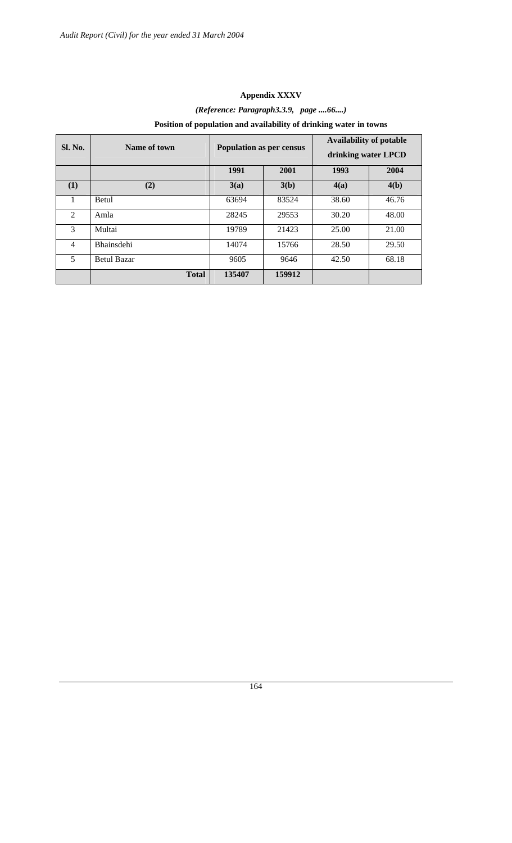# **Appendix XXXV**  *(Reference: Paragraph3.3.9, page ....66....)*  **Position of population and availability of drinking water in towns**

| <b>Sl. No.</b> | Name of town       | Population as per census |        | <b>Availability of potable</b><br>drinking water LPCD |       |
|----------------|--------------------|--------------------------|--------|-------------------------------------------------------|-------|
|                |                    | 1991                     | 2001   | 1993                                                  | 2004  |
| (1)            | (2)                | 3(a)                     | 3(b)   | 4(a)                                                  | 4(b)  |
|                | <b>Betul</b>       | 63694                    | 83524  | 38.60                                                 | 46.76 |
| $\mathfrak{D}$ | Amla               | 28245                    | 29553  | 30.20                                                 | 48.00 |
| 3              | Multai             | 19789                    | 21423  | 25.00                                                 | 21.00 |
| 4              | Bhainsdehi         | 14074                    | 15766  | 28.50                                                 | 29.50 |
| 5              | <b>Betul Bazar</b> | 9605                     | 9646   | 42.50                                                 | 68.18 |
|                | <b>Total</b>       | 135407                   | 159912 |                                                       |       |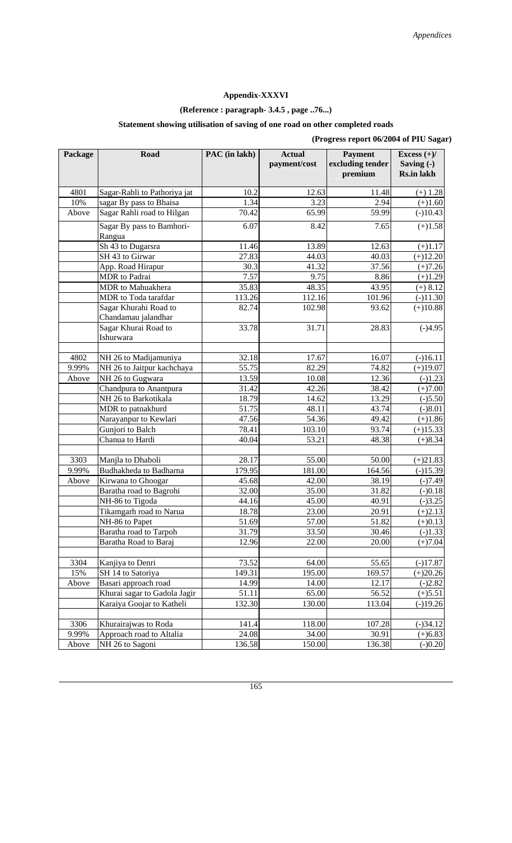# **Appendix-XXXVI**

# **(Reference : paragraph- 3.4.5 , page ..76...)**

# **Statement showing utilisation of saving of one road on other completed roads**

| (Progress report 06/2004 of PIU Sagar) |  |  |
|----------------------------------------|--|--|
|                                        |  |  |

| Package | Road                                        | PAC (in lakh) | <b>Actual</b><br>payment/cost | <b>Payment</b><br>excluding tender<br>premium | Excess $(+)/$<br>Saving $(-)$<br><b>Rs.in lakh</b> |
|---------|---------------------------------------------|---------------|-------------------------------|-----------------------------------------------|----------------------------------------------------|
| 4801    | Sagar-Rabli to Pathoriya jat                | 10.2          | 12.63                         | 11.48                                         | $(+)$ 1.28                                         |
| 10%     | sagar By pass to Bhaisa                     | 1.34          | 3.23                          | 2.94                                          | $(+)1.60$                                          |
| Above   | Sagar Rahli road to Hilgan                  | 70.42         | 65.99                         | 59.99                                         | $(-)10.43$                                         |
|         | Sagar By pass to Bamhori-<br>Rangua         | 6.07          | 8.42                          | 7.65                                          | $(+)1.58$                                          |
|         | Sh 43 to Dugarsra                           | 11.46         | 13.89                         | 12.63                                         | $(+)1.17$                                          |
|         | SH 43 to Girwar                             | 27.83         | 44.03                         | 40.03                                         | $(+)12.20$                                         |
|         | App. Road Hirapur                           | 30.3          | 41.32                         | 37.56                                         | $(+)7.26$                                          |
|         | <b>MDR</b> to Padrai                        | 7.57          | 9.75                          | 8.86                                          | $(+)1.29$                                          |
|         | MDR to Mahuakhera                           | 35.83         | 48.35                         | 43.95                                         | $(+) 8.12$                                         |
|         | MDR to Toda tarafdar                        | 113.26        | 112.16                        | 101.96                                        | $(-)11.30$                                         |
|         | Sagar Khurahi Road to                       | 82.74         | 102.98                        | 93.62                                         | $(+)10.88$                                         |
|         | Chandamau jalandhar<br>Sagar Khurai Road to | 33.78         | 31.71                         | 28.83                                         | $(-)4.95$                                          |
|         | Ishurwara                                   |               |                               |                                               |                                                    |
| 4802    | NH 26 to Madijamuniya                       | 32.18         | 17.67                         | 16.07                                         | $(-)16.11$                                         |
| 9.99%   | NH 26 to Jaitpur kachchaya                  | 55.75         | 82.29                         | 74.82                                         | $(+)19.07$                                         |
| Above   | NH 26 to Gugwara                            | 13.59         | 10.08                         | 12.36                                         | $(-)1.23$                                          |
|         | Chandpura to Anantpura                      | 31.42         | 42.26                         | 38.42                                         | $(+)7.00$                                          |
|         | NH 26 to Barkotikala                        | 18.79         | 14.62                         | 13.29                                         | $(-)5.50$                                          |
|         | MDR to patnakhurd                           | 51.75         | 48.11                         | 43.74                                         | $(-)8.01$                                          |
|         | Narayanpur to Kewlari                       | 47.56         | 54.36                         | 49.42                                         | $(+)1.86$                                          |
|         | Gunjori to Balch                            | 78.41         | 103.10                        | 93.74                                         | $(+)15.33$                                         |
|         | Chanua to Hardi                             | 40.04         | 53.21                         | 48.38                                         | $(+)8.34$                                          |
|         |                                             |               |                               |                                               |                                                    |
| 3303    | Manjla to Dhaboli                           | 28.17         | 55.00                         | 50.00                                         | $(+)21.83$                                         |
| 9.99%   | Budhakheda to Badharna                      | 179.95        | 181.00                        | 164.56                                        | $(-)15.39$                                         |
| Above   | Kirwana to Ghoogar                          | 45.68         | 42.00                         | 38.19                                         | $(-)7.49$                                          |
|         | Baratha road to Bagrohi                     | 32.00         | 35.00                         | 31.82                                         | $(-)0.18$                                          |
|         | NH-86 to Tigoda                             | 44.16         | 45.00                         | 40.91                                         | $(-)3.25$                                          |
|         | Tikamgarh road to Narua                     | 18.78         | 23.00                         | 20.91                                         | $(+)2.13$                                          |
|         | NH-86 to Papet                              | 51.69         | 57.00                         | 51.82                                         | $(+)0.13$                                          |
|         | Baratha road to Tarpoh                      | 31.79         | 33.50                         | 30.46                                         | $(-)1.33$                                          |
|         | Baratha Road to Baraj                       | 12.96         | 22.00                         | 20.00                                         | $(+)7.04$                                          |
|         |                                             |               |                               |                                               |                                                    |
| 3304    | Kanjiya to Denri                            | 73.52         | 64.00                         | 55.65                                         | $(-)17.87$                                         |
| 15%     | SH 14 to Satoriya                           | 149.31        | 195.00                        | 169.57                                        | $(+)20.26$                                         |
| Above   | Basari approach road                        | 14.99         | 14.00                         | 12.17                                         | $(-)2.82$                                          |
|         | Khurai sagar to Gadola Jagir                | 51.11         | 65.00                         | 56.52                                         | $(+)5.51$                                          |
|         | Karaiya Goojar to Katheli                   | 132.30        | 130.00                        | 113.04                                        | $(-)19.26$                                         |
| 3306    | Khurairajwas to Roda                        | 141.4         | 118.00                        | 107.28                                        | $(-)34.12$                                         |
| 9.99%   | Approach road to Altalia                    | 24.08         | 34.00                         | 30.91                                         | $(+)6.83$                                          |
| Above   | NH 26 to Sagoni                             | 136.58        | 150.00                        | 136.38                                        | $(-)0.20$                                          |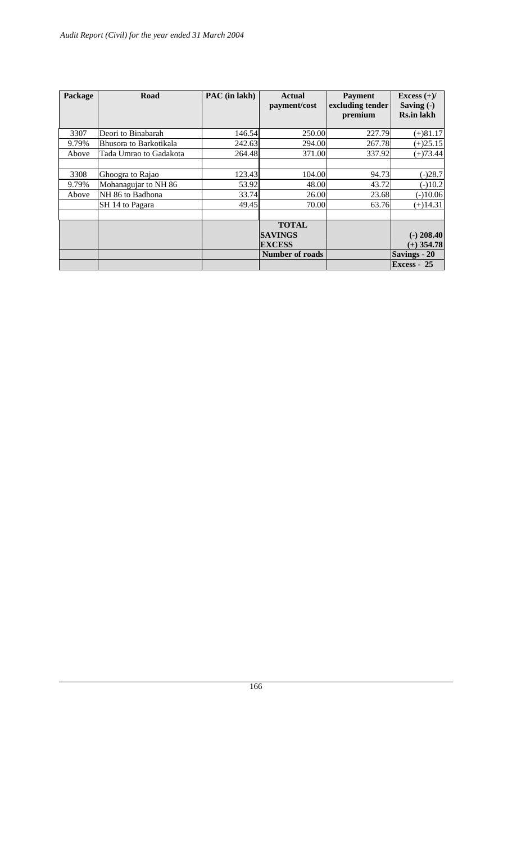| Package                | Road                                                                            | PAC (in lakh)                     | <b>Actual</b><br>payment/cost                                             | <b>Payment</b><br>excluding tender<br>premium | Excess $(+)/$<br>Saving $(-)$<br><b>Rs.in lakh</b>            |
|------------------------|---------------------------------------------------------------------------------|-----------------------------------|---------------------------------------------------------------------------|-----------------------------------------------|---------------------------------------------------------------|
| 3307                   | Deori to Binabarah                                                              | 146.541                           | 250.00                                                                    | 227.79                                        | $(+)81.17$                                                    |
| 9.79%                  | Bhusora to Barkotikala                                                          | 242.63                            | 294.00                                                                    | 267.78                                        | $(+)25.15$                                                    |
| Above                  | Tada Umrao to Gadakota                                                          | 264.48                            | 371.00                                                                    | 337.92                                        | $(+)73.44$                                                    |
| 3308<br>9.79%<br>Above | Ghoogra to Rajao<br>Mohanagujar to NH 86<br>NH 86 to Badhona<br>SH 14 to Pagara | 123.43<br>53.92<br>33.74<br>49.45 | 104.00<br>48.00<br>26.00<br>70.00                                         | 94.73<br>43.72<br>23.68<br>63.76              | $(-)28.7$<br>$(-)10.2$<br>$(-)10.06$<br>$(+)14.31$            |
|                        |                                                                                 |                                   | <b>TOTAL</b><br><b>SAVINGS</b><br><b>EXCESS</b><br><b>Number of roads</b> |                                               | $(-)$ 208.40<br>$(+)$ 354.78<br>Savings - 20<br>$Excess - 25$ |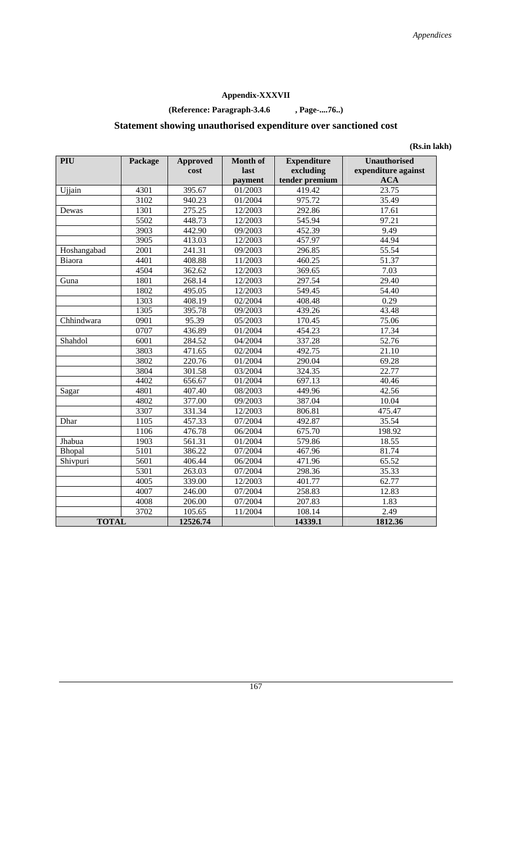# **Appendix-XXXVII**

# **(Reference: Paragraph-3.4.6 , Page-....76..)**

# **Statement showing unauthorised expenditure over sanctioned cost**

**(Rs.in lakh)** 

| PIU          | Package | <b>Approved</b><br>cost | <b>Month of</b><br>last<br>payment | <b>Expenditure</b><br>excluding<br>tender premium | <b>Unauthorised</b><br>expenditure against<br><b>ACA</b> |
|--------------|---------|-------------------------|------------------------------------|---------------------------------------------------|----------------------------------------------------------|
| Ujjain       | 4301    | 395.67                  | 01/2003                            | 419.42                                            | 23.75                                                    |
|              | 3102    | 940.23                  | 01/2004                            | 975.72                                            | 35.49                                                    |
| Dewas        | 1301    | 275.25                  | 12/2003                            | 292.86                                            | 17.61                                                    |
|              | 5502    | 448.73                  | 12/2003                            | 545.94                                            | 97.21                                                    |
|              | 3903    | 442.90                  | 09/2003                            | 452.39                                            | 9.49                                                     |
|              | 3905    | 413.03                  | 12/2003                            | 457.97                                            | 44.94                                                    |
| Hoshangabad  | 2001    | 241.31                  | 09/2003                            | 296.85                                            | 55.54                                                    |
| Biaora       | 4401    | 408.88                  | 11/2003                            | 460.25                                            | 51.37                                                    |
|              | 4504    | 362.62                  | 12/2003                            | 369.65                                            | 7.03                                                     |
| Guna         | 1801    | 268.14                  | 12/2003                            | 297.54                                            | 29.40                                                    |
|              | 1802    | 495.05                  | 12/2003                            | 549.45                                            | 54.40                                                    |
|              | 1303    | 408.19                  | 02/2004                            | 408.48                                            | 0.29                                                     |
|              | 1305    | 395.78                  | 09/2003                            | 439.26                                            | 43.48                                                    |
| Chhindwara   | 0901    | 95.39                   | 05/2003                            | 170.45                                            | 75.06                                                    |
|              | 0707    | 436.89                  | 01/2004                            | 454.23                                            | 17.34                                                    |
| Shahdol      | 6001    | 284.52                  | 04/2004                            | 337.28                                            | 52.76                                                    |
|              | 3803    | 471.65                  | 02/2004                            | 492.75                                            | 21.10                                                    |
|              | 3802    | 220.76                  | 01/2004                            | 290.04                                            | 69.28                                                    |
|              | 3804    | 301.58                  | 03/2004                            | 324.35                                            | 22.77                                                    |
|              | 4402    | 656.67                  | 01/2004                            | 697.13                                            | 40.46                                                    |
| Sagar        | 4801    | 407.40                  | 08/2003                            | 449.96                                            | 42.56                                                    |
|              | 4802    | 377.00                  | 09/2003                            | 387.04                                            | 10.04                                                    |
|              | 3307    | 331.34                  | 12/2003                            | 806.81                                            | 475.47                                                   |
| Dhar         | 1105    | 457.33                  | 07/2004                            | 492.87                                            | 35.54                                                    |
|              | 1106    | 476.78                  | 06/2004                            | 675.70                                            | 198.92                                                   |
| Jhabua       | 1903    | 561.31                  | 01/2004                            | 579.86                                            | 18.55                                                    |
| Bhopal       | 5101    | 386.22                  | 07/2004                            | 467.96                                            | 81.74                                                    |
| Shivpuri     | 5601    | 406.44                  | 06/2004                            | 471.96                                            | 65.52                                                    |
|              | 5301    | 263.03                  | 07/2004                            | 298.36                                            | 35.33                                                    |
|              | 4005    | 339.00                  | 12/2003                            | 401.77                                            | 62.77                                                    |
|              | 4007    | 246.00                  | 07/2004                            | 258.83                                            | 12.83                                                    |
|              | 4008    | 206.00                  | 07/2004                            | 207.83                                            | 1.83                                                     |
|              | 3702    | 105.65                  | 11/2004                            | 108.14                                            | 2.49                                                     |
| <b>TOTAL</b> |         | 12526.74                |                                    | 14339.1                                           | 1812.36                                                  |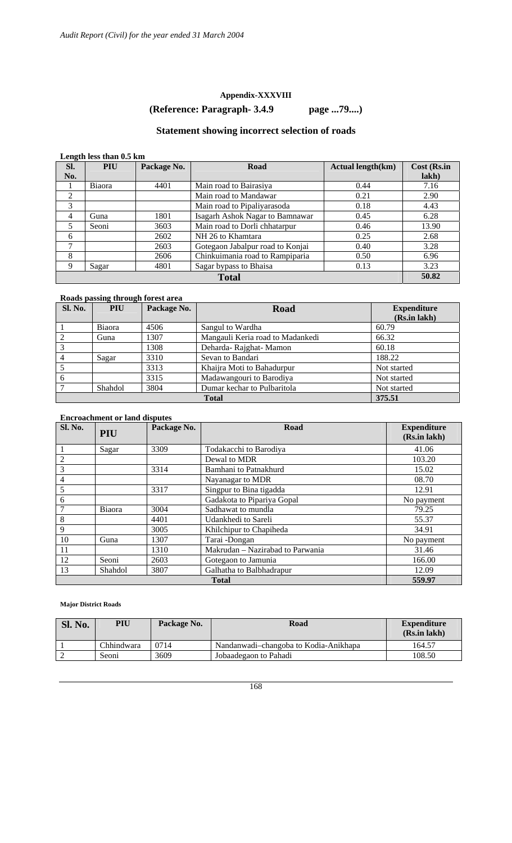#### **Appendix-XXXVIII**

# **(Reference: Paragraph- 3.4.9 page ...79....)**

# **Statement showing incorrect selection of roads**

#### **Length less than 0.5 km**

| -<br>Sl.       | <b>PIU</b> | Package No. | Road                             | <b>Actual length(km)</b> | Cost (Rs.in |  |  |
|----------------|------------|-------------|----------------------------------|--------------------------|-------------|--|--|
| No.            |            |             |                                  |                          | lakh)       |  |  |
|                | Biaora     | 4401        | Main road to Bairasiya           | 0.44                     | 7.16        |  |  |
| 2              |            |             | Main road to Mandawar            | 0.21                     | 2.90        |  |  |
| 3              |            |             | Main road to Pipaliyarasoda      | 0.18                     | 4.43        |  |  |
| $\overline{4}$ | Guna       | 1801        | Isagarh Ashok Nagar to Bamnawar  | 0.45                     | 6.28        |  |  |
| 5              | Seoni      | 3603        | Main road to Dorli chhatarpur    | 0.46                     | 13.90       |  |  |
| 6              |            | 2602        | NH 26 to Khamtara                | 0.25                     | 2.68        |  |  |
| 7              |            | 2603        | Gotegaon Jabalpur road to Konjai | 0.40                     | 3.28        |  |  |
| 8              |            | 2606        | Chinkuimania road to Rampiparia  | 0.50                     | 6.96        |  |  |
| 9              | Sagar      | 4801        | Sagar bypass to Bhaisa           | 0.13                     | 3.23        |  |  |
| <b>Total</b>   |            |             |                                  |                          |             |  |  |

#### **Roads passing through forest area**

| <b>Sl. No.</b> | PIU     | Package No. | <b>Road</b>                      | <b>Expenditure</b> |
|----------------|---------|-------------|----------------------------------|--------------------|
|                |         |             |                                  | (Rs.in lakh)       |
|                | Biaora  | 4506        | Sangul to Wardha                 | 60.79              |
|                | Guna    | 1307        | Mangauli Keria road to Madankedi | 66.32              |
| 3              |         | 1308        | Deharda-Rajghat-Mamon            | 60.18              |
|                | Sagar   | 3310        | Sevan to Bandari                 | 188.22             |
|                |         | 3313        | Khaijra Moti to Bahadurpur       | Not started        |
| 6              |         | 3315        | Madawangouri to Barodiya         | Not started        |
|                | Shahdol | 3804        | Dumar kechar to Pulbaritola      | Not started        |
|                |         |             | <b>Total</b>                     | 375.51             |

#### **Encroachment or land disputes**

| <b>Sl. No.</b> | PIU                    | Package No. | Road                             | <b>Expenditure</b><br>(Rs.in lakh) |  |  |  |  |  |  |
|----------------|------------------------|-------------|----------------------------------|------------------------------------|--|--|--|--|--|--|
|                | Sagar                  | 3309        | Todakacchi to Barodiya           | 41.06                              |  |  |  |  |  |  |
| $\overline{2}$ |                        |             | Dewal to MDR                     | 103.20                             |  |  |  |  |  |  |
| 3              |                        | 3314        | Bamhani to Patnakhurd            | 15.02                              |  |  |  |  |  |  |
| $\overline{4}$ |                        |             | Nayanagar to MDR                 | 08.70                              |  |  |  |  |  |  |
| 5              |                        | 3317        | Singpur to Bina tigadda          | 12.91                              |  |  |  |  |  |  |
| 6              |                        |             | Gadakota to Pipariya Gopal       | No payment                         |  |  |  |  |  |  |
| $\overline{7}$ | Biaora                 | 3004        | Sadhawat to mundla               | 79.25                              |  |  |  |  |  |  |
| 8              |                        | 4401        | Udankhedi to Sareli              | 55.37                              |  |  |  |  |  |  |
| 9              |                        | 3005        | Khilchipur to Chapiheda          | 34.91                              |  |  |  |  |  |  |
| 10             | Guna                   | 1307        | Tarai -Dongan                    | No payment                         |  |  |  |  |  |  |
| 11             |                        | 1310        | Makrudan - Nazirabad to Parwania | 31.46                              |  |  |  |  |  |  |
| 12             | Seoni                  | 2603        | Gotegaon to Jamunia              | 166.00                             |  |  |  |  |  |  |
| 13             | Shahdol                | 3807        | Galhatha to Balbhadrapur         | 12.09                              |  |  |  |  |  |  |
|                | 559.97<br><b>Total</b> |             |                                  |                                    |  |  |  |  |  |  |

#### **Major District Roads**

| <b>Sl. No.</b> | PIU        | Package No. | Road                                  | <b>Expenditure</b><br>(Rs.in lakh) |
|----------------|------------|-------------|---------------------------------------|------------------------------------|
|                | Chhindwara | 0714        | Nandanwadi-changoba to Kodia-Anikhapa | 164.57                             |
|                | Seoni      | 3609        | Jobaadegaon to Pahadi                 | 108.50                             |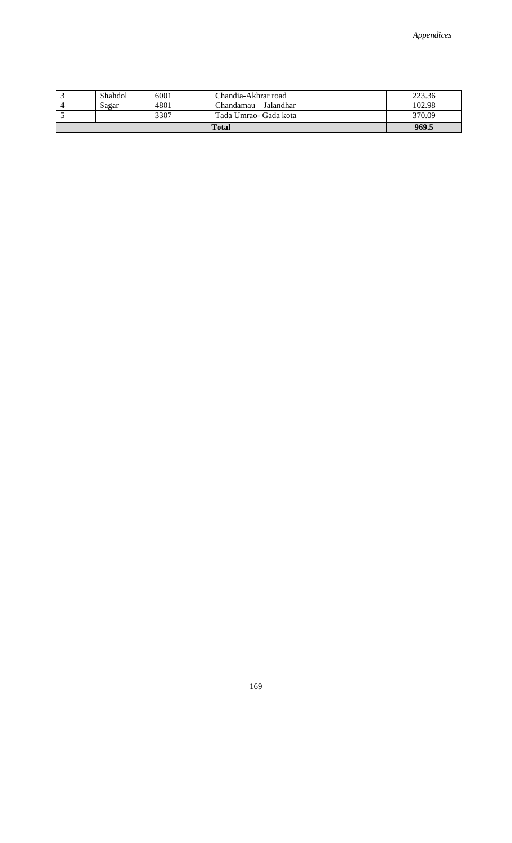|  | Shahdol | 6001 | Chandia-Akhrar road   | 223.36 |
|--|---------|------|-----------------------|--------|
|  | Sagar   | 4801 | Chandamau – Jalandhar | 102.98 |
|  |         | 3307 | Tada Umrao- Gada kota | 370.09 |
|  | 969.5   |      |                       |        |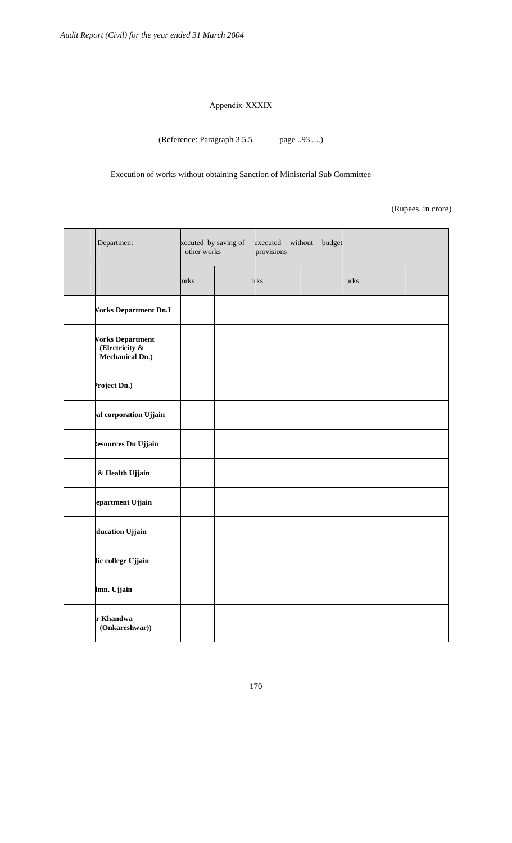#### Appendix-XXXIX

(Reference: Paragraph 3.5.5 page ..93.....)

Execution of works without obtaining Sanction of Ministerial Sub Committee

(Rupees. in crore)

| Department                                                          | xecuted by saving of<br>other works | executed without<br>provisions | budget |      |  |  |  |
|---------------------------------------------------------------------|-------------------------------------|--------------------------------|--------|------|--|--|--|
|                                                                     | orks                                | orks                           |        | brks |  |  |  |
| <b>Vorks Department Dn.I</b>                                        |                                     |                                |        |      |  |  |  |
| <b>Vorks Department</b><br>(Electricity &<br><b>Mechanical Dn.)</b> |                                     |                                |        |      |  |  |  |
| roject Dn.)                                                         |                                     |                                |        |      |  |  |  |
| al corporation Ujjain                                               |                                     |                                |        |      |  |  |  |
| desources Dn Ujjain                                                 |                                     |                                |        |      |  |  |  |
| & Health Ujjain                                                     |                                     |                                |        |      |  |  |  |
| epartment Ujjain                                                    |                                     |                                |        |      |  |  |  |
| ducation Ujjain                                                     |                                     |                                |        |      |  |  |  |
| lic college Ujjain                                                  |                                     |                                |        |      |  |  |  |
| lmn. Ujjain                                                         |                                     |                                |        |      |  |  |  |
| r Khandwa<br>(Onkareshwar))                                         |                                     |                                |        |      |  |  |  |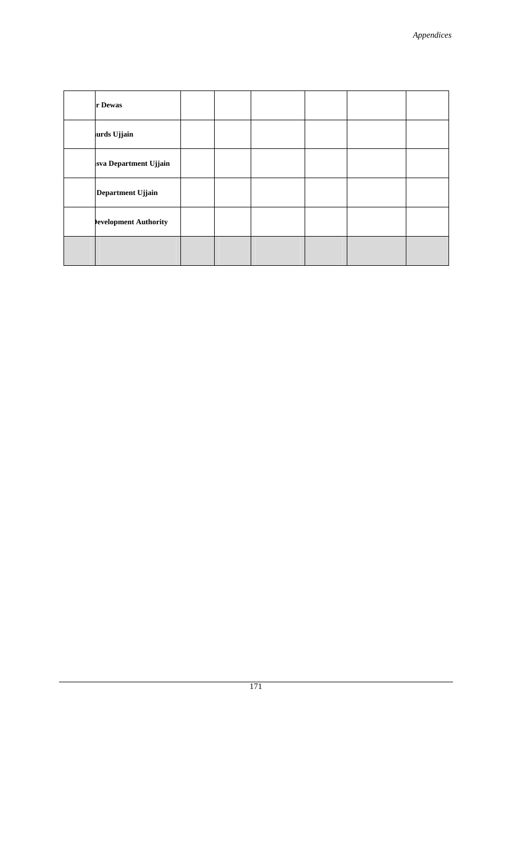| r Dewas               |  |  |  |
|-----------------------|--|--|--|
| urds Ujjain           |  |  |  |
| sva Department Ujjain |  |  |  |
| Department Ujjain     |  |  |  |
| evelopment Authority  |  |  |  |
|                       |  |  |  |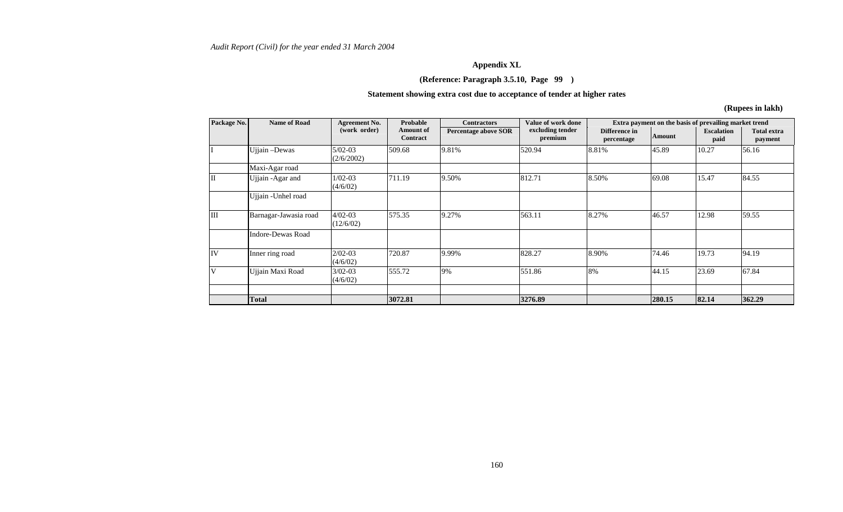#### **Appendix XL**

#### **(Reference: Paragraph 3.5.10, Page 99 )**

#### **Statement showing extra cost due to acceptance of tender at higher rates**

**(Rupees in lakh)** 

| Package No. | <b>Name of Road</b>      | <b>Agreement No.</b>     | Probable                     | <b>Contractors</b>          | Value of work done          |                             |               | Extra payment on the basis of prevailing market trend<br><b>Escalation</b><br>paid<br>10.27<br>15.47<br>12.98<br>19.73<br>23.69 |                               |
|-------------|--------------------------|--------------------------|------------------------------|-----------------------------|-----------------------------|-----------------------------|---------------|---------------------------------------------------------------------------------------------------------------------------------|-------------------------------|
|             |                          | (work order)             | Amount of<br><b>Contract</b> | <b>Percentage above SOR</b> | excluding tender<br>premium | Difference in<br>percentage | <b>Amount</b> |                                                                                                                                 | <b>Total extra</b><br>payment |
|             | Ujjain-Dewas             | $5/02-03$<br>(2/6/2002)  | 509.68                       | 9.81%                       | 520.94                      | 8.81%                       | 45.89         |                                                                                                                                 | 56.16                         |
|             | Maxi-Agar road           |                          |                              |                             |                             |                             |               |                                                                                                                                 |                               |
| II          | Ujjain -Agar and         | $1/02 - 03$<br>(4/6/02)  | 711.19                       | 9.50%                       | 812.71                      | 8.50%                       | 69.08         |                                                                                                                                 | 84.55                         |
|             | Ujjain - Unhel road      |                          |                              |                             |                             |                             |               |                                                                                                                                 |                               |
| IШ          | Barnagar-Jawasia road    | $4/02 - 03$<br>(12/6/02) | 575.35                       | 9.27%                       | 563.11                      | 8.27%                       | 46.57         |                                                                                                                                 | 59.55                         |
|             | <b>Indore-Dewas Road</b> |                          |                              |                             |                             |                             |               |                                                                                                                                 |                               |
| IV          | Inner ring road          | $2/02 - 03$<br>(4/6/02)  | 720.87                       | 9.99%                       | 828.27                      | 8.90%                       | 74.46         |                                                                                                                                 | 94.19                         |
| V           | Ujjain Maxi Road         | $3/02 - 03$<br>(4/6/02)  | 555.72                       | 9%                          | 551.86                      | 8%                          | 44.15         |                                                                                                                                 | 67.84                         |
|             |                          |                          |                              |                             |                             |                             |               |                                                                                                                                 |                               |
|             | <b>Total</b>             |                          | 3072.81                      |                             | 3276.89                     |                             | 280.15        | 82.14                                                                                                                           | 362.29                        |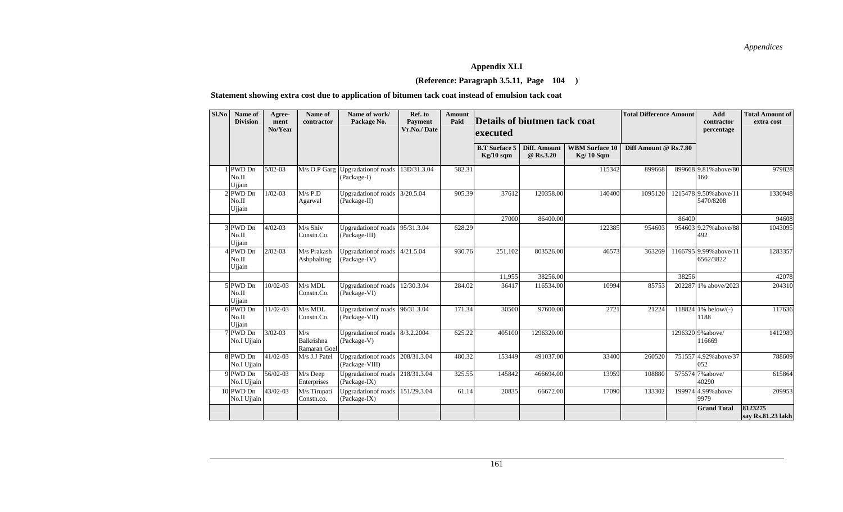# **Appendix XLI**

#### **(Reference: Paragraph 3.5.11, Page 104 )**

#### **Statement showing extra cost due to application of bitumen tack coat instead of emulsion tack coat**

| Sl.No | Name of<br><b>Division</b>  | Agree-<br>ment<br>No/Year | Name of<br>contractor                    | Name of work/<br>Package No.                     | Ref. to<br><b>Payment</b><br>Vr.No./Date | Amount<br>Paid | Details of biutmen tack coat<br>executed |                           |                                      | <b>Total Difference Amount</b> |        |                                     |                              | Add<br>contractor<br>percentage | <b>Total Amount of</b><br>extra cost |
|-------|-----------------------------|---------------------------|------------------------------------------|--------------------------------------------------|------------------------------------------|----------------|------------------------------------------|---------------------------|--------------------------------------|--------------------------------|--------|-------------------------------------|------------------------------|---------------------------------|--------------------------------------|
|       |                             |                           |                                          |                                                  |                                          |                | <b>B.T</b> Surface 5<br>$Kg/10$ sqm      | Diff. Amount<br>@ Rs.3.20 | <b>WBM</b> Surface 10<br>$Kg/10$ Sqm | Diff Amount @ Rs.7.80          |        |                                     |                              |                                 |                                      |
|       | PWD Dn<br>No.II<br>Ujjain   | $5/02 - 03$               | $\overline{M/s \space O.P \space G}$ arg | Upgradation of roads<br>(Package-I)              | 13D/31.3.04                              | 582.31         |                                          |                           | 115342                               | 899668                         |        | 899668 9.81% above/80<br>160        | 979828                       |                                 |                                      |
|       | PWD Dn<br>No.II<br>Ujjain   | $1/02 - 03$               | $M/s$ P.D<br>Agarwal                     | <b>Upgradation of roads</b><br>(Package-II)      | 3/20.5.04                                | 905.39         | 37612                                    | 120358.00                 | 140400                               | 1095120                        |        | 1215478 9.50% above/11<br>5470/8208 | 1330948                      |                                 |                                      |
|       |                             |                           |                                          |                                                  |                                          |                | 27000                                    | 86400.00                  |                                      |                                | 86400  |                                     | 94608                        |                                 |                                      |
|       | 3 PWD Dn<br>No.II<br>Ujjain | $4/02 - 03$               | M/s Shiv<br>Constn.Co.                   | <b>Upgradationof</b> roads<br>(Package-III)      | 95/31.3.04                               | 628.29         |                                          |                           | 122385                               | 954603                         |        | 954603 9.27% above/88<br>492        | 1043095                      |                                 |                                      |
|       | PWD Dn<br>No.II<br>Ujjain   | $2/02 - 03$               | M/s Prakash<br>Ashphalting               | <b>Upgradationof</b> roads<br>(Package-IV)       | 4/21.5.04                                | 930.76         | 251,102                                  | 803526.00                 | 46573                                | 363269                         |        | 1166795 9.99% above/11<br>6562/3822 | 1283357                      |                                 |                                      |
|       |                             |                           |                                          |                                                  |                                          |                | 11.955                                   | 38256.00                  |                                      |                                | 38256  |                                     | 42078                        |                                 |                                      |
|       | 5 PWD Dn<br>No.II<br>Ujjain | 10/02-03                  | M/s MDL<br>Constn.Co.                    | <b>Upgradationof</b> roads<br>(Package-VI)       | 12/30.3.04                               | 284.02         | 36417                                    | 116534.00                 | 10994                                | 85753                          |        | 202287 1% above/2023                | 204310                       |                                 |                                      |
|       | 6 PWD Dn<br>No.II<br>Ujjain | 11/02-03                  | M/s MDL<br>Constn.Co.                    | <b>Upgradationof</b> roads<br>(Package-VII)      | 96/31.3.04                               | 171.34         | 30500                                    | 97600.00                  | 2721                                 | 21224                          |        | 118824 1% below/(-)<br>1188         | 117636                       |                                 |                                      |
|       | 7 PWD Dn<br>No.I Ujjain     | $3/02 - 03$               | M/s<br>Balkrishna<br>Ramaran Goel        | Upgradation of roads 8/3.2.2004<br>(Package-V)   |                                          | 625.22         | 405100                                   | 1296320.00                |                                      |                                |        | 1296320 9% above/<br>116669         | 1412989                      |                                 |                                      |
|       | 8 PWD Dn<br>No.I Ujjain     | $41/02 - 03$              | M/s J.J Patel                            | <b>Upgradation of roads</b><br>(Package-VIII)    | 208/31.3.04                              | 480.32         | 153449                                   | 491037.00                 | 33400                                | 260520                         | 751557 | 4.92% above/37<br>052               | 788609                       |                                 |                                      |
|       | 9 PWD Dn<br>No.I Ujjain     | 56/02-03                  | M/s Deep<br>Enterprises                  | <b>Upgradation of roads</b><br>(Package-IX)      | 218/31.3.04                              | 325.55         | 145842                                   | 466694.00                 | 13959                                | 108880                         |        | 575574 7% above/<br>40290           | 615864                       |                                 |                                      |
|       | 10 PWD Dn<br>No.I Ujjain    | 43/02-03                  | M/s Tirupati<br>Constn.co.               | Upgradation of roads 151/29.3.04<br>(Package-IX) |                                          | 61.14          | 20835                                    | 66672.00                  | 17090                                | 133302                         |        | 199974 4.99% above/<br>9979         | 209953                       |                                 |                                      |
|       |                             |                           |                                          |                                                  |                                          |                |                                          |                           |                                      |                                |        | <b>Grand Total</b>                  | 8123275<br>say Rs.81.23 lakh |                                 |                                      |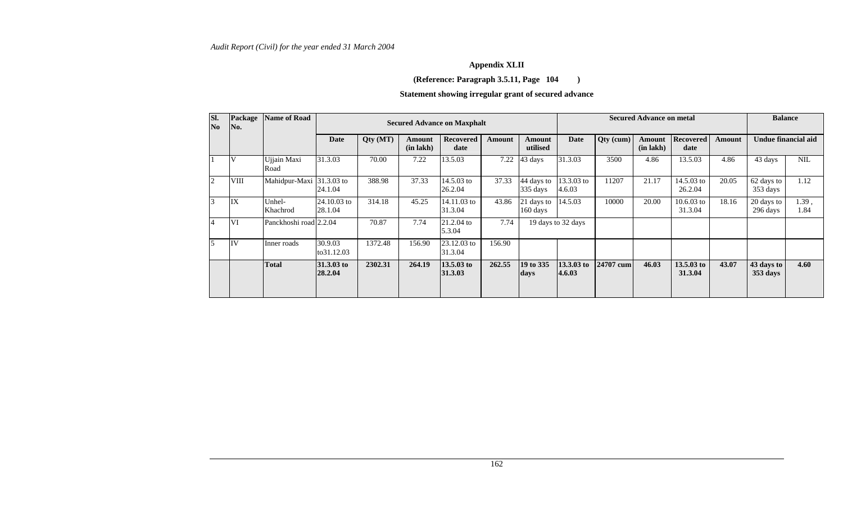# **Appendix XLII**

### **(Reference: Paragraph 3.5.11, Page 104 )**

# **Statement showing irregular grant of secured advance**

| SI.<br>No      | Package<br>No. | <b>Name of Road</b>      |                        | <b>Secured Advance on Maxphalt</b> |                          |                          |        |                                  |                      | <b>Secured Advance on metal</b> |                                 |                                 |        |                        | <b>Balance</b> |  |  |
|----------------|----------------|--------------------------|------------------------|------------------------------------|--------------------------|--------------------------|--------|----------------------------------|----------------------|---------------------------------|---------------------------------|---------------------------------|--------|------------------------|----------------|--|--|
|                |                |                          | Date                   | Qty (MT)                           | Amount<br>$(in \, lakh)$ | <b>Recovered</b><br>date | Amount | Amount<br>utilised               | <b>Date</b>          | Qty (cum)                       | <b>Amount</b><br>$(in \, lakh)$ | <b>Recovered</b><br>date        | Amount | Undue financial aid    |                |  |  |
|                | ١V             | Ujjain Maxi<br>Road      | 31.3.03                | 70.00                              | 7.22                     | 13.5.03                  | 7.22   | 43 days                          | 31.3.03              | 3500                            | 4.86                            | 13.5.03                         | 4.86   | 43 days                | <b>NIL</b>     |  |  |
| $\overline{2}$ | VIII           | Mahidpur-Maxi 31.3.03 to | 24.1.04                | 388.98                             | 37.33                    | 14.5.03 to<br>26.2.04    | 37.33  | 44 days to<br>335 days           | 13.3.03 to<br>4.6.03 | 11207                           | 21.17                           | 14.5.03 to<br>26.2.04           | 20.05  | 62 days to<br>353 days | 1.12           |  |  |
| 3              | IX             | Unhel-<br>Khachrod       | 24.10.03 to<br>28.1.04 | 314.18                             | 45.25                    | 14.11.03 to<br>31.3.04   | 43.86  | 21 days to<br>$160 \text{ days}$ | 14.5.03              | 10000                           | 20.00                           | $10.6.03$ to<br>31.3.04         | 18.16  | 20 days to<br>296 days | 1.39,<br>1.84  |  |  |
| $\overline{4}$ | VI             | Panckhoshi road 2.2.04   |                        | 70.87                              | 7.74                     | 21.2.04 to<br>5.3.04     | 7.74   |                                  | 19 days to 32 days   |                                 |                                 |                                 |        |                        |                |  |  |
|                | IV             | Inner roads              | 30.9.03<br>to31.12.03  | 1372.48                            | 156.90                   | 23.12.03 to<br>31.3.04   | 156.90 |                                  |                      |                                 |                                 |                                 |        |                        |                |  |  |
|                |                | <b>Total</b>             | 31.3.03 to<br>28.2.04  | 2302.31                            | 264.19                   | $13.5.03$ to<br>31.3.03  | 262.55 | 19 to 335<br>days                | 13.3.03 to<br>4.6.03 | 24707 cum                       | 46.03                           | $13.5.03 \text{ to}$<br>31.3.04 | 43.07  | 43 days to<br>353 days | 4.60           |  |  |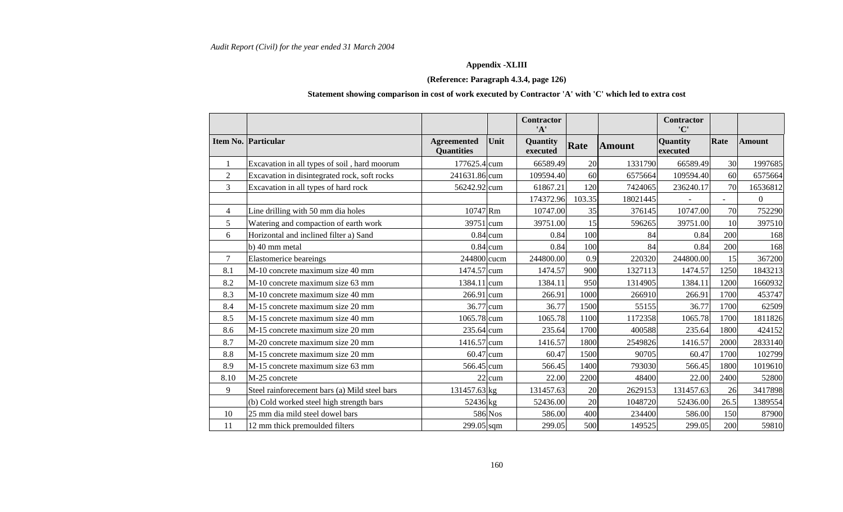# **Appendix -XLIII**

## **(Reference: Paragraph 4.3.4, page 126)**

### **Statement showing comparison in cost of work executed by Contractor 'A' with 'C' which led to extra cost**

|                |                                               |                                         |            | <b>Contractor</b><br>'A' |        |               | <b>Contractor</b><br>'C' |      |               |
|----------------|-----------------------------------------------|-----------------------------------------|------------|--------------------------|--------|---------------|--------------------------|------|---------------|
|                | Item No. Particular                           | <b>Agreemented</b><br><b>Quantities</b> | Unit       | Quantity<br>executed     | Rate   | <b>Amount</b> | Quantity<br>executed     | Rate | <b>Amount</b> |
|                | Excavation in all types of soil, hard moorum  | 177625.4 cum                            |            | 66589.49                 | 20     | 1331790       | 66589.49                 | 30   | 1997685       |
| $\overline{2}$ | Excavation in disintegrated rock, soft rocks  | 241631.86 cum                           |            | 109594.40                | 60     | 6575664       | 109594.40                | 60   | 6575664       |
| 3              | Excavation in all types of hard rock          | 56242.92 cum                            |            | 61867.21                 | 120    | 7424065       | 236240.17                | 70   | 16536812      |
|                |                                               |                                         |            | 174372.96                | 103.35 | 18021445      |                          | ÷.   | $\mathbf{0}$  |
| 4              | Line drilling with 50 mm dia holes            | 10747 Rm                                |            | 10747.00                 | 35     | 376145        | 10747.00                 | 70   | 752290        |
| 5              | Watering and compaction of earth work         | 39751 cum                               |            | 39751.00                 | 15     | 596265        | 39751.00                 | 10   | 397510        |
| 6              | Horizontal and inclined filter a) Sand        |                                         | $0.84$ cum | 0.84                     | 100    | 84            | 0.84                     | 200  | 168           |
|                | b) 40 mm metal                                |                                         | $0.84$ cum | 0.84                     | 100    | 84            | 0.84                     | 200  | 168           |
| 7              | <b>Elastomerice</b> beareings                 | 244800 cucm                             |            | 244800.00                | 0.9    | 220320        | 244800.00                | 15   | 367200        |
| 8.1            | M-10 concrete maximum size 40 mm              | 1474.57 cum                             |            | 1474.57                  | 900    | 1327113       | 1474.57                  | 1250 | 1843213       |
| 8.2            | M-10 concrete maximum size 63 mm              | 1384.11 cum                             |            | 1384.11                  | 950    | 1314905       | 1384.11                  | 1200 | 1660932       |
| 8.3            | M-10 concrete maximum size 40 mm              | $266.91$ cum                            |            | 266.91                   | 1000   | 266910        | 266.91                   | 1700 | 453747        |
| 8.4            | M-15 concrete maximum size 20 mm              | 36.77 cum                               |            | 36.77                    | 1500   | 55155         | 36.77                    | 1700 | 62509         |
| 8.5            | M-15 concrete maximum size 40 mm              | 1065.78 cum                             |            | 1065.78                  | 1100   | 1172358       | 1065.78                  | 1700 | 1811826       |
| 8.6            | M-15 concrete maximum size 20 mm              | 235.64 cum                              |            | 235.64                   | 1700   | 400588        | 235.64                   | 1800 | 424152        |
| 8.7            | M-20 concrete maximum size 20 mm              | 1416.57 cum                             |            | 1416.57                  | 1800   | 2549826       | 1416.57                  | 2000 | 2833140       |
| 8.8            | M-15 concrete maximum size 20 mm              | $60.47$ cum                             |            | 60.47                    | 1500   | 90705         | 60.47                    | 1700 | 102799        |
| 8.9            | M-15 concrete maximum size 63 mm              | 566.45 cum                              |            | 566.45                   | 1400   | 793030        | 566.45                   | 1800 | 1019610       |
| 8.10           | M-25 concrete                                 |                                         | 22 cum     | 22.00                    | 2200   | 48400         | 22.00                    | 2400 | 52800         |
| 9              | Steel rainforecement bars (a) Mild steel bars | 131457.63 kg                            |            | 131457.63                | 20     | 2629153       | 131457.63                | 26   | 3417898       |
|                | (b) Cold worked steel high strength bars      | 52436 kg                                |            | 52436.00                 | 20     | 1048720       | 52436.00                 | 26.5 | 1389554       |
| 10             | 25 mm dia mild steel dowel bars               |                                         | 586 Nos    | 586.00                   | 400    | 234400        | 586.00                   | 150  | 87900         |
| 11             | 12 mm thick premoulded filters                | 299.05 sqm                              |            | 299.05                   | 500    | 149525        | 299.05                   | 200  | 59810         |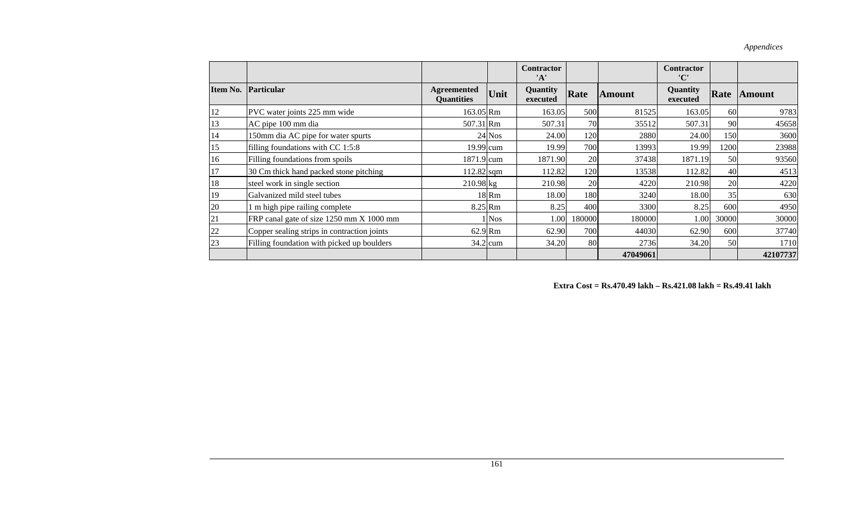|          |                                             |                                         |            | <b>Contractor</b><br>'A' |        |               | <b>Contractor</b><br>'C' |       |               |
|----------|---------------------------------------------|-----------------------------------------|------------|--------------------------|--------|---------------|--------------------------|-------|---------------|
| Item No. | Particular                                  | <b>Agreemented</b><br><b>Quantities</b> | Unit       | Quantity<br>executed     | Rate   | <b>Amount</b> | Quantity<br>executed     | Rate  | <b>Amount</b> |
| 12       | PVC water joints 225 mm wide                | 163.05 Rm                               |            | 163.05                   | 500    | 81525         | 163.05                   | 60    | 9783          |
| 13       | AC pipe 100 mm dia                          | 507.31 Rm                               |            | 507.31                   | 70     | 35512         | 507.31                   | 90    | 45658         |
| 14       | 150mm dia AC pipe for water spurts          |                                         | $24$ Nos   | 24.00                    | 120    | 2880          | 24.00                    | 150   | 3600          |
| 15       | filling foundations with CC 1:5:8           | $19.99$ cum                             |            | 19.99                    | 700    | 13993         | 19.99                    | 1200  | 23988         |
| 16       | Filling foundations from spoils             | 1871.9 cum                              |            | 1871.90                  | 20     | 37438         | 1871.19                  | 50    | 93560         |
| 17       | 30 Cm thick hand packed stone pitching      | $112.82$ sqm                            |            | 112.82                   | 120    | 13538         | 112.82                   | 40    | 4513          |
| 18       | steel work in single section                | $210.98$ kg                             |            | 210.98                   | 20     | 4220          | 210.98                   | 20    | 4220          |
| 19       | Galvanized mild steel tubes                 |                                         | 18 Rm      | 18.00                    | 180    | 3240          | 18.00                    | 35    | 630           |
| 20       | 1 m high pipe railing complete              | $8.25$ <sub>Rm</sub>                    |            | 8.25                     | 400    | 3300          | 8.25                     | 600   | 4950          |
| 21       | FRP canal gate of size 1250 mm X 1000 mm    |                                         | <b>Nos</b> | 1.00                     | 180000 | 180000        | 1.00                     | 30000 | 30000         |
| 22       | Copper sealing strips in contraction joints | $62.9$ Rm                               |            | 62.90                    | 700    | 44030         | 62.90                    | 600   | 37740         |
| 23       | Filling foundation with picked up boulders  |                                         | $34.2$ cum | 34.20                    | 80     | 2736          | 34.20                    | 50    | 1710          |
|          |                                             |                                         |            |                          |        | 47049061      |                          |       | 42107737      |

 **Extra Cost = Rs.470.49 lakh – Rs.421.08 lakh = Rs.49.41 lakh**